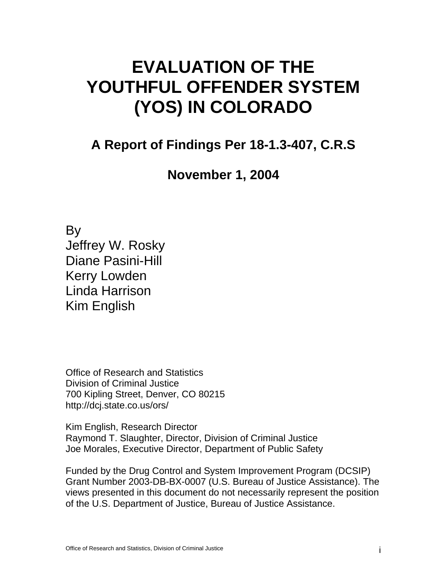# **EVALUATION OF THE YOUTHFUL OFFENDER SYSTEM (YOS) IN COLORADO**

# **A Report of Findings Per 18-1.3-407, C.R.S**

**November 1, 2004** 

By Jeffrey W. Rosky Diane Pasini-Hill Kerry Lowden Linda Harrison Kim English

Office of Research and Statistics Division of Criminal Justice 700 Kipling Street, Denver, CO 80215 http://dcj.state.co.us/ors/

Kim English, Research Director Raymond T. Slaughter, Director, Division of Criminal Justice Joe Morales, Executive Director, Department of Public Safety

Funded by the Drug Control and System Improvement Program (DCSIP) Grant Number 2003-DB-BX-0007 (U.S. Bureau of Justice Assistance). The views presented in this document do not necessarily represent the position of the U.S. Department of Justice, Bureau of Justice Assistance.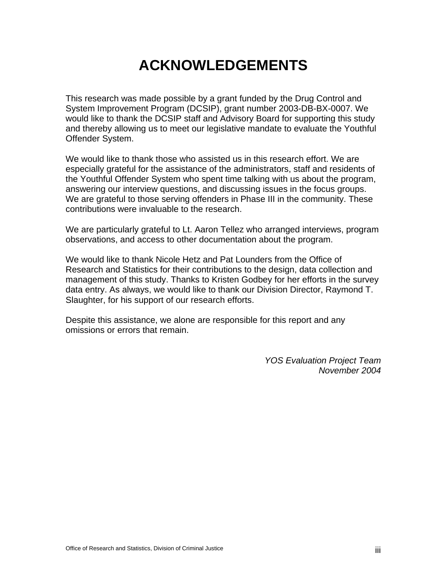# **ACKNOWLEDGEMENTS**

This research was made possible by a grant funded by the Drug Control and System Improvement Program (DCSIP), grant number 2003-DB-BX-0007. We would like to thank the DCSIP staff and Advisory Board for supporting this study and thereby allowing us to meet our legislative mandate to evaluate the Youthful Offender System.

We would like to thank those who assisted us in this research effort. We are especially grateful for the assistance of the administrators, staff and residents of the Youthful Offender System who spent time talking with us about the program, answering our interview questions, and discussing issues in the focus groups. We are grateful to those serving offenders in Phase III in the community. These contributions were invaluable to the research.

We are particularly grateful to Lt. Aaron Tellez who arranged interviews, program observations, and access to other documentation about the program.

We would like to thank Nicole Hetz and Pat Lounders from the Office of Research and Statistics for their contributions to the design, data collection and management of this study. Thanks to Kristen Godbey for her efforts in the survey data entry. As always, we would like to thank our Division Director, Raymond T. Slaughter, for his support of our research efforts.

Despite this assistance, we alone are responsible for this report and any omissions or errors that remain.

> *YOS Evaluation Project Team November 2004*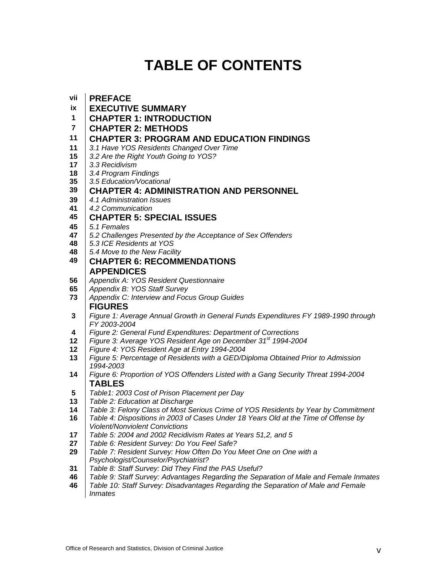# **TABLE OF CONTENTS**

| vii                     | <b>PREFACE</b>                                                                                                               |  |  |  |  |  |  |
|-------------------------|------------------------------------------------------------------------------------------------------------------------------|--|--|--|--|--|--|
| ix                      | <b>EXECUTIVE SUMMARY</b>                                                                                                     |  |  |  |  |  |  |
| 1                       | <b>CHAPTER 1: INTRODUCTION</b>                                                                                               |  |  |  |  |  |  |
| $\overline{\mathbf{r}}$ | <b>CHAPTER 2: METHODS</b>                                                                                                    |  |  |  |  |  |  |
| 11                      | <b>CHAPTER 3: PROGRAM AND EDUCATION FINDINGS</b>                                                                             |  |  |  |  |  |  |
| 11                      | 3.1 Have YOS Residents Changed Over Time                                                                                     |  |  |  |  |  |  |
| 15                      | 3.2 Are the Right Youth Going to YOS?                                                                                        |  |  |  |  |  |  |
| 17                      | 3.3 Recidivism                                                                                                               |  |  |  |  |  |  |
| 18                      | 3.4 Program Findings                                                                                                         |  |  |  |  |  |  |
| 35                      | 3.5 Education/Vocational                                                                                                     |  |  |  |  |  |  |
| 39                      | <b>CHAPTER 4: ADMINISTRATION AND PERSONNEL</b>                                                                               |  |  |  |  |  |  |
| 39                      | 4.1 Administration Issues                                                                                                    |  |  |  |  |  |  |
| 41                      | 4.2 Communication                                                                                                            |  |  |  |  |  |  |
| 45                      | <b>CHAPTER 5: SPECIAL ISSUES</b>                                                                                             |  |  |  |  |  |  |
| 45                      | 5.1 Females                                                                                                                  |  |  |  |  |  |  |
| 47                      | 5.2 Challenges Presented by the Acceptance of Sex Offenders                                                                  |  |  |  |  |  |  |
| 48                      | 5.3 ICE Residents at YOS                                                                                                     |  |  |  |  |  |  |
| 48                      | 5.4 Move to the New Facility                                                                                                 |  |  |  |  |  |  |
| 49                      | <b>CHAPTER 6: RECOMMENDATIONS</b>                                                                                            |  |  |  |  |  |  |
|                         | <b>APPENDICES</b>                                                                                                            |  |  |  |  |  |  |
| 56                      | Appendix A: YOS Resident Questionnaire                                                                                       |  |  |  |  |  |  |
| 65                      | Appendix B: YOS Staff Survey                                                                                                 |  |  |  |  |  |  |
| 73                      | Appendix C: Interview and Focus Group Guides                                                                                 |  |  |  |  |  |  |
|                         | <b>FIGURES</b>                                                                                                               |  |  |  |  |  |  |
| 3                       | Figure 1: Average Annual Growth in General Funds Expenditures FY 1989-1990 through<br>FY 2003-2004                           |  |  |  |  |  |  |
| 4                       | Figure 2: General Fund Expenditures: Department of Corrections                                                               |  |  |  |  |  |  |
| 12                      | Figure 3: Average YOS Resident Age on December 31 <sup>st</sup> 1994-2004                                                    |  |  |  |  |  |  |
| 12                      | Figure 4: YOS Resident Age at Entry 1994-2004                                                                                |  |  |  |  |  |  |
| 13                      | Figure 5: Percentage of Residents with a GED/Diploma Obtained Prior to Admission                                             |  |  |  |  |  |  |
|                         | 1994-2003                                                                                                                    |  |  |  |  |  |  |
| 14                      | Figure 6: Proportion of YOS Offenders Listed with a Gang Security Threat 1994-2004                                           |  |  |  |  |  |  |
|                         | <b>TABLES</b>                                                                                                                |  |  |  |  |  |  |
| 5                       | Table1: 2003 Cost of Prison Placement per Day                                                                                |  |  |  |  |  |  |
| 13                      | Table 2: Education at Discharge                                                                                              |  |  |  |  |  |  |
| 14                      | Table 3: Felony Class of Most Serious Crime of YOS Residents by Year by Commitment                                           |  |  |  |  |  |  |
| 16                      | Table 4: Dispositions in 2003 of Cases Under 18 Years Old at the Time of Offense by<br><b>Violent/Nonviolent Convictions</b> |  |  |  |  |  |  |
| 17                      | Table 5: 2004 and 2002 Recidivism Rates at Years 51,2, and 5                                                                 |  |  |  |  |  |  |
| 27                      | Table 6: Resident Survey: Do You Feel Safe?                                                                                  |  |  |  |  |  |  |
| 29                      | Table 7: Resident Survey: How Often Do You Meet One on One with a                                                            |  |  |  |  |  |  |
|                         | Psychologist/Counselor/Psychiatrist?                                                                                         |  |  |  |  |  |  |
| 94                      | Toble 8: Stoff Supraw Did Thoy Eind the DAS Llooful?                                                                         |  |  |  |  |  |  |

- *Table 8: Staff Survey: Did They Find the PAS Useful?*
- *Table 9: Staff Survey: Advantages Regarding the Separation of Male and Female Inmates*
- *Table 10: Staff Survey: Disadvantages Regarding the Separation of Male and Female Inmates*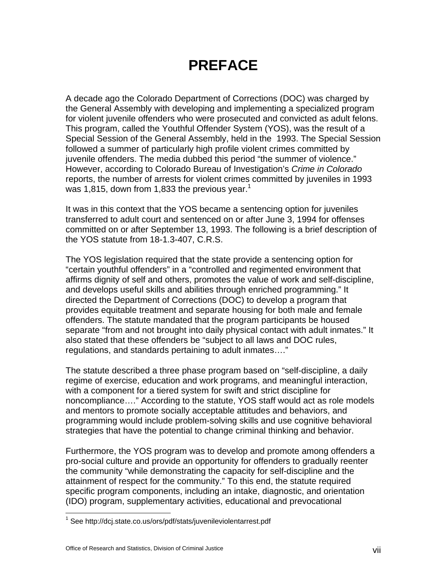# **PREFACE**

A decade ago the Colorado Department of Corrections (DOC) was charged by the General Assembly with developing and implementing a specialized program for violent juvenile offenders who were prosecuted and convicted as adult felons. This program, called the Youthful Offender System (YOS), was the result of a Special Session of the General Assembly, held in the 1993. The Special Session followed a summer of particularly high profile violent crimes committed by juvenile offenders. The media dubbed this period "the summer of violence." However, according to Colorado Bureau of Investigation's *Crime in Colorado*  reports, the number of arrests for violent crimes committed by juveniles in 1993 was 1,815, down from 1,833 the previous year.<sup>1</sup>

It was in this context that the YOS became a sentencing option for juveniles transferred to adult court and sentenced on or after June 3, 1994 for offenses committed on or after September 13, 1993. The following is a brief description of the YOS statute from 18-1.3-407, C.R.S.

The YOS legislation required that the state provide a sentencing option for "certain youthful offenders" in a "controlled and regimented environment that affirms dignity of self and others, promotes the value of work and self-discipline, and develops useful skills and abilities through enriched programming." It directed the Department of Corrections (DOC) to develop a program that provides equitable treatment and separate housing for both male and female offenders. The statute mandated that the program participants be housed separate "from and not brought into daily physical contact with adult inmates." It also stated that these offenders be "subject to all laws and DOC rules, regulations, and standards pertaining to adult inmates…."

The statute described a three phase program based on "self-discipline, a daily regime of exercise, education and work programs, and meaningful interaction, with a component for a tiered system for swift and strict discipline for noncompliance…." According to the statute, YOS staff would act as role models and mentors to promote socially acceptable attitudes and behaviors, and programming would include problem-solving skills and use cognitive behavioral strategies that have the potential to change criminal thinking and behavior.

Furthermore, the YOS program was to develop and promote among offenders a pro-social culture and provide an opportunity for offenders to gradually reenter the community "while demonstrating the capacity for self-discipline and the attainment of respect for the community." To this end, the statute required specific program components, including an intake, diagnostic, and orientation (IDO) program, supplementary activities, educational and prevocational

 $\overline{a}$ 

<sup>&</sup>lt;sup>1</sup> See http://dcj.state.co.us/ors/pdf/stats/juvenileviolentarrest.pdf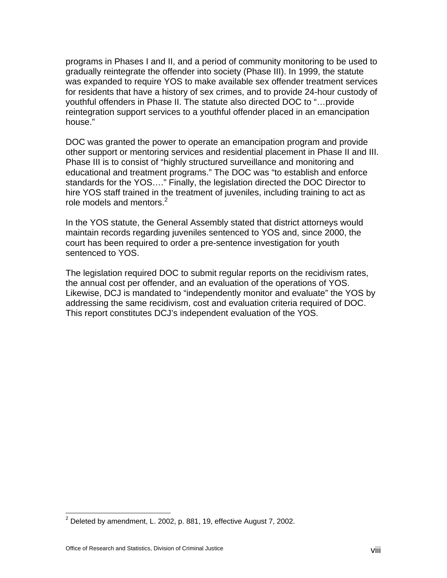programs in Phases I and II, and a period of community monitoring to be used to gradually reintegrate the offender into society (Phase III). In 1999, the statute was expanded to require YOS to make available sex offender treatment services for residents that have a history of sex crimes, and to provide 24-hour custody of youthful offenders in Phase II. The statute also directed DOC to "…provide reintegration support services to a youthful offender placed in an emancipation house."

DOC was granted the power to operate an emancipation program and provide other support or mentoring services and residential placement in Phase II and III. Phase III is to consist of "highly structured surveillance and monitoring and educational and treatment programs." The DOC was "to establish and enforce standards for the YOS…." Finally, the legislation directed the DOC Director to hire YOS staff trained in the treatment of juveniles, including training to act as role models and mentors. $2$ 

In the YOS statute, the General Assembly stated that district attorneys would maintain records regarding juveniles sentenced to YOS and, since 2000, the court has been required to order a pre-sentence investigation for youth sentenced to YOS.

The legislation required DOC to submit regular reports on the recidivism rates, the annual cost per offender, and an evaluation of the operations of YOS. Likewise, DCJ is mandated to "independently monitor and evaluate" the YOS by addressing the same recidivism, cost and evaluation criteria required of DOC. This report constitutes DCJ's independent evaluation of the YOS.

1

 $2$  Deleted by amendment, L. 2002, p. 881, 19, effective August 7, 2002.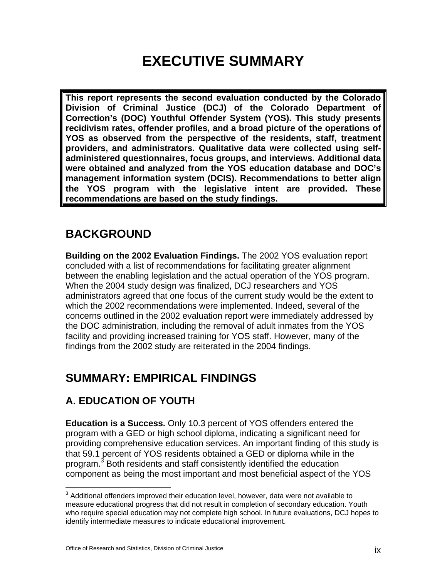# **EXECUTIVE SUMMARY**

**This report represents the second evaluation conducted by the Colorado Division of Criminal Justice (DCJ) of the Colorado Department of Correction's (DOC) Youthful Offender System (YOS). This study presents recidivism rates, offender profiles, and a broad picture of the operations of YOS as observed from the perspective of the residents, staff, treatment providers, and administrators. Qualitative data were collected using selfadministered questionnaires, focus groups, and interviews. Additional data were obtained and analyzed from the YOS education database and DOC's management information system (DCIS). Recommendations to better align the YOS program with the legislative intent are provided. These recommendations are based on the study findings.**

### **BACKGROUND**

**Building on the 2002 Evaluation Findings.** The 2002 YOS evaluation report concluded with a list of recommendations for facilitating greater alignment between the enabling legislation and the actual operation of the YOS program. When the 2004 study design was finalized, DCJ researchers and YOS administrators agreed that one focus of the current study would be the extent to which the 2002 recommendations were implemented. Indeed, several of the concerns outlined in the 2002 evaluation report were immediately addressed by the DOC administration, including the removal of adult inmates from the YOS facility and providing increased training for YOS staff. However, many of the findings from the 2002 study are reiterated in the 2004 findings.

# **SUMMARY: EMPIRICAL FINDINGS**

### **A. EDUCATION OF YOUTH**

**Education is a Success.** Only 10.3 percent of YOS offenders entered the program with a GED or high school diploma, indicating a significant need for providing comprehensive education services. An important finding of this study is that 59.1 percent of YOS residents obtained a GED or diploma while in the program.<sup>3</sup> Both residents and staff consistently identified the education component as being the most important and most beneficial aspect of the YOS

 3 Additional offenders improved their education level, however, data were not available to measure educational progress that did not result in completion of secondary education. Youth who require special education may not complete high school. In future evaluations, DCJ hopes to identify intermediate measures to indicate educational improvement.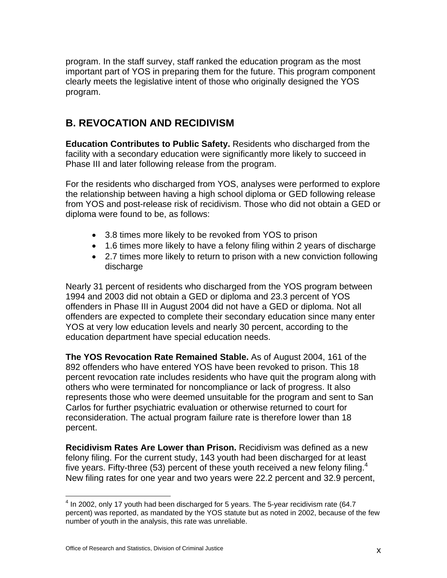program. In the staff survey, staff ranked the education program as the most important part of YOS in preparing them for the future. This program component clearly meets the legislative intent of those who originally designed the YOS program.

#### **B. REVOCATION AND RECIDIVISM**

**Education Contributes to Public Safety.** Residents who discharged from the facility with a secondary education were significantly more likely to succeed in Phase III and later following release from the program.

For the residents who discharged from YOS, analyses were performed to explore the relationship between having a high school diploma or GED following release from YOS and post-release risk of recidivism. Those who did not obtain a GED or diploma were found to be, as follows:

- 3.8 times more likely to be revoked from YOS to prison
- 1.6 times more likely to have a felony filing within 2 years of discharge
- 2.7 times more likely to return to prison with a new conviction following discharge

Nearly 31 percent of residents who discharged from the YOS program between 1994 and 2003 did not obtain a GED or diploma and 23.3 percent of YOS offenders in Phase III in August 2004 did not have a GED or diploma. Not all offenders are expected to complete their secondary education since many enter YOS at very low education levels and nearly 30 percent, according to the education department have special education needs.

**The YOS Revocation Rate Remained Stable.** As of August 2004, 161 of the 892 offenders who have entered YOS have been revoked to prison. This 18 percent revocation rate includes residents who have quit the program along with others who were terminated for noncompliance or lack of progress. It also represents those who were deemed unsuitable for the program and sent to San Carlos for further psychiatric evaluation or otherwise returned to court for reconsideration. The actual program failure rate is therefore lower than 18 percent.

**Recidivism Rates Are Lower than Prison.** Recidivism was defined as a new felony filing. For the current study, 143 youth had been discharged for at least five years. Fifty-three (53) percent of these youth received a new felony filing.<sup>4</sup> New filing rates for one year and two years were 22.2 percent and 32.9 percent,

<sup>1</sup>  $<sup>4</sup>$  In 2002, only 17 youth had been discharged for 5 years. The 5-year recidivism rate (64.7</sup> percent) was reported, as mandated by the YOS statute but as noted in 2002, because of the few number of youth in the analysis, this rate was unreliable.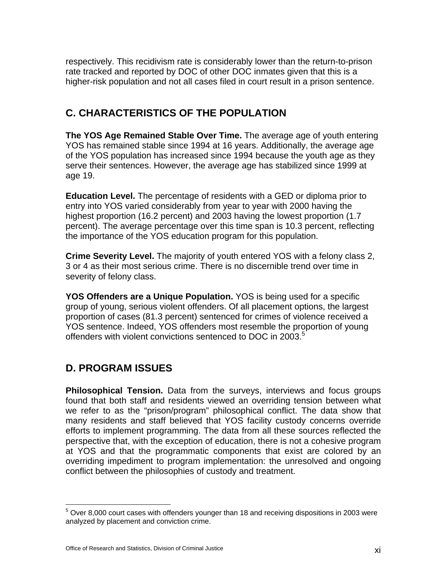respectively. This recidivism rate is considerably lower than the return-to-prison rate tracked and reported by DOC of other DOC inmates given that this is a higher-risk population and not all cases filed in court result in a prison sentence.

#### **C. CHARACTERISTICS OF THE POPULATION**

**The YOS Age Remained Stable Over Time.** The average age of youth entering YOS has remained stable since 1994 at 16 years. Additionally, the average age of the YOS population has increased since 1994 because the youth age as they serve their sentences. However, the average age has stabilized since 1999 at age 19.

**Education Level.** The percentage of residents with a GED or diploma prior to entry into YOS varied considerably from year to year with 2000 having the highest proportion (16.2 percent) and 2003 having the lowest proportion (1.7 percent). The average percentage over this time span is 10.3 percent, reflecting the importance of the YOS education program for this population.

**Crime Severity Level.** The majority of youth entered YOS with a felony class 2, 3 or 4 as their most serious crime. There is no discernible trend over time in severity of felony class.

**YOS Offenders are a Unique Population.** YOS is being used for a specific group of young, serious violent offenders. Of all placement options, the largest proportion of cases (81.3 percent) sentenced for crimes of violence received a YOS sentence. Indeed, YOS offenders most resemble the proportion of young offenders with violent convictions sentenced to DOC in 2003.<sup>5</sup>

#### **D. PROGRAM ISSUES**

**Philosophical Tension.** Data from the surveys, interviews and focus groups found that both staff and residents viewed an overriding tension between what we refer to as the "prison/program" philosophical conflict. The data show that many residents and staff believed that YOS facility custody concerns override efforts to implement programming. The data from all these sources reflected the perspective that, with the exception of education, there is not a cohesive program at YOS and that the programmatic components that exist are colored by an overriding impediment to program implementation: the unresolved and ongoing conflict between the philosophies of custody and treatment.

 5 Over 8,000 court cases with offenders younger than 18 and receiving dispositions in 2003 were analyzed by placement and conviction crime.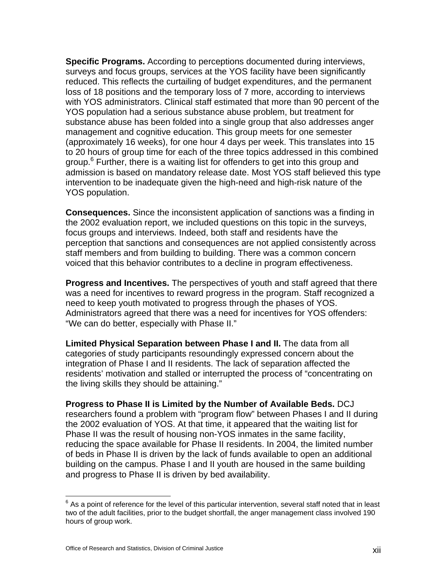**Specific Programs.** According to perceptions documented during interviews, surveys and focus groups, services at the YOS facility have been significantly reduced. This reflects the curtailing of budget expenditures, and the permanent loss of 18 positions and the temporary loss of 7 more, according to interviews with YOS administrators. Clinical staff estimated that more than 90 percent of the YOS population had a serious substance abuse problem, but treatment for substance abuse has been folded into a single group that also addresses anger management and cognitive education. This group meets for one semester (approximately 16 weeks), for one hour 4 days per week. This translates into 15 to 20 hours of group time for each of the three topics addressed in this combined group.<sup>6</sup> Further, there is a waiting list for offenders to get into this group and admission is based on mandatory release date. Most YOS staff believed this type intervention to be inadequate given the high-need and high-risk nature of the YOS population.

**Consequences.** Since the inconsistent application of sanctions was a finding in the 2002 evaluation report, we included questions on this topic in the surveys, focus groups and interviews. Indeed, both staff and residents have the perception that sanctions and consequences are not applied consistently across staff members and from building to building. There was a common concern voiced that this behavior contributes to a decline in program effectiveness.

**Progress and Incentives.** The perspectives of youth and staff agreed that there was a need for incentives to reward progress in the program. Staff recognized a need to keep youth motivated to progress through the phases of YOS. Administrators agreed that there was a need for incentives for YOS offenders: "We can do better, especially with Phase II."

**Limited Physical Separation between Phase I and II.** The data from all categories of study participants resoundingly expressed concern about the integration of Phase I and II residents. The lack of separation affected the residents' motivation and stalled or interrupted the process of "concentrating on the living skills they should be attaining."

**Progress to Phase II is Limited by the Number of Available Beds.** DCJ researchers found a problem with "program flow" between Phases I and II during the 2002 evaluation of YOS. At that time, it appeared that the waiting list for Phase II was the result of housing non-YOS inmates in the same facility, reducing the space available for Phase II residents. In 2004, the limited number of beds in Phase II is driven by the lack of funds available to open an additional building on the campus. Phase I and II youth are housed in the same building and progress to Phase II is driven by bed availability.

 $\overline{a}$ 

 $^6$  As a point of reference for the level of this particular intervention, several staff noted that in least two of the adult facilities, prior to the budget shortfall, the anger management class involved 190 hours of group work.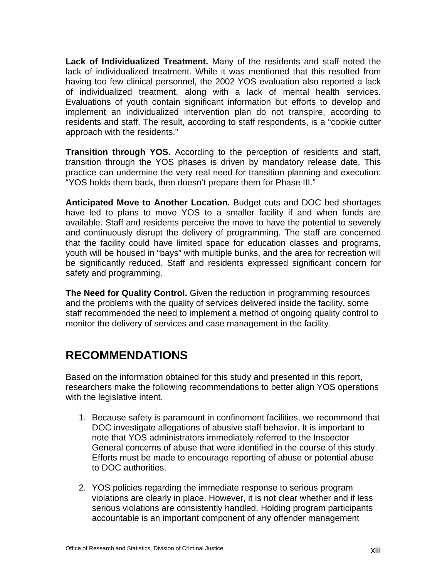**Lack of Individualized Treatment.** Many of the residents and staff noted the lack of individualized treatment. While it was mentioned that this resulted from having too few clinical personnel, the 2002 YOS evaluation also reported a lack of individualized treatment, along with a lack of mental health services. Evaluations of youth contain significant information but efforts to develop and implement an individualized intervention plan do not transpire, according to residents and staff. The result, according to staff respondents, is a "cookie cutter approach with the residents."

**Transition through YOS.** According to the perception of residents and staff, transition through the YOS phases is driven by mandatory release date. This practice can undermine the very real need for transition planning and execution: "YOS holds them back, then doesn't prepare them for Phase III."

**Anticipated Move to Another Location.** Budget cuts and DOC bed shortages have led to plans to move YOS to a smaller facility if and when funds are available. Staff and residents perceive the move to have the potential to severely and continuously disrupt the delivery of programming. The staff are concerned that the facility could have limited space for education classes and programs, youth will be housed in "bays" with multiple bunks, and the area for recreation will be significantly reduced. Staff and residents expressed significant concern for safety and programming.

**The Need for Quality Control.** Given the reduction in programming resources and the problems with the quality of services delivered inside the facility, some staff recommended the need to implement a method of ongoing quality control to monitor the delivery of services and case management in the facility.

### **RECOMMENDATIONS**

Based on the information obtained for this study and presented in this report, researchers make the following recommendations to better align YOS operations with the legislative intent.

- 1. Because safety is paramount in confinement facilities, we recommend that DOC investigate allegations of abusive staff behavior. It is important to note that YOS administrators immediately referred to the Inspector General concerns of abuse that were identified in the course of this study. Efforts must be made to encourage reporting of abuse or potential abuse to DOC authorities.
- 2. YOS policies regarding the immediate response to serious program violations are clearly in place. However, it is not clear whether and if less serious violations are consistently handled. Holding program participants accountable is an important component of any offender management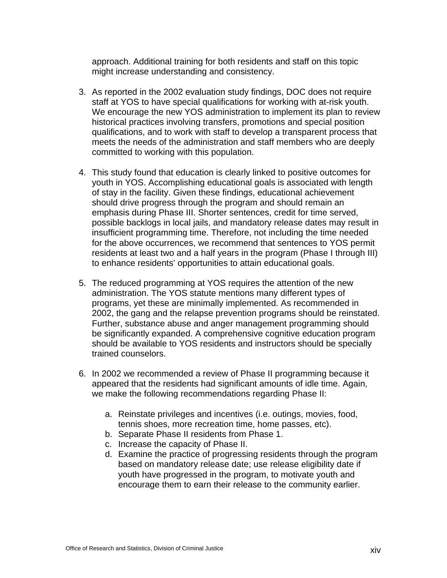approach. Additional training for both residents and staff on this topic might increase understanding and consistency.

- 3. As reported in the 2002 evaluation study findings, DOC does not require staff at YOS to have special qualifications for working with at-risk youth. We encourage the new YOS administration to implement its plan to review historical practices involving transfers, promotions and special position qualifications, and to work with staff to develop a transparent process that meets the needs of the administration and staff members who are deeply committed to working with this population.
- 4. This study found that education is clearly linked to positive outcomes for youth in YOS. Accomplishing educational goals is associated with length of stay in the facility. Given these findings, educational achievement should drive progress through the program and should remain an emphasis during Phase III. Shorter sentences, credit for time served, possible backlogs in local jails, and mandatory release dates may result in insufficient programming time. Therefore, not including the time needed for the above occurrences, we recommend that sentences to YOS permit residents at least two and a half years in the program (Phase I through III) to enhance residents' opportunities to attain educational goals.
- 5. The reduced programming at YOS requires the attention of the new administration. The YOS statute mentions many different types of programs, yet these are minimally implemented. As recommended in 2002, the gang and the relapse prevention programs should be reinstated. Further, substance abuse and anger management programming should be significantly expanded. A comprehensive cognitive education program should be available to YOS residents and instructors should be specially trained counselors.
- 6. In 2002 we recommended a review of Phase II programming because it appeared that the residents had significant amounts of idle time. Again, we make the following recommendations regarding Phase II:
	- a. Reinstate privileges and incentives (i.e. outings, movies, food, tennis shoes, more recreation time, home passes, etc).
	- b. Separate Phase II residents from Phase 1.
	- c. Increase the capacity of Phase II.
	- d. Examine the practice of progressing residents through the program based on mandatory release date; use release eligibility date if youth have progressed in the program, to motivate youth and encourage them to earn their release to the community earlier.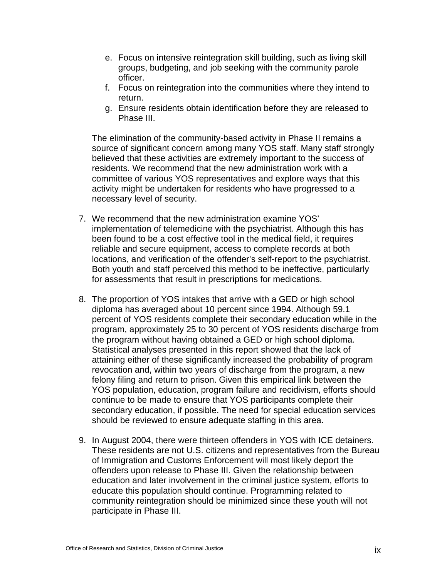- e. Focus on intensive reintegration skill building, such as living skill groups, budgeting, and job seeking with the community parole officer.
- f. Focus on reintegration into the communities where they intend to return.
- g. Ensure residents obtain identification before they are released to Phase III.

The elimination of the community-based activity in Phase II remains a source of significant concern among many YOS staff. Many staff strongly believed that these activities are extremely important to the success of residents. We recommend that the new administration work with a committee of various YOS representatives and explore ways that this activity might be undertaken for residents who have progressed to a necessary level of security.

- 7. We recommend that the new administration examine YOS' implementation of telemedicine with the psychiatrist. Although this has been found to be a cost effective tool in the medical field, it requires reliable and secure equipment, access to complete records at both locations, and verification of the offender's self-report to the psychiatrist. Both youth and staff perceived this method to be ineffective, particularly for assessments that result in prescriptions for medications.
- 8. The proportion of YOS intakes that arrive with a GED or high school diploma has averaged about 10 percent since 1994. Although 59.1 percent of YOS residents complete their secondary education while in the program, approximately 25 to 30 percent of YOS residents discharge from the program without having obtained a GED or high school diploma. Statistical analyses presented in this report showed that the lack of attaining either of these significantly increased the probability of program revocation and, within two years of discharge from the program, a new felony filing and return to prison. Given this empirical link between the YOS population, education, program failure and recidivism, efforts should continue to be made to ensure that YOS participants complete their secondary education, if possible. The need for special education services should be reviewed to ensure adequate staffing in this area.
- 9. In August 2004, there were thirteen offenders in YOS with ICE detainers. These residents are not U.S. citizens and representatives from the Bureau of Immigration and Customs Enforcement will most likely deport the offenders upon release to Phase III. Given the relationship between education and later involvement in the criminal justice system, efforts to educate this population should continue. Programming related to community reintegration should be minimized since these youth will not participate in Phase III.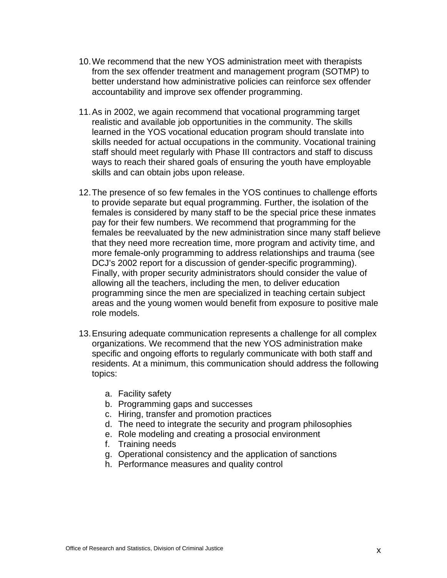- 10. We recommend that the new YOS administration meet with therapists from the sex offender treatment and management program (SOTMP) to better understand how administrative policies can reinforce sex offender accountability and improve sex offender programming.
- 11. As in 2002, we again recommend that vocational programming target realistic and available job opportunities in the community. The skills learned in the YOS vocational education program should translate into skills needed for actual occupations in the community. Vocational training staff should meet regularly with Phase III contractors and staff to discuss ways to reach their shared goals of ensuring the youth have employable skills and can obtain jobs upon release.
- 12. The presence of so few females in the YOS continues to challenge efforts to provide separate but equal programming. Further, the isolation of the females is considered by many staff to be the special price these inmates pay for their few numbers. We recommend that programming for the females be reevaluated by the new administration since many staff believe that they need more recreation time, more program and activity time, and more female-only programming to address relationships and trauma (see DCJ's 2002 report for a discussion of gender-specific programming). Finally, with proper security administrators should consider the value of allowing all the teachers, including the men, to deliver education programming since the men are specialized in teaching certain subject areas and the young women would benefit from exposure to positive male role models.
- 13. Ensuring adequate communication represents a challenge for all complex organizations. We recommend that the new YOS administration make specific and ongoing efforts to regularly communicate with both staff and residents. At a minimum, this communication should address the following topics:
	- a. Facility safety
	- b. Programming gaps and successes
	- c. Hiring, transfer and promotion practices
	- d. The need to integrate the security and program philosophies
	- e. Role modeling and creating a prosocial environment
	- f. Training needs
	- g. Operational consistency and the application of sanctions
	- h. Performance measures and quality control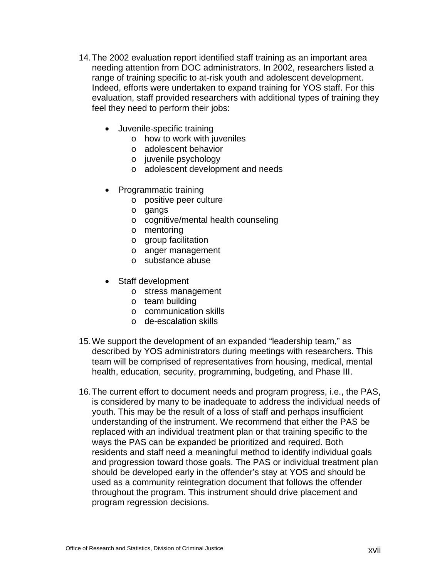- 14. The 2002 evaluation report identified staff training as an important area needing attention from DOC administrators. In 2002, researchers listed a range of training specific to at-risk youth and adolescent development. Indeed, efforts were undertaken to expand training for YOS staff. For this evaluation, staff provided researchers with additional types of training they feel they need to perform their jobs:
	- Juvenile-specific training
		- o how to work with juveniles
		- o adolescent behavior
		- o juvenile psychology
		- o adolescent development and needs
	- Programmatic training
		- o positive peer culture
		- o gangs
		- o cognitive/mental health counseling
		- o mentoring
		- o group facilitation
		- o anger management
		- o substance abuse
	- Staff development
		- o stress management
		- o team building
		- o communication skills
		- o de-escalation skills
- 15. We support the development of an expanded "leadership team," as described by YOS administrators during meetings with researchers. This team will be comprised of representatives from housing, medical, mental health, education, security, programming, budgeting, and Phase III.
- 16. The current effort to document needs and program progress, i.e., the PAS, is considered by many to be inadequate to address the individual needs of youth. This may be the result of a loss of staff and perhaps insufficient understanding of the instrument. We recommend that either the PAS be replaced with an individual treatment plan or that training specific to the ways the PAS can be expanded be prioritized and required. Both residents and staff need a meaningful method to identify individual goals and progression toward those goals. The PAS or individual treatment plan should be developed early in the offender's stay at YOS and should be used as a community reintegration document that follows the offender throughout the program. This instrument should drive placement and program regression decisions.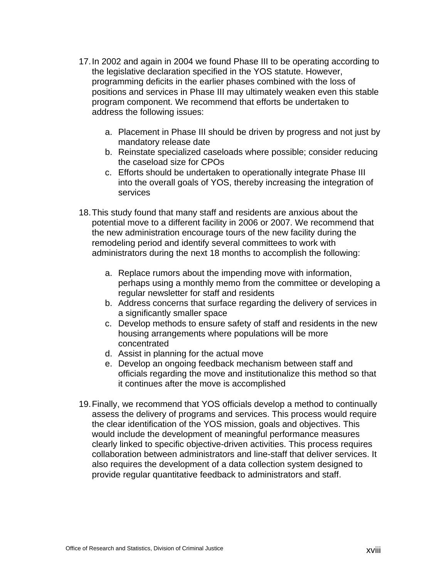- 17. In 2002 and again in 2004 we found Phase III to be operating according to the legislative declaration specified in the YOS statute. However, programming deficits in the earlier phases combined with the loss of positions and services in Phase III may ultimately weaken even this stable program component. We recommend that efforts be undertaken to address the following issues:
	- a. Placement in Phase III should be driven by progress and not just by mandatory release date
	- b. Reinstate specialized caseloads where possible; consider reducing the caseload size for CPOs
	- c. Efforts should be undertaken to operationally integrate Phase III into the overall goals of YOS, thereby increasing the integration of services
- 18. This study found that many staff and residents are anxious about the potential move to a different facility in 2006 or 2007. We recommend that the new administration encourage tours of the new facility during the remodeling period and identify several committees to work with administrators during the next 18 months to accomplish the following:
	- a. Replace rumors about the impending move with information, perhaps using a monthly memo from the committee or developing a regular newsletter for staff and residents
	- b. Address concerns that surface regarding the delivery of services in a significantly smaller space
	- c. Develop methods to ensure safety of staff and residents in the new housing arrangements where populations will be more concentrated
	- d. Assist in planning for the actual move
	- e. Develop an ongoing feedback mechanism between staff and officials regarding the move and institutionalize this method so that it continues after the move is accomplished
- 19. Finally, we recommend that YOS officials develop a method to continually assess the delivery of programs and services. This process would require the clear identification of the YOS mission, goals and objectives. This would include the development of meaningful performance measures clearly linked to specific objective-driven activities. This process requires collaboration between administrators and line-staff that deliver services. It also requires the development of a data collection system designed to provide regular quantitative feedback to administrators and staff.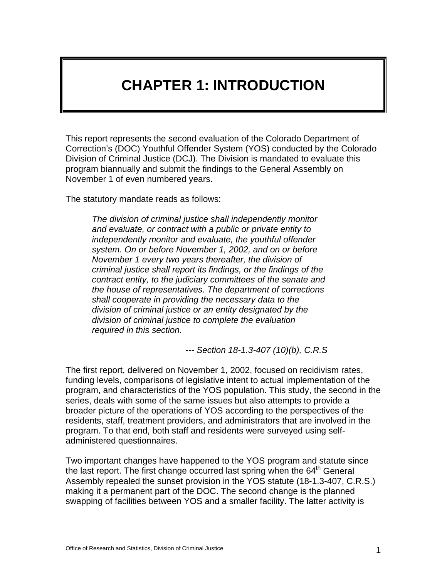# **CHAPTER 1: INTRODUCTION**

This report represents the second evaluation of the Colorado Department of Correction's (DOC) Youthful Offender System (YOS) conducted by the Colorado Division of Criminal Justice (DCJ). The Division is mandated to evaluate this program biannually and submit the findings to the General Assembly on November 1 of even numbered years.

The statutory mandate reads as follows:

*The division of criminal justice shall independently monitor and evaluate, or contract with a public or private entity to independently monitor and evaluate, the youthful offender system. On or before November 1, 2002, and on or before November 1 every two years thereafter, the division of criminal justice shall report its findings, or the findings of the contract entity, to the judiciary committees of the senate and the house of representatives. The department of corrections shall cooperate in providing the necessary data to the division of criminal justice or an entity designated by the division of criminal justice to complete the evaluation required in this section.* 

 *--- Section 18-1.3-407 (10)(b), C.R.S* 

The first report, delivered on November 1, 2002, focused on recidivism rates, funding levels, comparisons of legislative intent to actual implementation of the program, and characteristics of the YOS population. This study, the second in the series, deals with some of the same issues but also attempts to provide a broader picture of the operations of YOS according to the perspectives of the residents, staff, treatment providers, and administrators that are involved in the program. To that end, both staff and residents were surveyed using selfadministered questionnaires.

Two important changes have happened to the YOS program and statute since the last report. The first change occurred last spring when the  $64<sup>th</sup>$  General Assembly repealed the sunset provision in the YOS statute (18-1.3-407, C.R.S.) making it a permanent part of the DOC. The second change is the planned swapping of facilities between YOS and a smaller facility. The latter activity is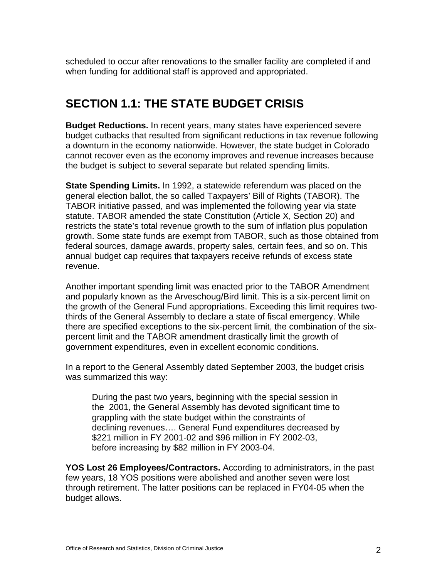scheduled to occur after renovations to the smaller facility are completed if and when funding for additional staff is approved and appropriated.

### **SECTION 1.1: THE STATE BUDGET CRISIS**

**Budget Reductions.** In recent years, many states have experienced severe budget cutbacks that resulted from significant reductions in tax revenue following a downturn in the economy nationwide. However, the state budget in Colorado cannot recover even as the economy improves and revenue increases because the budget is subject to several separate but related spending limits.

**State Spending Limits.** In 1992, a statewide referendum was placed on the general election ballot, the so called Taxpayers' Bill of Rights (TABOR). The TABOR initiative passed, and was implemented the following year via state statute. TABOR amended the state Constitution (Article X, Section 20) and restricts the state's total revenue growth to the sum of inflation plus population growth. Some state funds are exempt from TABOR, such as those obtained from federal sources, damage awards, property sales, certain fees, and so on. This annual budget cap requires that taxpayers receive refunds of excess state revenue.

Another important spending limit was enacted prior to the TABOR Amendment and popularly known as the Arveschoug/Bird limit. This is a six-percent limit on the growth of the General Fund appropriations. Exceeding this limit requires twothirds of the General Assembly to declare a state of fiscal emergency. While there are specified exceptions to the six-percent limit, the combination of the sixpercent limit and the TABOR amendment drastically limit the growth of government expenditures, even in excellent economic conditions.

In a report to the General Assembly dated September 2003, the budget crisis was summarized this way:

During the past two years, beginning with the special session in the 2001, the General Assembly has devoted significant time to grappling with the state budget within the constraints of declining revenues…. General Fund expenditures decreased by \$221 million in FY 2001-02 and \$96 million in FY 2002-03, before increasing by \$82 million in FY 2003-04.

**YOS Lost 26 Employees/Contractors.** According to administrators, in the past few years, 18 YOS positions were abolished and another seven were lost through retirement. The latter positions can be replaced in FY04-05 when the budget allows.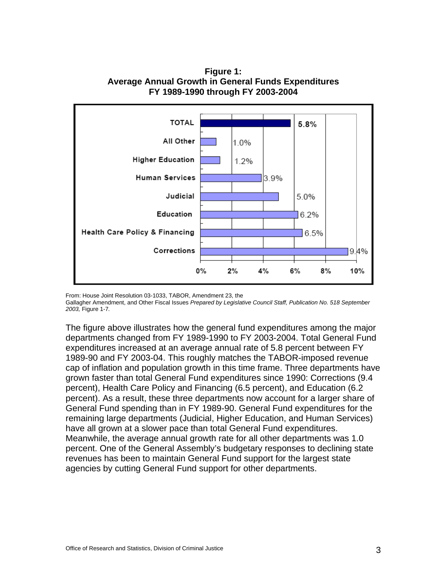

**Figure 1: Average Annual Growth in General Funds Expenditures FY 1989-1990 through FY 2003-2004** 

From: House Joint Resolution 03-1033, TABOR, Amendment 23, the Gallagher Amendment, and Other Fiscal Issues *Prepared by Legislative Council Staff, Publication No. 518 September 2003,* Figure 1-7*.*

The figure above illustrates how the general fund expenditures among the major departments changed from FY 1989-1990 to FY 2003-2004. Total General Fund expenditures increased at an average annual rate of 5.8 percent between FY 1989-90 and FY 2003-04. This roughly matches the TABOR-imposed revenue cap of inflation and population growth in this time frame. Three departments have grown faster than total General Fund expenditures since 1990: Corrections (9.4 percent), Health Care Policy and Financing (6.5 percent), and Education (6.2 percent). As a result, these three departments now account for a larger share of General Fund spending than in FY 1989-90. General Fund expenditures for the remaining large departments (Judicial, Higher Education, and Human Services) have all grown at a slower pace than total General Fund expenditures. Meanwhile, the average annual growth rate for all other departments was 1.0 percent. One of the General Assembly's budgetary responses to declining state revenues has been to maintain General Fund support for the largest state agencies by cutting General Fund support for other departments.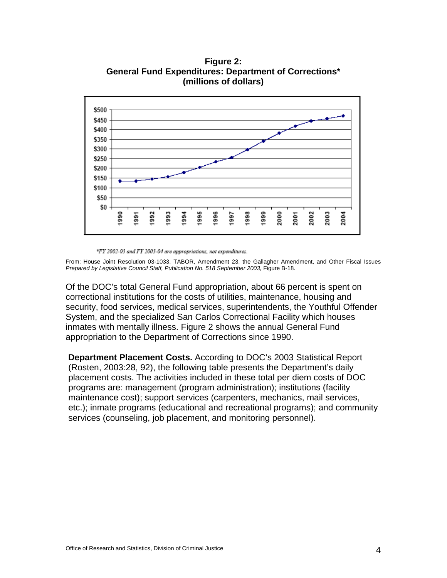**Figure 2: General Fund Expenditures: Department of Corrections\* (millions of dollars)** 



\*FY 2002-03 and FY 2003-04 are appropriations, not expenditures.

From: House Joint Resolution 03-1033, TABOR, Amendment 23, the Gallagher Amendment, and Other Fiscal Issues Prepared by Legislative Council Staff, Publication No. 518 September 2003, Figure B-18.

Of the DOC's total General Fund appropriation, about 66 percent is spent on correctional institutions for the costs of utilities, maintenance, housing and security, food services, medical services, superintendents, the Youthful Offender System, and the specialized San Carlos Correctional Facility which houses inmates with mentally illness. Figure 2 shows the annual General Fund appropriation to the Department of Corrections since 1990.

**Department Placement Costs.** According to DOC's 2003 Statistical Report (Rosten, 2003:28, 92), the following table presents the Department's daily placement costs. The activities included in these total per diem costs of DOC programs are: management (program administration); institutions (facility maintenance cost); support services (carpenters, mechanics, mail services, etc.); inmate programs (educational and recreational programs); and community services (counseling, job placement, and monitoring personnel).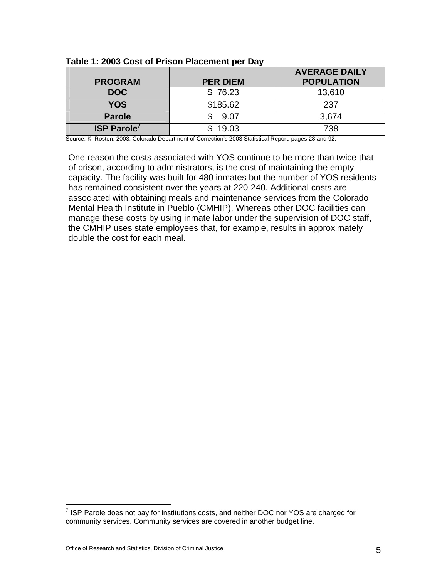| <b>PROGRAM</b>    | <b>PER DIEM</b> | <b>AVERAGE DAILY</b><br><b>POPULATION</b> |
|-------------------|-----------------|-------------------------------------------|
| <b>DOC</b>        | \$76.23         | 13,610                                    |
| <b>YOS</b>        | \$185.62        | 237                                       |
| <b>Parole</b>     | 9.07            | 3,674                                     |
| <b>ISP Parole</b> | 19.03           | 738                                       |

**Table 1: 2003 Cost of Prison Placement per Day** 

Source: K. Rosten. 2003. Colorado Department of Correction's 2003 Statistical Report, pages 28 and 92.

One reason the costs associated with YOS continue to be more than twice that of prison, according to administrators, is the cost of maintaining the empty capacity. The facility was built for 480 inmates but the number of YOS residents has remained consistent over the years at 220-240. Additional costs are associated with obtaining meals and maintenance services from the Colorado Mental Health Institute in Pueblo (CMHIP). Whereas other DOC facilities can manage these costs by using inmate labor under the supervision of DOC staff, the CMHIP uses state employees that, for example, results in approximately double the cost for each meal.

 7 ISP Parole does not pay for institutions costs, and neither DOC nor YOS are charged for community services. Community services are covered in another budget line.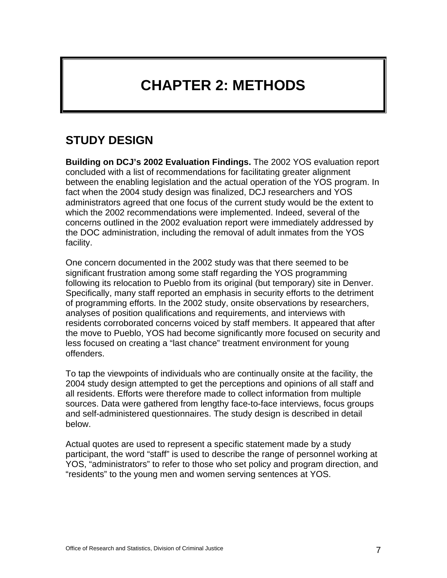# **CHAPTER 2: METHODS**

### **STUDY DESIGN**

**Building on DCJ's 2002 Evaluation Findings.** The 2002 YOS evaluation report concluded with a list of recommendations for facilitating greater alignment between the enabling legislation and the actual operation of the YOS program. In fact when the 2004 study design was finalized, DCJ researchers and YOS administrators agreed that one focus of the current study would be the extent to which the 2002 recommendations were implemented. Indeed, several of the concerns outlined in the 2002 evaluation report were immediately addressed by the DOC administration, including the removal of adult inmates from the YOS facility.

One concern documented in the 2002 study was that there seemed to be significant frustration among some staff regarding the YOS programming following its relocation to Pueblo from its original (but temporary) site in Denver. Specifically, many staff reported an emphasis in security efforts to the detriment of programming efforts. In the 2002 study, onsite observations by researchers, analyses of position qualifications and requirements, and interviews with residents corroborated concerns voiced by staff members. It appeared that after the move to Pueblo, YOS had become significantly more focused on security and less focused on creating a "last chance" treatment environment for young offenders.

To tap the viewpoints of individuals who are continually onsite at the facility, the 2004 study design attempted to get the perceptions and opinions of all staff and all residents. Efforts were therefore made to collect information from multiple sources. Data were gathered from lengthy face-to-face interviews, focus groups and self-administered questionnaires. The study design is described in detail below.

Actual quotes are used to represent a specific statement made by a study participant, the word "staff" is used to describe the range of personnel working at YOS, "administrators" to refer to those who set policy and program direction, and "residents" to the young men and women serving sentences at YOS.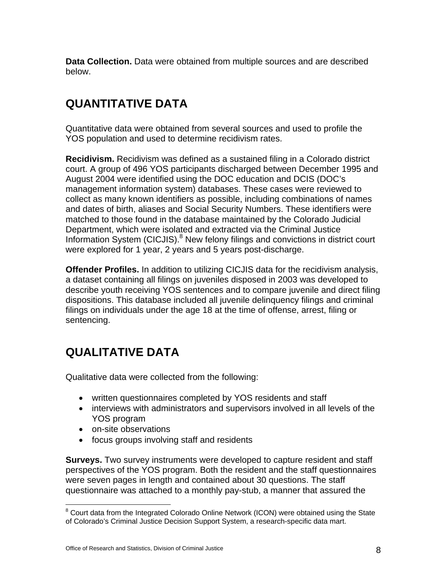**Data Collection.** Data were obtained from multiple sources and are described below.

### **QUANTITATIVE DATA**

Quantitative data were obtained from several sources and used to profile the YOS population and used to determine recidivism rates.

**Recidivism.** Recidivism was defined as a sustained filing in a Colorado district court. A group of 496 YOS participants discharged between December 1995 and August 2004 were identified using the DOC education and DCIS (DOC's management information system) databases. These cases were reviewed to collect as many known identifiers as possible, including combinations of names and dates of birth, aliases and Social Security Numbers. These identifiers were matched to those found in the database maintained by the Colorado Judicial Department, which were isolated and extracted via the Criminal Justice Information System (CICJIS).<sup>8</sup> New felony filings and convictions in district court were explored for 1 year, 2 years and 5 years post-discharge.

**Offender Profiles.** In addition to utilizing CICJIS data for the recidivism analysis, a dataset containing all filings on juveniles disposed in 2003 was developed to describe youth receiving YOS sentences and to compare juvenile and direct filing dispositions. This database included all juvenile delinquency filings and criminal filings on individuals under the age 18 at the time of offense, arrest, filing or sentencing.

# **QUALITATIVE DATA**

Qualitative data were collected from the following:

- written questionnaires completed by YOS residents and staff
- interviews with administrators and supervisors involved in all levels of the YOS program
- on-site observations
- focus groups involving staff and residents

**Surveys.** Two survey instruments were developed to capture resident and staff perspectives of the YOS program. Both the resident and the staff questionnaires were seven pages in length and contained about 30 questions. The staff questionnaire was attached to a monthly pay-stub, a manner that assured the

 8 Court data from the Integrated Colorado Online Network (ICON) were obtained using the State of Colorado's Criminal Justice Decision Support System, a research-specific data mart.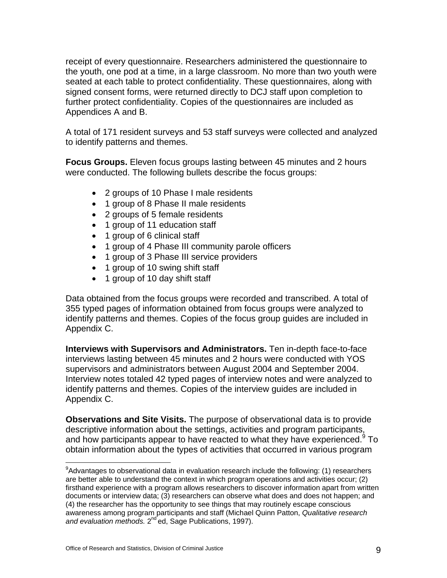receipt of every questionnaire. Researchers administered the questionnaire to the youth, one pod at a time, in a large classroom. No more than two youth were seated at each table to protect confidentiality. These questionnaires, along with signed consent forms, were returned directly to DCJ staff upon completion to further protect confidentiality. Copies of the questionnaires are included as Appendices A and B.

A total of 171 resident surveys and 53 staff surveys were collected and analyzed to identify patterns and themes.

**Focus Groups.** Eleven focus groups lasting between 45 minutes and 2 hours were conducted. The following bullets describe the focus groups:

- 2 groups of 10 Phase I male residents
- 1 group of 8 Phase II male residents
- 2 groups of 5 female residents
- 1 group of 11 education staff
- 1 group of 6 clinical staff
- 1 group of 4 Phase III community parole officers
- 1 group of 3 Phase III service providers
- 1 group of 10 swing shift staff
- 1 group of 10 day shift staff

Data obtained from the focus groups were recorded and transcribed. A total of 355 typed pages of information obtained from focus groups were analyzed to identify patterns and themes. Copies of the focus group guides are included in Appendix C.

**Interviews with Supervisors and Administrators.** Ten in-depth face-to-face interviews lasting between 45 minutes and 2 hours were conducted with YOS supervisors and administrators between August 2004 and September 2004. Interview notes totaled 42 typed pages of interview notes and were analyzed to identify patterns and themes. Copies of the interview guides are included in Appendix C.

**Observations and Site Visits.** The purpose of observational data is to provide descriptive information about the settings, activities and program participants, and how participants appear to have reacted to what they have experienced. $9$  To obtain information about the types of activities that occurred in various program

 $\overline{a}$ <sup>9</sup>Advantages to observational data in evaluation research include the following: (1) researchers are better able to understand the context in which program operations and activities occur; (2) firsthand experience with a program allows researchers to discover information apart from written documents or interview data; (3) researchers can observe what does and does not happen; and (4) the researcher has the opportunity to see things that may routinely escape conscious awareness among program participants and staff (Michael Quinn Patton, *Qualitative research*  and evaluation methods. 2<sup>nd</sup> ed, Sage Publications, 1997).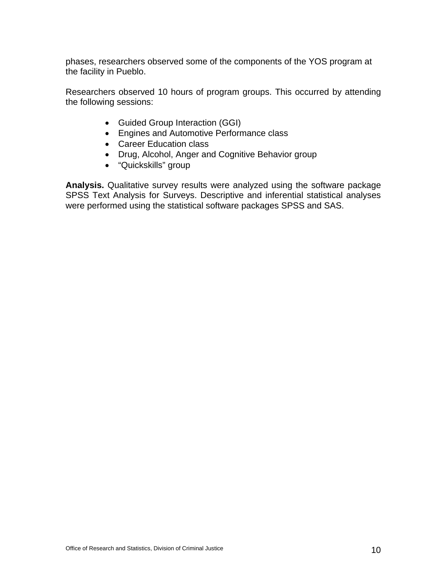phases, researchers observed some of the components of the YOS program at the facility in Pueblo.

Researchers observed 10 hours of program groups. This occurred by attending the following sessions:

- Guided Group Interaction (GGI)
- Engines and Automotive Performance class
- Career Education class
- Drug, Alcohol, Anger and Cognitive Behavior group
- "Quickskills" group

**Analysis.** Qualitative survey results were analyzed using the software package SPSS Text Analysis for Surveys. Descriptive and inferential statistical analyses were performed using the statistical software packages SPSS and SAS.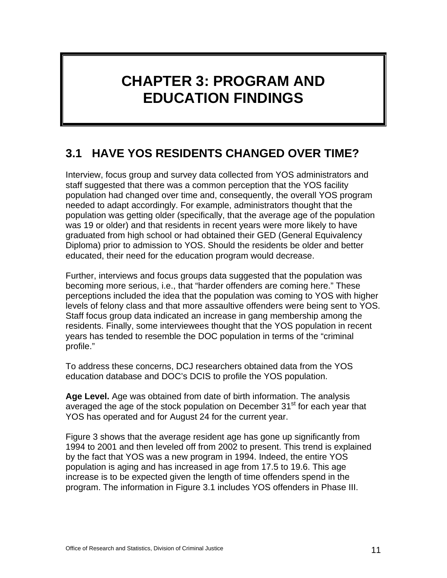# **CHAPTER 3: PROGRAM AND EDUCATION FINDINGS**

# **3.1 HAVE YOS RESIDENTS CHANGED OVER TIME?**

Interview, focus group and survey data collected from YOS administrators and staff suggested that there was a common perception that the YOS facility population had changed over time and, consequently, the overall YOS program needed to adapt accordingly. For example, administrators thought that the population was getting older (specifically, that the average age of the population was 19 or older) and that residents in recent years were more likely to have graduated from high school or had obtained their GED (General Equivalency Diploma) prior to admission to YOS. Should the residents be older and better educated, their need for the education program would decrease.

Further, interviews and focus groups data suggested that the population was becoming more serious, i.e., that "harder offenders are coming here." These perceptions included the idea that the population was coming to YOS with higher levels of felony class and that more assaultive offenders were being sent to YOS. Staff focus group data indicated an increase in gang membership among the residents. Finally, some interviewees thought that the YOS population in recent years has tended to resemble the DOC population in terms of the "criminal profile."

To address these concerns, DCJ researchers obtained data from the YOS education database and DOC's DCIS to profile the YOS population.

**Age Level.** Age was obtained from date of birth information. The analysis averaged the age of the stock population on December 31<sup>st</sup> for each vear that YOS has operated and for August 24 for the current year.

Figure 3 shows that the average resident age has gone up significantly from 1994 to 2001 and then leveled off from 2002 to present. This trend is explained by the fact that YOS was a new program in 1994. Indeed, the entire YOS population is aging and has increased in age from 17.5 to 19.6. This age increase is to be expected given the length of time offenders spend in the program. The information in Figure 3.1 includes YOS offenders in Phase III.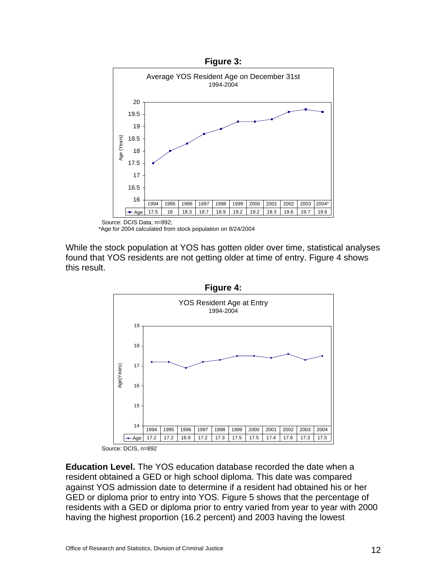

Source: DCIS Data, n=892; \*Age for 2004 calculated from stock population on 8/24/2004

While the stock population at YOS has gotten older over time, statistical analyses found that YOS residents are not getting older at time of entry. Figure 4 shows this result.



**Education Level.** The YOS education database recorded the date when a resident obtained a GED or high school diploma. This date was compared against YOS admission date to determine if a resident had obtained his or her GED or diploma prior to entry into YOS. Figure 5 shows that the percentage of residents with a GED or diploma prior to entry varied from year to year with 2000 having the highest proportion (16.2 percent) and 2003 having the lowest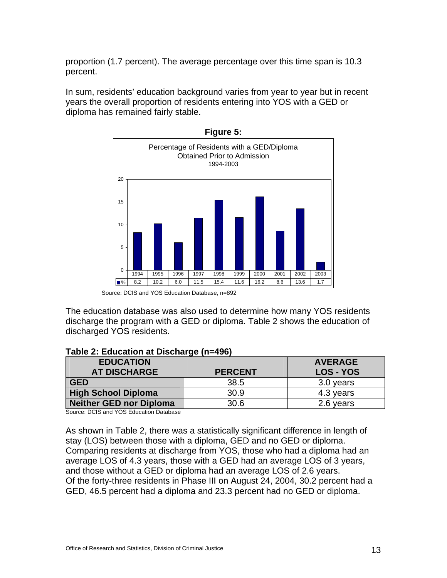proportion (1.7 percent). The average percentage over this time span is 10.3 percent.

In sum, residents' education background varies from year to year but in recent years the overall proportion of residents entering into YOS with a GED or diploma has remained fairly stable.



**Figure 5:** 

Source: DCIS and YOS Education Database, n=892

The education database was also used to determine how many YOS residents discharge the program with a GED or diploma. Table 2 shows the education of discharged YOS residents.

#### **Table 2: Education at Discharge (n=496)**

| <b>EDUCATION</b><br><b>AT DISCHARGE</b> | <b>PERCENT</b> | <b>AVERAGE</b><br><b>LOS - YOS</b> |
|-----------------------------------------|----------------|------------------------------------|
| <b>GED</b>                              | 38.5           | 3.0 years                          |
| <b>High School Diploma</b>              | 30.9           | 4.3 years                          |
| <b>Neither GED nor Diploma</b>          | 30.6           | 2.6 years                          |

Source: DCIS and YOS Education Database

As shown in Table 2, there was a statistically significant difference in length of stay (LOS) between those with a diploma, GED and no GED or diploma. Comparing residents at discharge from YOS, those who had a diploma had an average LOS of 4.3 years, those with a GED had an average LOS of 3 years, and those without a GED or diploma had an average LOS of 2.6 years. Of the forty-three residents in Phase III on August 24, 2004, 30.2 percent had a GED, 46.5 percent had a diploma and 23.3 percent had no GED or diploma.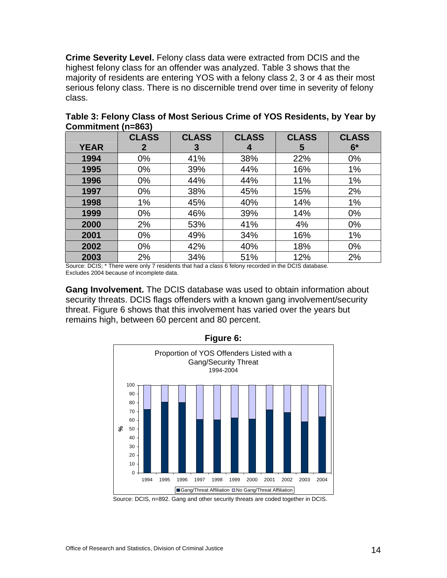**Crime Severity Level.** Felony class data were extracted from DCIS and the highest felony class for an offender was analyzed. Table 3 shows that the majority of residents are entering YOS with a felony class 2, 3 or 4 as their most serious felony class. There is no discernible trend over time in severity of felony class.

|             | <b>CLASS</b> | <b>CLASS</b> | <b>CLASS</b> | <b>CLASS</b> | <b>CLASS</b> |
|-------------|--------------|--------------|--------------|--------------|--------------|
| <b>YEAR</b> | $\mathbf{2}$ | 3            | 4            | 5            | $6*$         |
| 1994        | 0%           | 41%          | 38%          | 22%          | $0\%$        |
| 1995        | 0%           | 39%          | 44%          | 16%          | 1%           |
| 1996        | $0\%$        | 44%          | 44%          | 11%          | 1%           |
| 1997        | $0\%$        | 38%          | 45%          | 15%          | 2%           |
| 1998        | 1%           | 45%          | 40%          | 14%          | 1%           |
| 1999        | $0\%$        | 46%          | 39%          | 14%          | $0\%$        |
| 2000        | 2%           | 53%          | 41%          | 4%           | $0\%$        |
| 2001        | $0\%$        | 49%          | 34%          | 16%          | 1%           |
| 2002        | $0\%$        | 42%          | 40%          | 18%          | 0%           |
| 2003        | 2%           | 34%          | 51%          | 12%          | 2%           |

**Table 3: Felony Class of Most Serious Crime of YOS Residents, by Year by Commitment (n=863)** 

Source: DCIS; \* There were only 7 residents that had a class 6 felony recorded in the DCIS database. Excludes 2004 because of incomplete data.

**Gang Involvement.** The DCIS database was used to obtain information about security threats. DCIS flags offenders with a known gang involvement/security threat. Figure 6 shows that this involvement has varied over the years but remains high, between 60 percent and 80 percent.



**Figure 6:** 

Source: DCIS, n=892. Gang and other security threats are coded together in DCIS.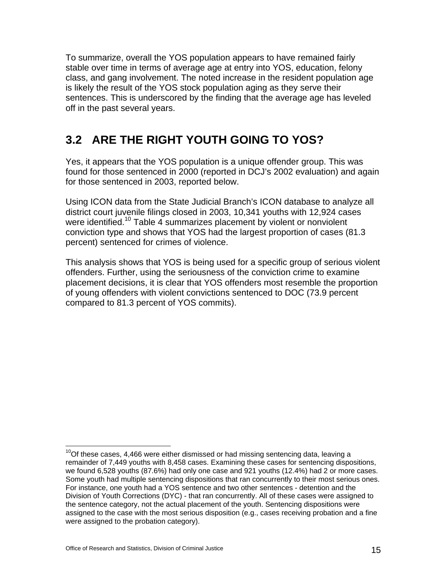To summarize, overall the YOS population appears to have remained fairly stable over time in terms of average age at entry into YOS, education, felony class, and gang involvement. The noted increase in the resident population age is likely the result of the YOS stock population aging as they serve their sentences. This is underscored by the finding that the average age has leveled off in the past several years.

### **3.2 ARE THE RIGHT YOUTH GOING TO YOS?**

Yes, it appears that the YOS population is a unique offender group. This was found for those sentenced in 2000 (reported in DCJ's 2002 evaluation) and again for those sentenced in 2003, reported below.

Using ICON data from the State Judicial Branch's ICON database to analyze all district court juvenile filings closed in 2003, 10,341 youths with 12,924 cases were identified.<sup>10</sup> Table 4 summarizes placement by violent or nonviolent conviction type and shows that YOS had the largest proportion of cases (81.3 percent) sentenced for crimes of violence.

This analysis shows that YOS is being used for a specific group of serious violent offenders. Further, using the seriousness of the conviction crime to examine placement decisions, it is clear that YOS offenders most resemble the proportion of young offenders with violent convictions sentenced to DOC (73.9 percent compared to 81.3 percent of YOS commits).

 $\overline{a}$ 

 $10$ Of these cases, 4,466 were either dismissed or had missing sentencing data, leaving a remainder of 7,449 youths with 8,458 cases. Examining these cases for sentencing dispositions, we found 6,528 youths (87.6%) had only one case and 921 youths (12.4%) had 2 or more cases. Some youth had multiple sentencing dispositions that ran concurrently to their most serious ones. For instance, one youth had a YOS sentence and two other sentences - detention and the Division of Youth Corrections (DYC) - that ran concurrently. All of these cases were assigned to the sentence category, not the actual placement of the youth. Sentencing dispositions were assigned to the case with the most serious disposition (e.g., cases receiving probation and a fine were assigned to the probation category).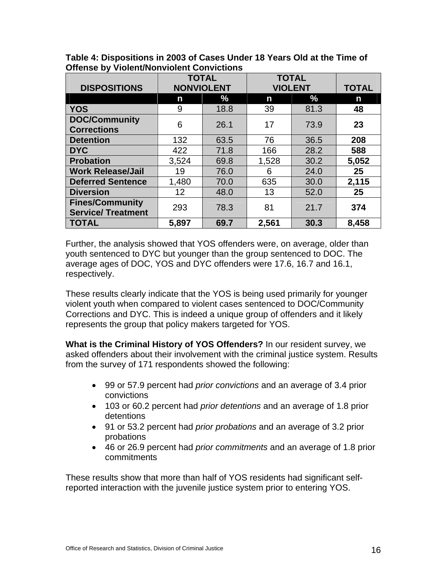| <b>DISPOSITIONS</b>                                 | <b>TOTAL</b><br><b>NONVIOLENT</b> |      | <b>TOTAL</b><br><b>VIOLENT</b> |      | <b>TOTAL</b> |
|-----------------------------------------------------|-----------------------------------|------|--------------------------------|------|--------------|
|                                                     | n                                 | $\%$ | n                              | %    | n            |
| <b>YOS</b>                                          | 9                                 | 18.8 | 39                             | 81.3 | 48           |
| <b>DOC/Community</b><br><b>Corrections</b>          | 6                                 | 26.1 | 17                             | 73.9 | 23           |
| <b>Detention</b>                                    | 132                               | 63.5 | 76                             | 36.5 | 208          |
| <b>DYC</b>                                          | 422                               | 71.8 | 166                            | 28.2 | 588          |
| <b>Probation</b>                                    | 3,524                             | 69.8 | 1,528                          | 30.2 | 5,052        |
| <b>Work Release/Jail</b>                            | 19                                | 76.0 | 6                              | 24.0 | 25           |
| <b>Deferred Sentence</b>                            | 1,480                             | 70.0 | 635                            | 30.0 | 2,115        |
| <b>Diversion</b>                                    | 12 <sup>2</sup>                   | 48.0 | 13                             | 52.0 | 25           |
| <b>Fines/Community</b><br><b>Service/ Treatment</b> | 293                               | 78.3 | 81                             | 21.7 | 374          |
| <b>TOTAL</b>                                        | 5,897                             | 69.7 | 2,561                          | 30.3 | 8,458        |

**Table 4: Dispositions in 2003 of Cases Under 18 Years Old at the Time of Offense by Violent/Nonviolent Convictions** 

Further, the analysis showed that YOS offenders were, on average, older than youth sentenced to DYC but younger than the group sentenced to DOC. The average ages of DOC, YOS and DYC offenders were 17.6, 16.7 and 16.1, respectively.

These results clearly indicate that the YOS is being used primarily for younger violent youth when compared to violent cases sentenced to DOC/Community Corrections and DYC. This is indeed a unique group of offenders and it likely represents the group that policy makers targeted for YOS.

**What is the Criminal History of YOS Offenders?** In our resident survey, we asked offenders about their involvement with the criminal justice system. Results from the survey of 171 respondents showed the following:

- 99 or 57.9 percent had *prior convictions* and an average of 3.4 prior convictions
- 103 or 60.2 percent had *prior detentions* and an average of 1.8 prior detentions
- 91 or 53.2 percent had *prior probations* and an average of 3.2 prior probations
- 46 or 26.9 percent had *prior commitments* and an average of 1.8 prior commitments

These results show that more than half of YOS residents had significant selfreported interaction with the juvenile justice system prior to entering YOS.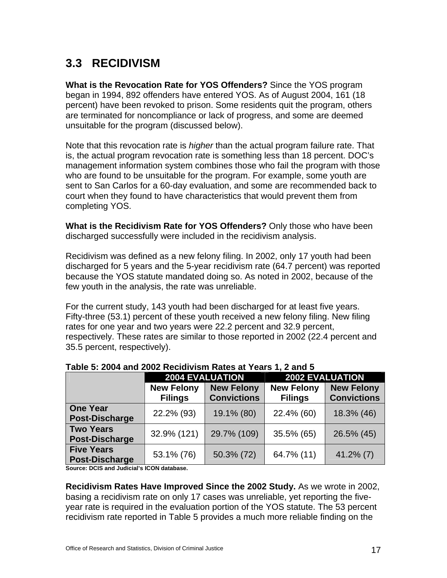# **3.3 RECIDIVISM**

**What is the Revocation Rate for YOS Offenders?** Since the YOS program began in 1994, 892 offenders have entered YOS. As of August 2004, 161 (18 percent) have been revoked to prison. Some residents quit the program, others are terminated for noncompliance or lack of progress, and some are deemed unsuitable for the program (discussed below).

Note that this revocation rate is *higher* than the actual program failure rate. That is, the actual program revocation rate is something less than 18 percent. DOC's management information system combines those who fail the program with those who are found to be unsuitable for the program. For example, some youth are sent to San Carlos for a 60-day evaluation, and some are recommended back to court when they found to have characteristics that would prevent them from completing YOS.

**What is the Recidivism Rate for YOS Offenders?** Only those who have been discharged successfully were included in the recidivism analysis.

Recidivism was defined as a new felony filing. In 2002, only 17 youth had been discharged for 5 years and the 5-year recidivism rate (64.7 percent) was reported because the YOS statute mandated doing so. As noted in 2002, because of the few youth in the analysis, the rate was unreliable.

For the current study, 143 youth had been discharged for at least five years. Fifty-three (53.1) percent of these youth received a new felony filing. New filing rates for one year and two years were 22.2 percent and 32.9 percent, respectively. These rates are similar to those reported in 2002 (22.4 percent and 35.5 percent, respectively).

|                                            | <b>2004 EVALUATION</b>              |                                         | <b>2002 EVALUATION</b>              |                                         |  |
|--------------------------------------------|-------------------------------------|-----------------------------------------|-------------------------------------|-----------------------------------------|--|
|                                            | <b>New Felony</b><br><b>Filings</b> | <b>New Felony</b><br><b>Convictions</b> | <b>New Felony</b><br><b>Filings</b> | <b>New Felony</b><br><b>Convictions</b> |  |
| <b>One Year</b><br><b>Post-Discharge</b>   | 22.2% (93)                          | 19.1% (80)                              | 22.4% (60)                          | 18.3% (46)                              |  |
| <b>Two Years</b><br>Post-Discharge         | 32.9% (121)                         | 29.7% (109)                             | 35.5% (65)                          | 26.5% (45)                              |  |
| <b>Five Years</b><br><b>Post-Discharge</b> | 53.1% (76)                          | 50.3% (72)                              | 64.7% (11)                          | $41.2\%$ (7)                            |  |

#### **Table 5: 2004 and 2002 Recidivism Rates at Years 1, 2 and 5**

**Source: DCIS and Judicial's ICON database.** 

**Recidivism Rates Have Improved Since the 2002 Study.** As we wrote in 2002, basing a recidivism rate on only 17 cases was unreliable, yet reporting the fiveyear rate is required in the evaluation portion of the YOS statute. The 53 percent recidivism rate reported in Table 5 provides a much more reliable finding on the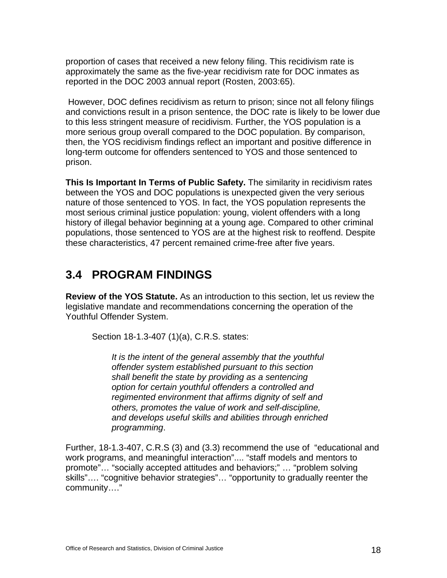proportion of cases that received a new felony filing. This recidivism rate is approximately the same as the five-year recidivism rate for DOC inmates as reported in the DOC 2003 annual report (Rosten, 2003:65).

 However, DOC defines recidivism as return to prison; since not all felony filings and convictions result in a prison sentence, the DOC rate is likely to be lower due to this less stringent measure of recidivism. Further, the YOS population is a more serious group overall compared to the DOC population. By comparison, then, the YOS recidivism findings reflect an important and positive difference in long-term outcome for offenders sentenced to YOS and those sentenced to prison.

**This Is Important In Terms of Public Safety.** The similarity in recidivism rates between the YOS and DOC populations is unexpected given the very serious nature of those sentenced to YOS. In fact, the YOS population represents the most serious criminal justice population: young, violent offenders with a long history of illegal behavior beginning at a young age. Compared to other criminal populations, those sentenced to YOS are at the highest risk to reoffend. Despite these characteristics, 47 percent remained crime-free after five years.

### **3.4 PROGRAM FINDINGS**

**Review of the YOS Statute.** As an introduction to this section, let us review the legislative mandate and recommendations concerning the operation of the Youthful Offender System.

Section 18-1.3-407 (1)(a), C.R.S. states:

*It is the intent of the general assembly that the youthful offender system established pursuant to this section shall benefit the state by providing as a sentencing option for certain youthful offenders a controlled and regimented environment that affirms dignity of self and others, promotes the value of work and self-discipline, and develops useful skills and abilities through enriched programming*.

Further, 18-1.3-407, C.R.S (3) and (3.3) recommend the use of "educational and work programs, and meaningful interaction".... "staff models and mentors to promote"… "socially accepted attitudes and behaviors;" … "problem solving skills"…. "cognitive behavior strategies"… "opportunity to gradually reenter the community…."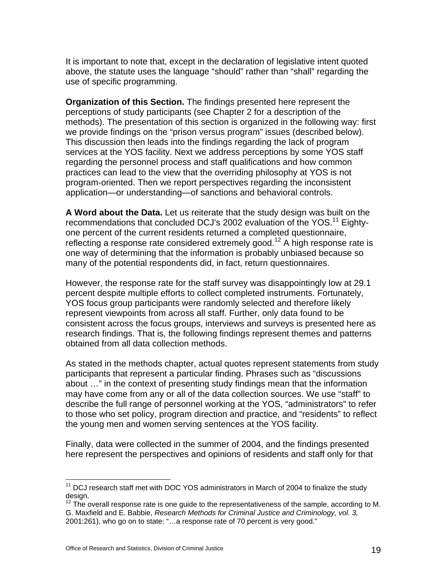It is important to note that, except in the declaration of legislative intent quoted above, the statute uses the language "should" rather than "shall" regarding the use of specific programming.

**Organization of this Section.** The findings presented here represent the perceptions of study participants (see Chapter 2 for a description of the methods). The presentation of this section is organized in the following way: first we provide findings on the "prison versus program" issues (described below). This discussion then leads into the findings regarding the lack of program services at the YOS facility. Next we address perceptions by some YOS staff regarding the personnel process and staff qualifications and how common practices can lead to the view that the overriding philosophy at YOS is not program-oriented. Then we report perspectives regarding the inconsistent application—or understanding—of sanctions and behavioral controls.

**A Word about the Data.** Let us reiterate that the study design was built on the recommendations that concluded DCJ's 2002 evaluation of the YOS.<sup>11</sup> Eightyone percent of the current residents returned a completed questionnaire, reflecting a response rate considered extremely good.<sup>12</sup> A high response rate is one way of determining that the information is probably unbiased because so many of the potential respondents did, in fact, return questionnaires.

However, the response rate for the staff survey was disappointingly low at 29.1 percent despite multiple efforts to collect completed instruments. Fortunately, YOS focus group participants were randomly selected and therefore likely represent viewpoints from across all staff. Further, only data found to be consistent across the focus groups, interviews and surveys is presented here as research findings. That is, the following findings represent themes and patterns obtained from all data collection methods.

As stated in the methods chapter, actual quotes represent statements from study participants that represent a particular finding. Phrases such as "discussions about …" in the context of presenting study findings mean that the information may have come from any or all of the data collection sources. We use "staff" to describe the full range of personnel working at the YOS, "administrators" to refer to those who set policy, program direction and practice, and "residents" to reflect the young men and women serving sentences at the YOS facility.

Finally, data were collected in the summer of 2004, and the findings presented here represent the perspectives and opinions of residents and staff only for that

 $\overline{a}$  $11$  DCJ research staff met with DOC YOS administrators in March of 2004 to finalize the study design.

 $12$  The overall response rate is one guide to the representativeness of the sample, according to M. G. Maxfield and E. Babbie, *Research Methods for Criminal Justice and Criminology, vol. 3,*  2001:261), who go on to state: "…a response rate of 70 percent is very good."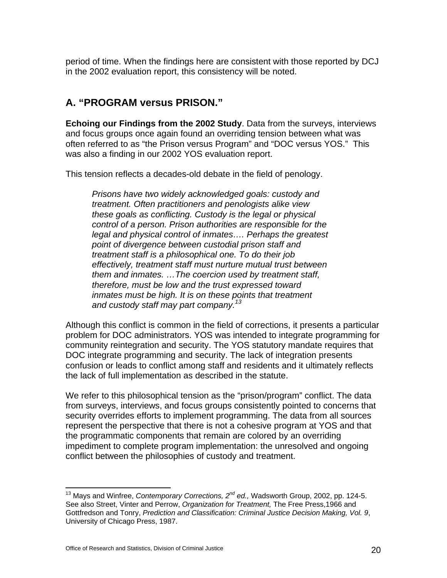period of time. When the findings here are consistent with those reported by DCJ in the 2002 evaluation report, this consistency will be noted.

#### **A. "PROGRAM versus PRISON."**

**Echoing our Findings from the 2002 Study**. Data from the surveys, interviews and focus groups once again found an overriding tension between what was often referred to as "the Prison versus Program" and "DOC versus YOS." This was also a finding in our 2002 YOS evaluation report.

This tension reflects a decades-old debate in the field of penology.

*Prisons have two widely acknowledged goals: custody and treatment. Often practitioners and penologists alike view these goals as conflicting. Custody is the legal or physical control of a person. Prison authorities are responsible for the legal and physical control of inmates…. Perhaps the greatest point of divergence between custodial prison staff and treatment staff is a philosophical one. To do their job effectively, treatment staff must nurture mutual trust between them and inmates. …The coercion used by treatment staff, therefore, must be low and the trust expressed toward inmates must be high. It is on these points that treatment and custody staff may part company.13*

Although this conflict is common in the field of corrections, it presents a particular problem for DOC administrators. YOS was intended to integrate programming for community reintegration and security. The YOS statutory mandate requires that DOC integrate programming and security. The lack of integration presents confusion or leads to conflict among staff and residents and it ultimately reflects the lack of full implementation as described in the statute.

We refer to this philosophical tension as the "prison/program" conflict. The data from surveys, interviews, and focus groups consistently pointed to concerns that security overrides efforts to implement programming. The data from all sources represent the perspective that there is not a cohesive program at YOS and that the programmatic components that remain are colored by an overriding impediment to complete program implementation: the unresolved and ongoing conflict between the philosophies of custody and treatment.

<sup>13</sup> Mays and Winfree, *Contemporary Corrections, 2nd ed.,* Wadsworth Group, 2002, pp. 124-5. See also Street, Vinter and Perrow, *Organization for Treatment,* The Free Press,1966 and Gottfredson and Tonry, *Prediction and Classification: Criminal Justice Decision Making, Vol. 9*, University of Chicago Press, 1987.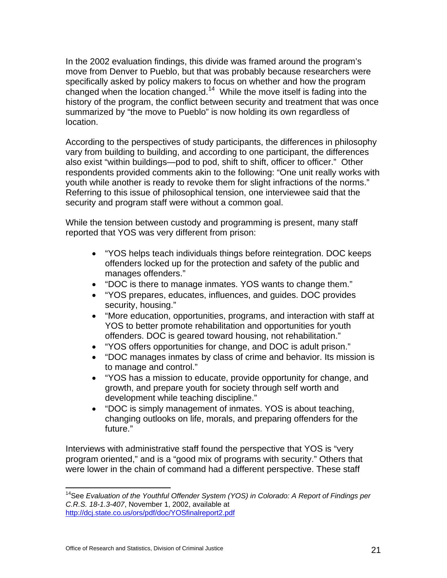In the 2002 evaluation findings, this divide was framed around the program's move from Denver to Pueblo, but that was probably because researchers were specifically asked by policy makers to focus on whether and how the program changed when the location changed.14 While the move itself is fading into the history of the program, the conflict between security and treatment that was once summarized by "the move to Pueblo" is now holding its own regardless of location.

According to the perspectives of study participants, the differences in philosophy vary from building to building, and according to one participant, the differences also exist "within buildings—pod to pod, shift to shift, officer to officer." Other respondents provided comments akin to the following: "One unit really works with youth while another is ready to revoke them for slight infractions of the norms." Referring to this issue of philosophical tension, one interviewee said that the security and program staff were without a common goal.

While the tension between custody and programming is present, many staff reported that YOS was very different from prison:

- "YOS helps teach individuals things before reintegration. DOC keeps offenders locked up for the protection and safety of the public and manages offenders."
- "DOC is there to manage inmates. YOS wants to change them."
- "YOS prepares, educates, influences, and guides. DOC provides security, housing."
- "More education, opportunities, programs, and interaction with staff at YOS to better promote rehabilitation and opportunities for youth offenders. DOC is geared toward housing, not rehabilitation."
- "YOS offers opportunities for change, and DOC is adult prison."
- "DOC manages inmates by class of crime and behavior. Its mission is to manage and control."
- "YOS has a mission to educate, provide opportunity for change, and growth, and prepare youth for society through self worth and development while teaching discipline."
- "DOC is simply management of inmates. YOS is about teaching, changing outlooks on life, morals, and preparing offenders for the future."

Interviews with administrative staff found the perspective that YOS is "very program oriented," and is a "good mix of programs with security." Others that were lower in the chain of command had a different perspective. These staff

<sup>&</sup>lt;sup>14</sup>See *Evaluation of the Youthful Offender System (YOS) in Colorado: A Report of Findings per C.R.S. 18-1.3-407*, November 1, 2002, available at http://dcj.state.co.us/ors/pdf/doc/YOSfinalreport2.pdf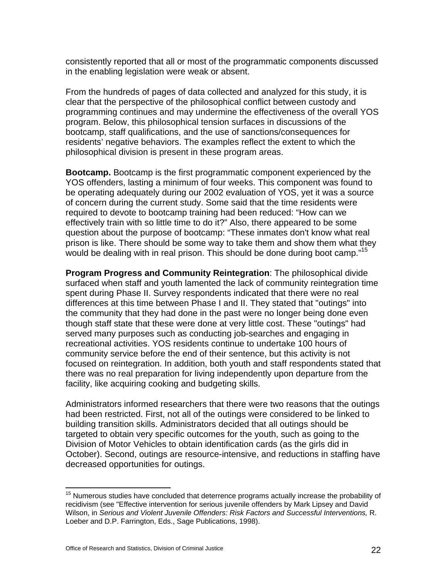consistently reported that all or most of the programmatic components discussed in the enabling legislation were weak or absent.

From the hundreds of pages of data collected and analyzed for this study, it is clear that the perspective of the philosophical conflict between custody and programming continues and may undermine the effectiveness of the overall YOS program. Below, this philosophical tension surfaces in discussions of the bootcamp, staff qualifications, and the use of sanctions/consequences for residents' negative behaviors. The examples reflect the extent to which the philosophical division is present in these program areas.

**Bootcamp.** Bootcamp is the first programmatic component experienced by the YOS offenders, lasting a minimum of four weeks. This component was found to be operating adequately during our 2002 evaluation of YOS, yet it was a source of concern during the current study. Some said that the time residents were required to devote to bootcamp training had been reduced: "How can we effectively train with so little time to do it?" Also, there appeared to be some question about the purpose of bootcamp: "These inmates don't know what real prison is like. There should be some way to take them and show them what they would be dealing with in real prison. This should be done during boot camp."<sup>15</sup>

**Program Progress and Community Reintegration**: The philosophical divide surfaced when staff and youth lamented the lack of community reintegration time spent during Phase II. Survey respondents indicated that there were no real differences at this time between Phase I and II. They stated that "outings" into the community that they had done in the past were no longer being done even though staff state that these were done at very little cost. These "outings" had served many purposes such as conducting job-searches and engaging in recreational activities. YOS residents continue to undertake 100 hours of community service before the end of their sentence, but this activity is not focused on reintegration. In addition, both youth and staff respondents stated that there was no real preparation for living independently upon departure from the facility, like acquiring cooking and budgeting skills.

Administrators informed researchers that there were two reasons that the outings had been restricted. First, not all of the outings were considered to be linked to building transition skills. Administrators decided that all outings should be targeted to obtain very specific outcomes for the youth, such as going to the Division of Motor Vehicles to obtain identification cards (as the girls did in October). Second, outings are resource-intensive, and reductions in staffing have decreased opportunities for outings.

1

 $15$  Numerous studies have concluded that deterrence programs actually increase the probability of recidivism (see "Effective intervention for serious juvenile offenders by Mark Lipsey and David Wilson, in *Serious and Violent Juvenile Offenders: Risk Factors and Successful Interventions,* R. Loeber and D.P. Farrington, Eds., Sage Publications, 1998).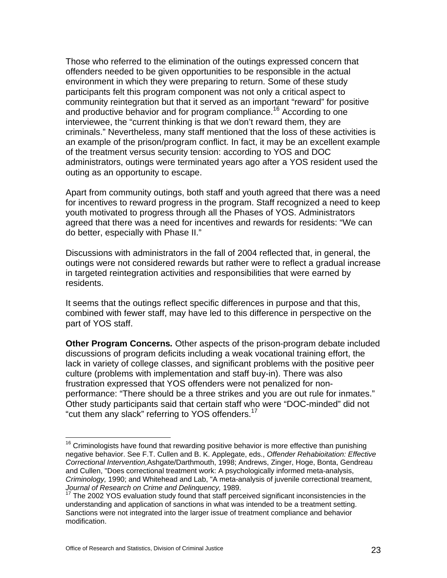Those who referred to the elimination of the outings expressed concern that offenders needed to be given opportunities to be responsible in the actual environment in which they were preparing to return. Some of these study participants felt this program component was not only a critical aspect to community reintegration but that it served as an important "reward" for positive and productive behavior and for program compliance.<sup>16</sup> According to one interviewee, the "current thinking is that we don't reward them, they are criminals." Nevertheless, many staff mentioned that the loss of these activities is an example of the prison/program conflict. In fact, it may be an excellent example of the treatment versus security tension: according to YOS and DOC administrators, outings were terminated years ago after a YOS resident used the outing as an opportunity to escape.

Apart from community outings, both staff and youth agreed that there was a need for incentives to reward progress in the program. Staff recognized a need to keep youth motivated to progress through all the Phases of YOS. Administrators agreed that there was a need for incentives and rewards for residents: "We can do better, especially with Phase II."

Discussions with administrators in the fall of 2004 reflected that, in general, the outings were not considered rewards but rather were to reflect a gradual increase in targeted reintegration activities and responsibilities that were earned by residents.

It seems that the outings reflect specific differences in purpose and that this, combined with fewer staff, may have led to this difference in perspective on the part of YOS staff.

**Other Program Concerns***.* Other aspects of the prison-program debate included discussions of program deficits including a weak vocational training effort, the lack in variety of college classes, and significant problems with the positive peer culture (problems with implementation and staff buy-in). There was also frustration expressed that YOS offenders were not penalized for nonperformance: "There should be a three strikes and you are out rule for inmates." Other study participants said that certain staff who were "DOC-minded" did not "cut them any slack" referring to YOS offenders.<sup>17</sup>

 $16$  Criminologists have found that rewarding positive behavior is more effective than punishing negative behavior. See F.T. Cullen and B. K. Applegate, eds., *Offender Rehabioitation: Effective Correctional Intervention,*Ashgate/Darthmouth, 1998; Andrews, Zinger, Hoge, Bonta, Gendreau and Cullen, "Does correctional treatment work: A psychologically informed meta-analysis, *Criminology,* 1990; and Whitehead and Lab, "A meta-analysis of juvenile correctional treament, *Journal of Research on Crime and Delinquency,* 1989.

<sup>17</sup> The 2002 YOS evaluation study found that staff perceived significant inconsistencies in the understanding and application of sanctions in what was intended to be a treatment setting. Sanctions were not integrated into the larger issue of treatment compliance and behavior modification.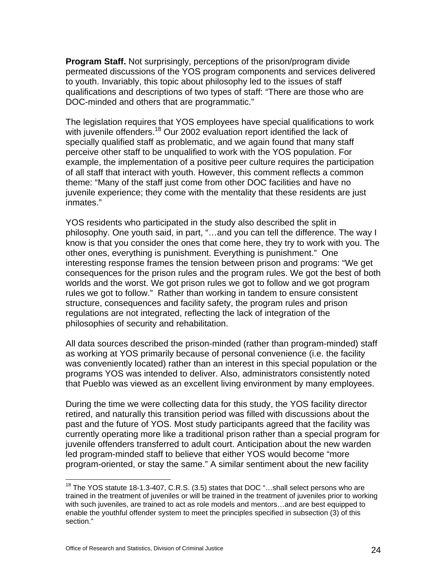**Program Staff.** Not surprisingly, perceptions of the prison/program divide permeated discussions of the YOS program components and services delivered to youth. Invariably, this topic about philosophy led to the issues of staff qualifications and descriptions of two types of staff: "There are those who are DOC-minded and others that are programmatic."

The legislation requires that YOS employees have special qualifications to work with juvenile offenders.<sup>18</sup> Our 2002 evaluation report identified the lack of specially qualified staff as problematic, and we again found that many staff perceive other staff to be unqualified to work with the YOS population. For example, the implementation of a positive peer culture requires the participation of all staff that interact with youth. However, this comment reflects a common theme: "Many of the staff just come from other DOC facilities and have no juvenile experience; they come with the mentality that these residents are just inmates."

YOS residents who participated in the study also described the split in philosophy. One youth said, in part, "…and you can tell the difference. The way I know is that you consider the ones that come here, they try to work with you. The other ones, everything is punishment. Everything is punishment." One interesting response frames the tension between prison and programs: "We get consequences for the prison rules and the program rules. We got the best of both worlds and the worst. We got prison rules we got to follow and we got program rules we got to follow." Rather than working in tandem to ensure consistent structure, consequences and facility safety, the program rules and prison regulations are not integrated, reflecting the lack of integration of the philosophies of security and rehabilitation.

All data sources described the prison-minded (rather than program-minded) staff as working at YOS primarily because of personal convenience (i.e. the facility was conveniently located) rather than an interest in this special population or the programs YOS was intended to deliver. Also, administrators consistently noted that Pueblo was viewed as an excellent living environment by many employees.

During the time we were collecting data for this study, the YOS facility director retired, and naturally this transition period was filled with discussions about the past and the future of YOS. Most study participants agreed that the facility was currently operating more like a traditional prison rather than a special program for juvenile offenders transferred to adult court. Anticipation about the new warden led program-minded staff to believe that either YOS would become "more program-oriented, or stay the same." A similar sentiment about the new facility

 $18$  The YOS statute 18-1.3-407, C.R.S. (3.5) states that DOC "...shall select persons who are trained in the treatment of juveniles or will be trained in the treatment of juveniles prior to working with such juveniles, are trained to act as role models and mentors…and are best equipped to enable the youthful offender system to meet the principles specified in subsection (3) of this section."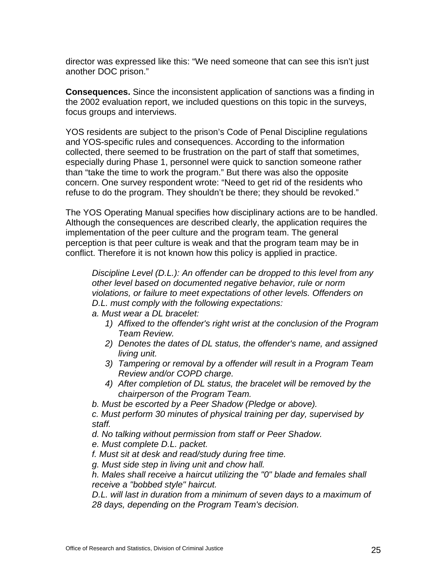director was expressed like this: "We need someone that can see this isn't just another DOC prison."

**Consequences.** Since the inconsistent application of sanctions was a finding in the 2002 evaluation report, we included questions on this topic in the surveys, focus groups and interviews.

YOS residents are subject to the prison's Code of Penal Discipline regulations and YOS-specific rules and consequences. According to the information collected, there seemed to be frustration on the part of staff that sometimes, especially during Phase 1, personnel were quick to sanction someone rather than "take the time to work the program." But there was also the opposite concern. One survey respondent wrote: "Need to get rid of the residents who refuse to do the program. They shouldn't be there; they should be revoked."

The YOS Operating Manual specifies how disciplinary actions are to be handled. Although the consequences are described clearly, the application requires the implementation of the peer culture and the program team. The general perception is that peer culture is weak and that the program team may be in conflict. Therefore it is not known how this policy is applied in practice.

*Discipline Level (D.L.): An offender can be dropped to this level from any other level based on documented negative behavior, rule or norm violations, or failure to meet expectations of other levels. Offenders on D.L. must comply with the following expectations:* 

- *a. Must wear a DL bracelet:* 
	- *1) Affixed to the offender's right wrist at the conclusion of the Program Team Review.*
	- *2) Denotes the dates of DL status, the offender's name, and assigned living unit.*
	- *3) Tampering or removal by a offender will result in a Program Team Review and/or COPD charge.*
	- *4) After completion of DL status, the bracelet will be removed by the chairperson of the Program Team.*

*b. Must be escorted by a Peer Shadow (Pledge or above).* 

*c. Must perform 30 minutes of physical training per day, supervised by staff.* 

*d. No talking without permission from staff or Peer Shadow.* 

*e. Must complete D.L. packet.* 

*f. Must sit at desk and read/study during free time.* 

*g. Must side step in living unit and chow hall.* 

*h. Males shall receive a haircut utilizing the "0" blade and females shall receive a "bobbed style" haircut.* 

*D.L. will last in duration from a minimum of seven days to a maximum of 28 days, depending on the Program Team's decision.*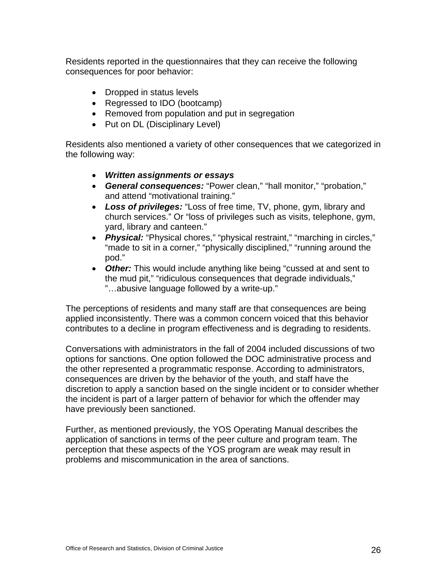Residents reported in the questionnaires that they can receive the following consequences for poor behavior:

- Dropped in status levels
- Regressed to IDO (bootcamp)
- Removed from population and put in segregation
- Put on DL (Disciplinary Level)

Residents also mentioned a variety of other consequences that we categorized in the following way:

- *Written assignments or essays*
- *General consequences:* "Power clean," "hall monitor," "probation," and attend "motivational training."
- *Loss of privileges:* "Loss of free time, TV, phone, gym, library and church services." Or "loss of privileges such as visits, telephone, gym, yard, library and canteen."
- *Physical:* "Physical chores," "physical restraint," "marching in circles," "made to sit in a corner," "physically disciplined," "running around the pod."
- *Other:* This would include anything like being "cussed at and sent to the mud pit," "ridiculous consequences that degrade individuals," "…abusive language followed by a write-up."

The perceptions of residents and many staff are that consequences are being applied inconsistently. There was a common concern voiced that this behavior contributes to a decline in program effectiveness and is degrading to residents.

Conversations with administrators in the fall of 2004 included discussions of two options for sanctions. One option followed the DOC administrative process and the other represented a programmatic response. According to administrators, consequences are driven by the behavior of the youth, and staff have the discretion to apply a sanction based on the single incident or to consider whether the incident is part of a larger pattern of behavior for which the offender may have previously been sanctioned.

Further, as mentioned previously, the YOS Operating Manual describes the application of sanctions in terms of the peer culture and program team. The perception that these aspects of the YOS program are weak may result in problems and miscommunication in the area of sanctions.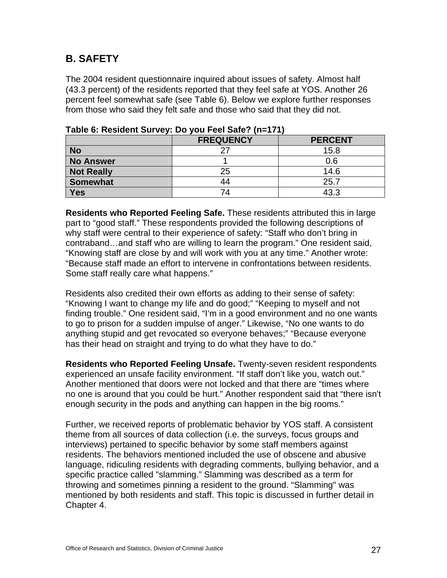#### **B. SAFETY**

The 2004 resident questionnaire inquired about issues of safety. Almost half (43.3 percent) of the residents reported that they feel safe at YOS. Another 26 percent feel somewhat safe (see Table 6). Below we explore further responses from those who said they felt safe and those who said that they did not.

|                   | <b>FREQUENCY</b> | <b>PERCENT</b> |
|-------------------|------------------|----------------|
| <b>No</b>         |                  | 15.8           |
| <b>No Answer</b>  |                  | 0.6            |
| <b>Not Really</b> | 25               | 14.6           |
| Somewhat          | 44               | 25.7           |
| Yes               | 74               | 43.3           |

| Table 6: Resident Survey: Do you Feel Safe? (n=171) |  |  |  |
|-----------------------------------------------------|--|--|--|
|                                                     |  |  |  |

**Residents who Reported Feeling Safe.** These residents attributed this in large part to "good staff." These respondents provided the following descriptions of why staff were central to their experience of safety: "Staff who don't bring in contraband…and staff who are willing to learn the program." One resident said, "Knowing staff are close by and will work with you at any time." Another wrote: "Because staff made an effort to intervene in confrontations between residents. Some staff really care what happens."

Residents also credited their own efforts as adding to their sense of safety: "Knowing I want to change my life and do good;" "Keeping to myself and not finding trouble." One resident said, "I'm in a good environment and no one wants to go to prison for a sudden impulse of anger." Likewise, "No one wants to do anything stupid and get revocated so everyone behaves;" "Because everyone has their head on straight and trying to do what they have to do."

**Residents who Reported Feeling Unsafe.** Twenty-seven resident respondents experienced an unsafe facility environment. "If staff don't like you, watch out." Another mentioned that doors were not locked and that there are "times where no one is around that you could be hurt." Another respondent said that "there isn't enough security in the pods and anything can happen in the big rooms."

Further, we received reports of problematic behavior by YOS staff. A consistent theme from all sources of data collection (i.e. the surveys, focus groups and interviews) pertained to specific behavior by some staff members against residents. The behaviors mentioned included the use of obscene and abusive language, ridiculing residents with degrading comments, bullying behavior, and a specific practice called "slamming." Slamming was described as a term for throwing and sometimes pinning a resident to the ground. "Slamming" was mentioned by both residents and staff. This topic is discussed in further detail in Chapter 4.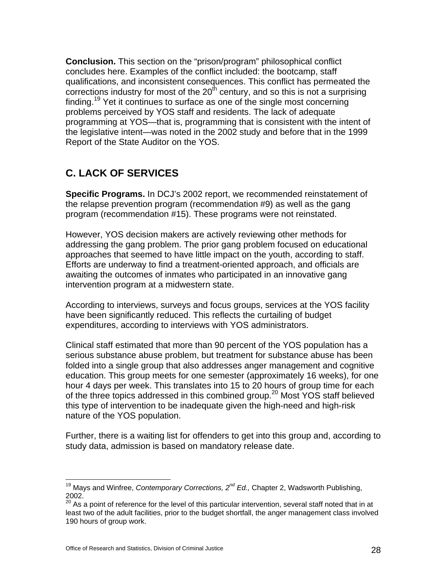**Conclusion.** This section on the "prison/program" philosophical conflict concludes here. Examples of the conflict included: the bootcamp, staff qualifications, and inconsistent consequences. This conflict has permeated the corrections industry for most of the  $20<sup>th</sup>$  century, and so this is not a surprising finding.<sup>19</sup> Yet it continues to surface as one of the single most concerning problems perceived by YOS staff and residents. The lack of adequate programming at YOS—that is, programming that is consistent with the intent of the legislative intent—was noted in the 2002 study and before that in the 1999 Report of the State Auditor on the YOS.

#### **C. LACK OF SERVICES**

**Specific Programs.** In DCJ's 2002 report, we recommended reinstatement of the relapse prevention program (recommendation #9) as well as the gang program (recommendation #15). These programs were not reinstated.

However, YOS decision makers are actively reviewing other methods for addressing the gang problem. The prior gang problem focused on educational approaches that seemed to have little impact on the youth, according to staff. Efforts are underway to find a treatment-oriented approach, and officials are awaiting the outcomes of inmates who participated in an innovative gang intervention program at a midwestern state.

According to interviews, surveys and focus groups, services at the YOS facility have been significantly reduced. This reflects the curtailing of budget expenditures, according to interviews with YOS administrators.

Clinical staff estimated that more than 90 percent of the YOS population has a serious substance abuse problem, but treatment for substance abuse has been folded into a single group that also addresses anger management and cognitive education. This group meets for one semester (approximately 16 weeks), for one hour 4 days per week. This translates into 15 to 20 hours of group time for each of the three topics addressed in this combined group.<sup>20</sup> Most YOS staff believed this type of intervention to be inadequate given the high-need and high-risk nature of the YOS population.

Further, there is a waiting list for offenders to get into this group and, according to study data, admission is based on mandatory release date.

 $\overline{a}$ 19 Mays and Winfree, *Contemporary Corrections, 2nd Ed.,* Chapter 2, Wadsworth Publishing, 2002.

 $20$  As a point of reference for the level of this particular intervention, several staff noted that in at least two of the adult facilities, prior to the budget shortfall, the anger management class involved 190 hours of group work.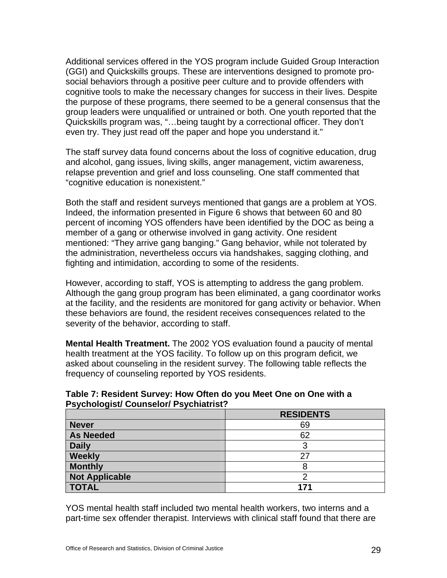Additional services offered in the YOS program include Guided Group Interaction (GGI) and Quickskills groups. These are interventions designed to promote prosocial behaviors through a positive peer culture and to provide offenders with cognitive tools to make the necessary changes for success in their lives. Despite the purpose of these programs, there seemed to be a general consensus that the group leaders were unqualified or untrained or both. One youth reported that the Quickskills program was, "…being taught by a correctional officer. They don't even try. They just read off the paper and hope you understand it."

The staff survey data found concerns about the loss of cognitive education, drug and alcohol, gang issues, living skills, anger management, victim awareness, relapse prevention and grief and loss counseling. One staff commented that "cognitive education is nonexistent."

Both the staff and resident surveys mentioned that gangs are a problem at YOS. Indeed, the information presented in Figure 6 shows that between 60 and 80 percent of incoming YOS offenders have been identified by the DOC as being a member of a gang or otherwise involved in gang activity. One resident mentioned: "They arrive gang banging." Gang behavior, while not tolerated by the administration, nevertheless occurs via handshakes, sagging clothing, and fighting and intimidation, according to some of the residents.

However, according to staff, YOS is attempting to address the gang problem. Although the gang group program has been eliminated, a gang coordinator works at the facility, and the residents are monitored for gang activity or behavior. When these behaviors are found, the resident receives consequences related to the severity of the behavior, according to staff.

**Mental Health Treatment.** The 2002 YOS evaluation found a paucity of mental health treatment at the YOS facility. To follow up on this program deficit, we asked about counseling in the resident survey. The following table reflects the frequency of counseling reported by YOS residents.

| i syonologisa oodhiscloff i syonidatisti. |                  |  |  |
|-------------------------------------------|------------------|--|--|
|                                           | <b>RESIDENTS</b> |  |  |
| <b>Never</b>                              | 69               |  |  |
| <b>As Needed</b>                          | 62               |  |  |
| <b>Daily</b>                              | 3                |  |  |
| Weekly                                    | 27               |  |  |
| <b>Monthly</b>                            | 8                |  |  |
| <b>Not Applicable</b>                     |                  |  |  |
| <b>TOTAL</b>                              | 171              |  |  |

**Table 7: Resident Survey: How Often do you Meet One on One with a Psychologist/ Counselor/ Psychiatrist?** 

YOS mental health staff included two mental health workers, two interns and a part-time sex offender therapist. Interviews with clinical staff found that there are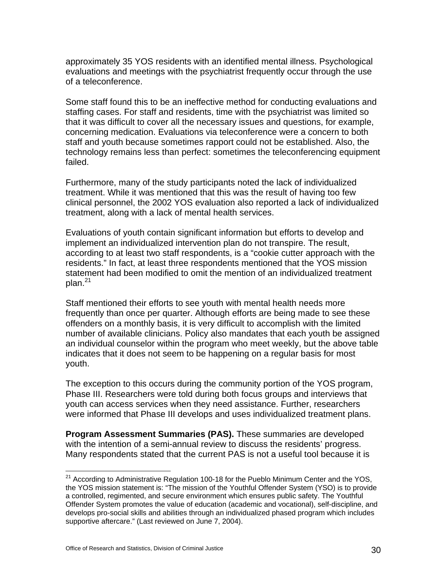approximately 35 YOS residents with an identified mental illness. Psychological evaluations and meetings with the psychiatrist frequently occur through the use of a teleconference.

Some staff found this to be an ineffective method for conducting evaluations and staffing cases. For staff and residents, time with the psychiatrist was limited so that it was difficult to cover all the necessary issues and questions, for example, concerning medication. Evaluations via teleconference were a concern to both staff and youth because sometimes rapport could not be established. Also, the technology remains less than perfect: sometimes the teleconferencing equipment failed.

Furthermore, many of the study participants noted the lack of individualized treatment. While it was mentioned that this was the result of having too few clinical personnel, the 2002 YOS evaluation also reported a lack of individualized treatment, along with a lack of mental health services.

Evaluations of youth contain significant information but efforts to develop and implement an individualized intervention plan do not transpire. The result, according to at least two staff respondents, is a "cookie cutter approach with the residents." In fact, at least three respondents mentioned that the YOS mission statement had been modified to omit the mention of an individualized treatment  $plan<sup>21</sup>$ 

Staff mentioned their efforts to see youth with mental health needs more frequently than once per quarter. Although efforts are being made to see these offenders on a monthly basis, it is very difficult to accomplish with the limited number of available clinicians. Policy also mandates that each youth be assigned an individual counselor within the program who meet weekly, but the above table indicates that it does not seem to be happening on a regular basis for most youth.

The exception to this occurs during the community portion of the YOS program, Phase III. Researchers were told during both focus groups and interviews that youth can access services when they need assistance. Further, researchers were informed that Phase III develops and uses individualized treatment plans.

**Program Assessment Summaries (PAS).** These summaries are developed with the intention of a semi-annual review to discuss the residents' progress. Many respondents stated that the current PAS is not a useful tool because it is

 $21$  According to Administrative Regulation 100-18 for the Pueblo Minimum Center and the YOS, the YOS mission statement is: "The mission of the Youthful Offender System (YSO) is to provide a controlled, regimented, and secure environment which ensures public safety. The Youthful Offender System promotes the value of education (academic and vocational), self-discipline, and develops pro-social skills and abilities through an individualized phased program which includes supportive aftercare." (Last reviewed on June 7, 2004).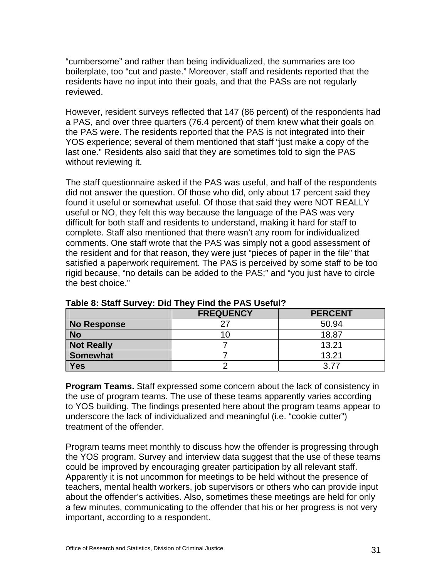"cumbersome" and rather than being individualized, the summaries are too boilerplate, too "cut and paste." Moreover, staff and residents reported that the residents have no input into their goals, and that the PASs are not regularly reviewed.

However, resident surveys reflected that 147 (86 percent) of the respondents had a PAS, and over three quarters (76.4 percent) of them knew what their goals on the PAS were. The residents reported that the PAS is not integrated into their YOS experience; several of them mentioned that staff "just make a copy of the last one." Residents also said that they are sometimes told to sign the PAS without reviewing it.

The staff questionnaire asked if the PAS was useful, and half of the respondents did not answer the question. Of those who did, only about 17 percent said they found it useful or somewhat useful. Of those that said they were NOT REALLY useful or NO, they felt this way because the language of the PAS was very difficult for both staff and residents to understand, making it hard for staff to complete. Staff also mentioned that there wasn't any room for individualized comments. One staff wrote that the PAS was simply not a good assessment of the resident and for that reason, they were just "pieces of paper in the file" that satisfied a paperwork requirement. The PAS is perceived by some staff to be too rigid because, "no details can be added to the PAS;" and "you just have to circle the best choice."

|                   | <b>FREQUENCY</b> | <b>PERCENT</b> |
|-------------------|------------------|----------------|
| No Response       |                  | 50.94          |
| <b>No</b>         |                  | 18.87          |
| <b>Not Really</b> |                  | 13.21          |
| <b>Somewhat</b>   |                  | 13.21          |
| <b>Yes</b>        |                  | 3 77           |

**Table 8: Staff Survey: Did They Find the PAS Useful?** 

**Program Teams.** Staff expressed some concern about the lack of consistency in the use of program teams. The use of these teams apparently varies according to YOS building. The findings presented here about the program teams appear to underscore the lack of individualized and meaningful (i.e. "cookie cutter") treatment of the offender.

Program teams meet monthly to discuss how the offender is progressing through the YOS program. Survey and interview data suggest that the use of these teams could be improved by encouraging greater participation by all relevant staff. Apparently it is not uncommon for meetings to be held without the presence of teachers, mental health workers, job supervisors or others who can provide input about the offender's activities. Also, sometimes these meetings are held for only a few minutes, communicating to the offender that his or her progress is not very important, according to a respondent.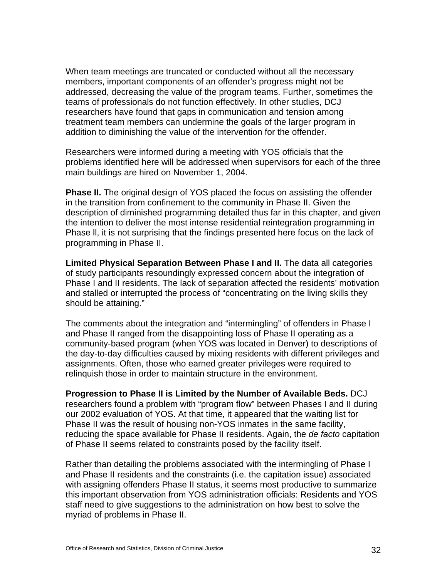When team meetings are truncated or conducted without all the necessary members, important components of an offender's progress might not be addressed, decreasing the value of the program teams. Further, sometimes the teams of professionals do not function effectively. In other studies, DCJ researchers have found that gaps in communication and tension among treatment team members can undermine the goals of the larger program in addition to diminishing the value of the intervention for the offender.

Researchers were informed during a meeting with YOS officials that the problems identified here will be addressed when supervisors for each of the three main buildings are hired on November 1, 2004.

**Phase II.** The original design of YOS placed the focus on assisting the offender in the transition from confinement to the community in Phase II. Given the description of diminished programming detailed thus far in this chapter, and given the intention to deliver the most intense residential reintegration programming in Phase ll, it is not surprising that the findings presented here focus on the lack of programming in Phase II.

**Limited Physical Separation Between Phase I and II.** The data all categories of study participants resoundingly expressed concern about the integration of Phase I and II residents. The lack of separation affected the residents' motivation and stalled or interrupted the process of "concentrating on the living skills they should be attaining."

The comments about the integration and "intermingling" of offenders in Phase I and Phase II ranged from the disappointing loss of Phase II operating as a community-based program (when YOS was located in Denver) to descriptions of the day-to-day difficulties caused by mixing residents with different privileges and assignments. Often, those who earned greater privileges were required to relinquish those in order to maintain structure in the environment.

**Progression to Phase II is Limited by the Number of Available Beds.** DCJ researchers found a problem with "program flow" between Phases I and II during our 2002 evaluation of YOS. At that time, it appeared that the waiting list for Phase II was the result of housing non-YOS inmates in the same facility, reducing the space available for Phase II residents. Again, the *de facto* capitation of Phase II seems related to constraints posed by the facility itself.

Rather than detailing the problems associated with the intermingling of Phase I and Phase II residents and the constraints (i.e. the capitation issue) associated with assigning offenders Phase II status, it seems most productive to summarize this important observation from YOS administration officials: Residents and YOS staff need to give suggestions to the administration on how best to solve the myriad of problems in Phase II.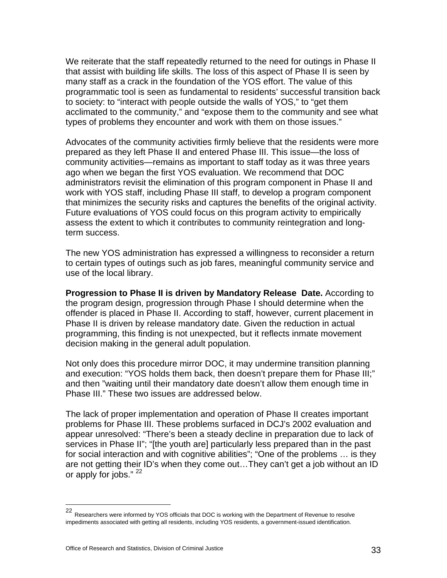We reiterate that the staff repeatedly returned to the need for outings in Phase II that assist with building life skills. The loss of this aspect of Phase II is seen by many staff as a crack in the foundation of the YOS effort. The value of this programmatic tool is seen as fundamental to residents' successful transition back to society: to "interact with people outside the walls of YOS," to "get them acclimated to the community," and "expose them to the community and see what types of problems they encounter and work with them on those issues."

Advocates of the community activities firmly believe that the residents were more prepared as they left Phase II and entered Phase III. This issue—the loss of community activities—remains as important to staff today as it was three years ago when we began the first YOS evaluation. We recommend that DOC administrators revisit the elimination of this program component in Phase II and work with YOS staff, including Phase III staff, to develop a program component that minimizes the security risks and captures the benefits of the original activity. Future evaluations of YOS could focus on this program activity to empirically assess the extent to which it contributes to community reintegration and longterm success.

The new YOS administration has expressed a willingness to reconsider a return to certain types of outings such as job fares, meaningful community service and use of the local library.

**Progression to Phase II is driven by Mandatory Release Date.** According to the program design, progression through Phase I should determine when the offender is placed in Phase II. According to staff, however, current placement in Phase II is driven by release mandatory date. Given the reduction in actual programming, this finding is not unexpected, but it reflects inmate movement decision making in the general adult population.

Not only does this procedure mirror DOC, it may undermine transition planning and execution: "YOS holds them back, then doesn't prepare them for Phase III;" and then "waiting until their mandatory date doesn't allow them enough time in Phase III." These two issues are addressed below.

The lack of proper implementation and operation of Phase II creates important problems for Phase III. These problems surfaced in DCJ's 2002 evaluation and appear unresolved: "There's been a steady decline in preparation due to lack of services in Phase II"; "[the youth are] particularly less prepared than in the past for social interaction and with cognitive abilities"; "One of the problems … is they are not getting their ID's when they come out…They can't get a job without an ID or apply for jobs." <sup>22</sup>

<sup>22</sup> Researchers were informed by YOS officials that DOC is working with the Department of Revenue to resolve impediments associated with getting all residents, including YOS residents, a government-issued identification.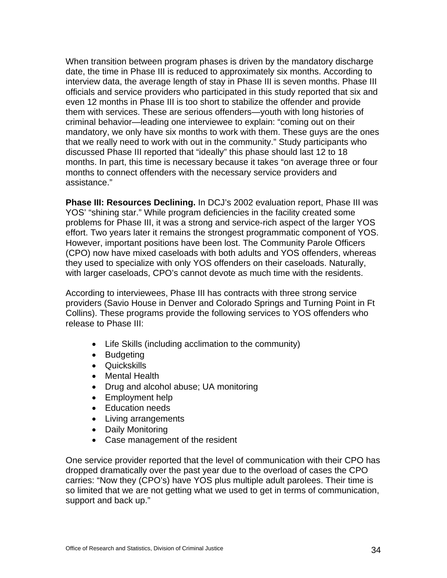When transition between program phases is driven by the mandatory discharge date, the time in Phase III is reduced to approximately six months. According to interview data, the average length of stay in Phase III is seven months. Phase III officials and service providers who participated in this study reported that six and even 12 months in Phase III is too short to stabilize the offender and provide them with services. These are serious offenders—youth with long histories of criminal behavior—leading one interviewee to explain: "coming out on their mandatory, we only have six months to work with them. These guys are the ones that we really need to work with out in the community." Study participants who discussed Phase III reported that "ideally" this phase should last 12 to 18 months. In part, this time is necessary because it takes "on average three or four months to connect offenders with the necessary service providers and assistance."

**Phase III: Resources Declining.** In DCJ's 2002 evaluation report, Phase III was YOS' "shining star." While program deficiencies in the facility created some problems for Phase III, it was a strong and service-rich aspect of the larger YOS effort. Two years later it remains the strongest programmatic component of YOS. However, important positions have been lost. The Community Parole Officers (CPO) now have mixed caseloads with both adults and YOS offenders, whereas they used to specialize with only YOS offenders on their caseloads. Naturally, with larger caseloads, CPO's cannot devote as much time with the residents.

According to interviewees, Phase III has contracts with three strong service providers (Savio House in Denver and Colorado Springs and Turning Point in Ft Collins). These programs provide the following services to YOS offenders who release to Phase III:

- Life Skills (including acclimation to the community)
- Budgeting
- Quickskills
- Mental Health
- Drug and alcohol abuse; UA monitoring
- Employment help
- Education needs
- Living arrangements
- Daily Monitoring
- Case management of the resident

One service provider reported that the level of communication with their CPO has dropped dramatically over the past year due to the overload of cases the CPO carries: "Now they (CPO's) have YOS plus multiple adult parolees. Their time is so limited that we are not getting what we used to get in terms of communication, support and back up."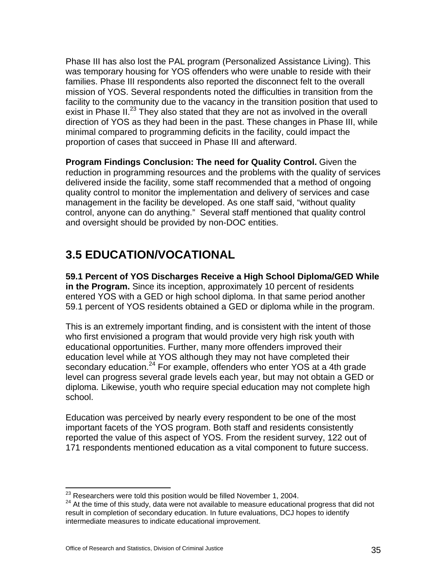Phase III has also lost the PAL program (Personalized Assistance Living). This was temporary housing for YOS offenders who were unable to reside with their families. Phase III respondents also reported the disconnect felt to the overall mission of YOS. Several respondents noted the difficulties in transition from the facility to the community due to the vacancy in the transition position that used to exist in Phase II.<sup>23</sup> They also stated that they are not as involved in the overall direction of YOS as they had been in the past. These changes in Phase III, while minimal compared to programming deficits in the facility, could impact the proportion of cases that succeed in Phase III and afterward.

**Program Findings Conclusion: The need for Quality Control.** Given the reduction in programming resources and the problems with the quality of services delivered inside the facility, some staff recommended that a method of ongoing quality control to monitor the implementation and delivery of services and case management in the facility be developed. As one staff said, "without quality control, anyone can do anything." Several staff mentioned that quality control and oversight should be provided by non-DOC entities.

## **3.5 EDUCATION/VOCATIONAL**

**59.1 Percent of YOS Discharges Receive a High School Diploma/GED While in the Program.** Since its inception, approximately 10 percent of residents entered YOS with a GED or high school diploma. In that same period another 59.1 percent of YOS residents obtained a GED or diploma while in the program.

This is an extremely important finding, and is consistent with the intent of those who first envisioned a program that would provide very high risk youth with educational opportunities. Further, many more offenders improved their education level while at YOS although they may not have completed their secondary education.<sup>24</sup> For example, offenders who enter YOS at a 4th grade level can progress several grade levels each year, but may not obtain a GED or diploma. Likewise, youth who require special education may not complete high school.

Education was perceived by nearly every respondent to be one of the most important facets of the YOS program. Both staff and residents consistently reported the value of this aspect of YOS. From the resident survey, 122 out of 171 respondents mentioned education as a vital component to future success.

<sup>&</sup>lt;sup>23</sup> Researchers were told this position would be filled November 1, 2004.

<sup>&</sup>lt;sup>24</sup> At the time of this study, data were not available to measure educational progress that did not result in completion of secondary education. In future evaluations, DCJ hopes to identify intermediate measures to indicate educational improvement.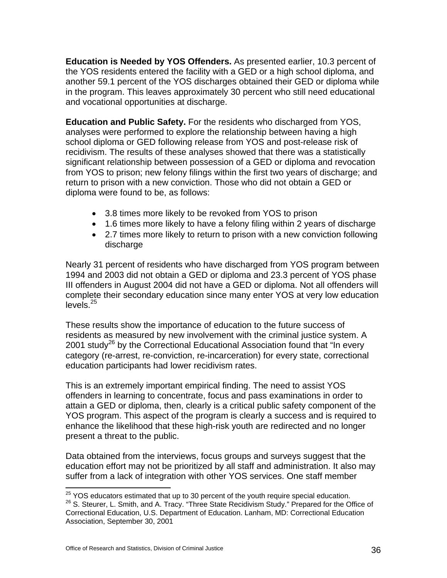**Education is Needed by YOS Offenders.** As presented earlier, 10.3 percent of the YOS residents entered the facility with a GED or a high school diploma, and another 59.1 percent of the YOS discharges obtained their GED or diploma while in the program. This leaves approximately 30 percent who still need educational and vocational opportunities at discharge.

**Education and Public Safety.** For the residents who discharged from YOS, analyses were performed to explore the relationship between having a high school diploma or GED following release from YOS and post-release risk of recidivism. The results of these analyses showed that there was a statistically significant relationship between possession of a GED or diploma and revocation from YOS to prison; new felony filings within the first two years of discharge; and return to prison with a new conviction. Those who did not obtain a GED or diploma were found to be, as follows:

- 3.8 times more likely to be revoked from YOS to prison
- 1.6 times more likely to have a felony filing within 2 years of discharge
- 2.7 times more likely to return to prison with a new conviction following discharge

Nearly 31 percent of residents who have discharged from YOS program between 1994 and 2003 did not obtain a GED or diploma and 23.3 percent of YOS phase III offenders in August 2004 did not have a GED or diploma. Not all offenders will complete their secondary education since many enter YOS at very low education  $levels.<sup>25</sup>$ 

These results show the importance of education to the future success of residents as measured by new involvement with the criminal justice system. A 2001 study<sup>26</sup> by the Correctional Educational Association found that "In every category (re-arrest, re-conviction, re-incarceration) for every state, correctional education participants had lower recidivism rates.

This is an extremely important empirical finding. The need to assist YOS offenders in learning to concentrate, focus and pass examinations in order to attain a GED or diploma, then, clearly is a critical public safety component of the YOS program. This aspect of the program is clearly a success and is required to enhance the likelihood that these high-risk youth are redirected and no longer present a threat to the public.

Data obtained from the interviews, focus groups and surveys suggest that the education effort may not be prioritized by all staff and administration. It also may suffer from a lack of integration with other YOS services. One staff member

<sup>&</sup>lt;sup>25</sup> YOS educators estimated that up to 30 percent of the youth require special education.<br><sup>26</sup> S. Steurer, L. Smith, and A. Tracy. "Three State Recidivism Study." Prepared for the Office of Correctional Education, U.S. Department of Education. Lanham, MD: Correctional Education Association, September 30, 2001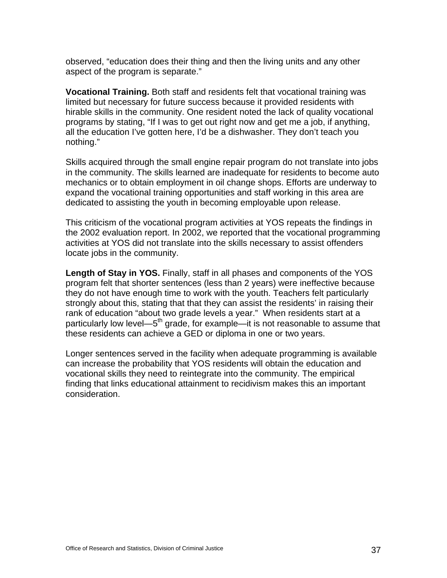observed, "education does their thing and then the living units and any other aspect of the program is separate."

**Vocational Training.** Both staff and residents felt that vocational training was limited but necessary for future success because it provided residents with hirable skills in the community. One resident noted the lack of quality vocational programs by stating, "If I was to get out right now and get me a job, if anything, all the education I've gotten here, I'd be a dishwasher. They don't teach you nothing."

Skills acquired through the small engine repair program do not translate into jobs in the community. The skills learned are inadequate for residents to become auto mechanics or to obtain employment in oil change shops. Efforts are underway to expand the vocational training opportunities and staff working in this area are dedicated to assisting the youth in becoming employable upon release.

This criticism of the vocational program activities at YOS repeats the findings in the 2002 evaluation report. In 2002, we reported that the vocational programming activities at YOS did not translate into the skills necessary to assist offenders locate jobs in the community.

**Length of Stay in YOS.** Finally, staff in all phases and components of the YOS program felt that shorter sentences (less than 2 years) were ineffective because they do not have enough time to work with the youth. Teachers felt particularly strongly about this, stating that that they can assist the residents' in raising their rank of education "about two grade levels a year." When residents start at a particularly low level—5<sup>th</sup> grade, for example—it is not reasonable to assume that these residents can achieve a GED or diploma in one or two years.

Longer sentences served in the facility when adequate programming is available can increase the probability that YOS residents will obtain the education and vocational skills they need to reintegrate into the community. The empirical finding that links educational attainment to recidivism makes this an important consideration.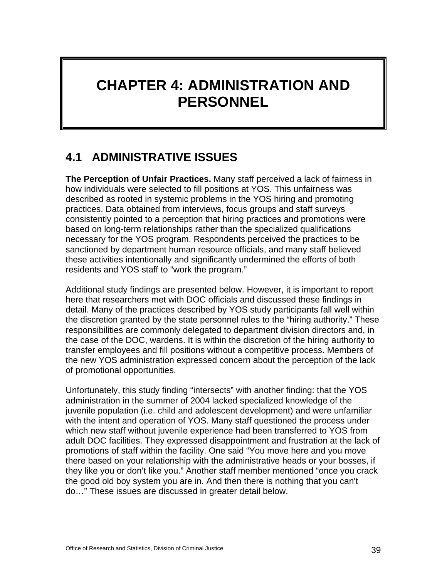# **CHAPTER 4: ADMINISTRATION AND PERSONNEL**

## **4.1 ADMINISTRATIVE ISSUES**

**The Perception of Unfair Practices.** Many staff perceived a lack of fairness in how individuals were selected to fill positions at YOS. This unfairness was described as rooted in systemic problems in the YOS hiring and promoting practices. Data obtained from interviews, focus groups and staff surveys consistently pointed to a perception that hiring practices and promotions were based on long-term relationships rather than the specialized qualifications necessary for the YOS program. Respondents perceived the practices to be sanctioned by department human resource officials, and many staff believed these activities intentionally and significantly undermined the efforts of both residents and YOS staff to "work the program."

Additional study findings are presented below. However, it is important to report here that researchers met with DOC officials and discussed these findings in detail. Many of the practices described by YOS study participants fall well within the discretion granted by the state personnel rules to the "hiring authority." These responsibilities are commonly delegated to department division directors and, in the case of the DOC, wardens. It is within the discretion of the hiring authority to transfer employees and fill positions without a competitive process. Members of the new YOS administration expressed concern about the perception of the lack of promotional opportunities.

Unfortunately, this study finding "intersects" with another finding: that the YOS administration in the summer of 2004 lacked specialized knowledge of the juvenile population (i.e. child and adolescent development) and were unfamiliar with the intent and operation of YOS. Many staff questioned the process under which new staff without juvenile experience had been transferred to YOS from adult DOC facilities. They expressed disappointment and frustration at the lack of promotions of staff within the facility. One said "You move here and you move there based on your relationship with the administrative heads or your bosses, if they like you or don't like you." Another staff member mentioned "once you crack the good old boy system you are in. And then there is nothing that you can't do…" These issues are discussed in greater detail below.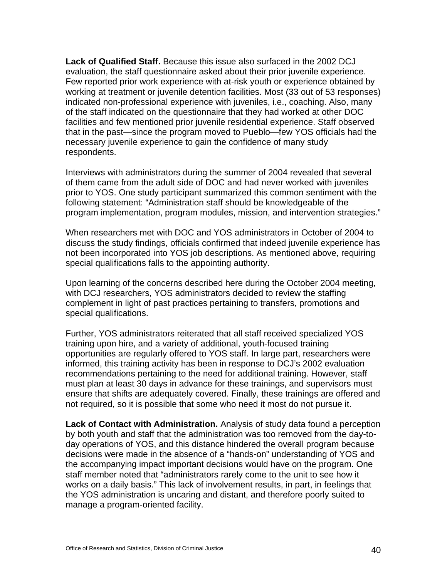**Lack of Qualified Staff.** Because this issue also surfaced in the 2002 DCJ evaluation, the staff questionnaire asked about their prior juvenile experience. Few reported prior work experience with at-risk youth or experience obtained by working at treatment or juvenile detention facilities. Most (33 out of 53 responses) indicated non-professional experience with juveniles, i.e., coaching. Also, many of the staff indicated on the questionnaire that they had worked at other DOC facilities and few mentioned prior juvenile residential experience. Staff observed that in the past—since the program moved to Pueblo—few YOS officials had the necessary juvenile experience to gain the confidence of many study respondents.

Interviews with administrators during the summer of 2004 revealed that several of them came from the adult side of DOC and had never worked with juveniles prior to YOS. One study participant summarized this common sentiment with the following statement: "Administration staff should be knowledgeable of the program implementation, program modules, mission, and intervention strategies."

When researchers met with DOC and YOS administrators in October of 2004 to discuss the study findings, officials confirmed that indeed juvenile experience has not been incorporated into YOS job descriptions. As mentioned above, requiring special qualifications falls to the appointing authority.

Upon learning of the concerns described here during the October 2004 meeting, with DCJ researchers, YOS administrators decided to review the staffing complement in light of past practices pertaining to transfers, promotions and special qualifications.

Further, YOS administrators reiterated that all staff received specialized YOS training upon hire, and a variety of additional, youth-focused training opportunities are regularly offered to YOS staff. In large part, researchers were informed, this training activity has been in response to DCJ's 2002 evaluation recommendations pertaining to the need for additional training. However, staff must plan at least 30 days in advance for these trainings, and supervisors must ensure that shifts are adequately covered. Finally, these trainings are offered and not required, so it is possible that some who need it most do not pursue it.

**Lack of Contact with Administration.** Analysis of study data found a perception by both youth and staff that the administration was too removed from the day-today operations of YOS, and this distance hindered the overall program because decisions were made in the absence of a "hands-on" understanding of YOS and the accompanying impact important decisions would have on the program. One staff member noted that "administrators rarely come to the unit to see how it works on a daily basis." This lack of involvement results, in part, in feelings that the YOS administration is uncaring and distant, and therefore poorly suited to manage a program-oriented facility.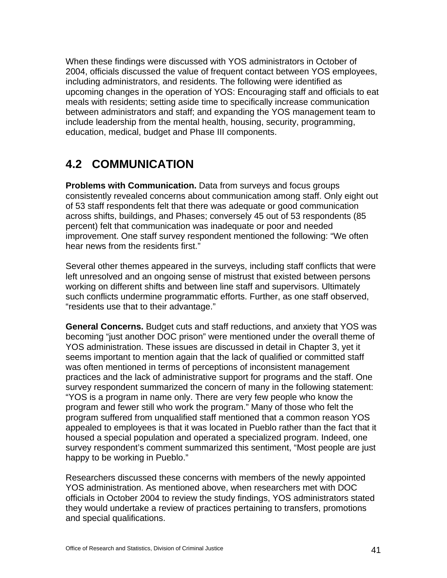When these findings were discussed with YOS administrators in October of 2004, officials discussed the value of frequent contact between YOS employees, including administrators, and residents. The following were identified as upcoming changes in the operation of YOS: Encouraging staff and officials to eat meals with residents; setting aside time to specifically increase communication between administrators and staff; and expanding the YOS management team to include leadership from the mental health, housing, security, programming, education, medical, budget and Phase III components.

### **4.2 COMMUNICATION**

**Problems with Communication.** Data from surveys and focus groups consistently revealed concerns about communication among staff. Only eight out of 53 staff respondents felt that there was adequate or good communication across shifts, buildings, and Phases; conversely 45 out of 53 respondents (85 percent) felt that communication was inadequate or poor and needed improvement. One staff survey respondent mentioned the following: "We often hear news from the residents first."

Several other themes appeared in the surveys, including staff conflicts that were left unresolved and an ongoing sense of mistrust that existed between persons working on different shifts and between line staff and supervisors. Ultimately such conflicts undermine programmatic efforts. Further, as one staff observed, "residents use that to their advantage."

**General Concerns.** Budget cuts and staff reductions, and anxiety that YOS was becoming "just another DOC prison" were mentioned under the overall theme of YOS administration. These issues are discussed in detail in Chapter 3, yet it seems important to mention again that the lack of qualified or committed staff was often mentioned in terms of perceptions of inconsistent management practices and the lack of administrative support for programs and the staff. One survey respondent summarized the concern of many in the following statement: "YOS is a program in name only. There are very few people who know the program and fewer still who work the program." Many of those who felt the program suffered from unqualified staff mentioned that a common reason YOS appealed to employees is that it was located in Pueblo rather than the fact that it housed a special population and operated a specialized program. Indeed, one survey respondent's comment summarized this sentiment, "Most people are just happy to be working in Pueblo."

Researchers discussed these concerns with members of the newly appointed YOS administration. As mentioned above, when researchers met with DOC officials in October 2004 to review the study findings, YOS administrators stated they would undertake a review of practices pertaining to transfers, promotions and special qualifications.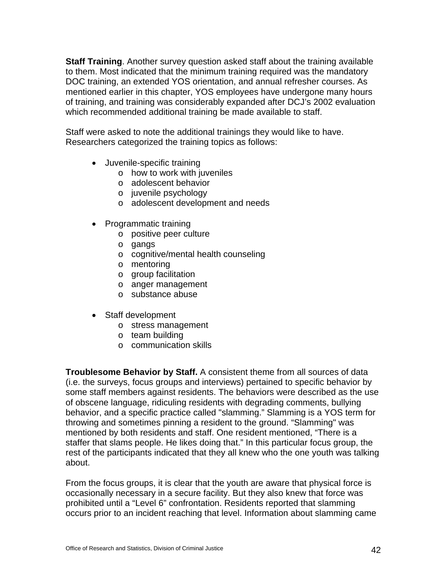**Staff Training**. Another survey question asked staff about the training available to them. Most indicated that the minimum training required was the mandatory DOC training, an extended YOS orientation, and annual refresher courses. As mentioned earlier in this chapter, YOS employees have undergone many hours of training, and training was considerably expanded after DCJ's 2002 evaluation which recommended additional training be made available to staff.

Staff were asked to note the additional trainings they would like to have. Researchers categorized the training topics as follows:

- Juvenile-specific training
	- o how to work with juveniles
	- o adolescent behavior
	- o juvenile psychology
	- o adolescent development and needs
- Programmatic training
	- o positive peer culture
	- o gangs
	- o cognitive/mental health counseling
	- o mentoring
	- o group facilitation
	- o anger management
	- o substance abuse
- Staff development
	- o stress management
	- o team building
	- o communication skills

**Troublesome Behavior by Staff.** A consistent theme from all sources of data (i.e. the surveys, focus groups and interviews) pertained to specific behavior by some staff members against residents. The behaviors were described as the use of obscene language, ridiculing residents with degrading comments, bullying behavior, and a specific practice called "slamming." Slamming is a YOS term for throwing and sometimes pinning a resident to the ground. "Slamming" was mentioned by both residents and staff. One resident mentioned, "There is a staffer that slams people. He likes doing that." In this particular focus group, the rest of the participants indicated that they all knew who the one youth was talking about.

From the focus groups, it is clear that the youth are aware that physical force is occasionally necessary in a secure facility. But they also knew that force was prohibited until a "Level 6" confrontation. Residents reported that slamming occurs prior to an incident reaching that level. Information about slamming came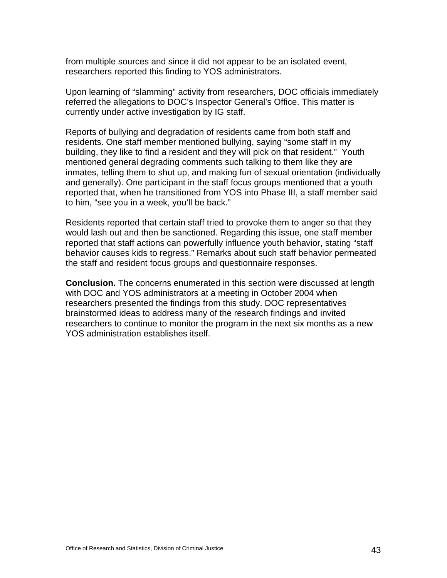from multiple sources and since it did not appear to be an isolated event, researchers reported this finding to YOS administrators.

Upon learning of "slamming" activity from researchers, DOC officials immediately referred the allegations to DOC's Inspector General's Office. This matter is currently under active investigation by IG staff.

Reports of bullying and degradation of residents came from both staff and residents. One staff member mentioned bullying, saying "some staff in my building, they like to find a resident and they will pick on that resident." Youth mentioned general degrading comments such talking to them like they are inmates, telling them to shut up, and making fun of sexual orientation (individually and generally). One participant in the staff focus groups mentioned that a youth reported that, when he transitioned from YOS into Phase III, a staff member said to him, "see you in a week, you'll be back."

Residents reported that certain staff tried to provoke them to anger so that they would lash out and then be sanctioned. Regarding this issue, one staff member reported that staff actions can powerfully influence youth behavior, stating "staff behavior causes kids to regress." Remarks about such staff behavior permeated the staff and resident focus groups and questionnaire responses.

**Conclusion.** The concerns enumerated in this section were discussed at length with DOC and YOS administrators at a meeting in October 2004 when researchers presented the findings from this study. DOC representatives brainstormed ideas to address many of the research findings and invited researchers to continue to monitor the program in the next six months as a new YOS administration establishes itself.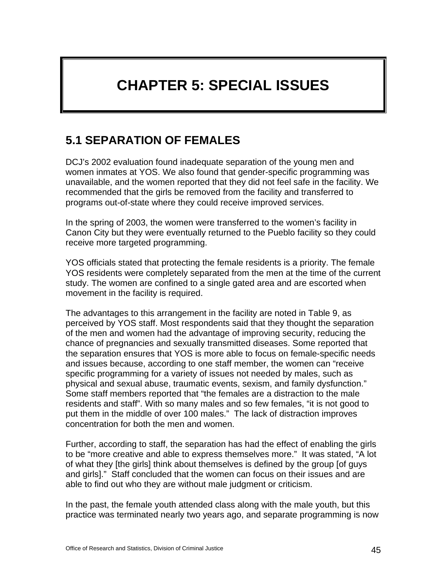# **CHAPTER 5: SPECIAL ISSUES**

## **5.1 SEPARATION OF FEMALES**

DCJ's 2002 evaluation found inadequate separation of the young men and women inmates at YOS. We also found that gender-specific programming was unavailable, and the women reported that they did not feel safe in the facility. We recommended that the girls be removed from the facility and transferred to programs out-of-state where they could receive improved services.

In the spring of 2003, the women were transferred to the women's facility in Canon City but they were eventually returned to the Pueblo facility so they could receive more targeted programming.

YOS officials stated that protecting the female residents is a priority. The female YOS residents were completely separated from the men at the time of the current study. The women are confined to a single gated area and are escorted when movement in the facility is required.

The advantages to this arrangement in the facility are noted in Table 9, as perceived by YOS staff. Most respondents said that they thought the separation of the men and women had the advantage of improving security, reducing the chance of pregnancies and sexually transmitted diseases. Some reported that the separation ensures that YOS is more able to focus on female-specific needs and issues because, according to one staff member, the women can "receive specific programming for a variety of issues not needed by males, such as physical and sexual abuse, traumatic events, sexism, and family dysfunction." Some staff members reported that "the females are a distraction to the male residents and staff". With so many males and so few females, "it is not good to put them in the middle of over 100 males." The lack of distraction improves concentration for both the men and women.

Further, according to staff, the separation has had the effect of enabling the girls to be "more creative and able to express themselves more." It was stated, "A lot of what they [the girls] think about themselves is defined by the group [of guys and girls]." Staff concluded that the women can focus on their issues and are able to find out who they are without male judgment or criticism.

In the past, the female youth attended class along with the male youth, but this practice was terminated nearly two years ago, and separate programming is now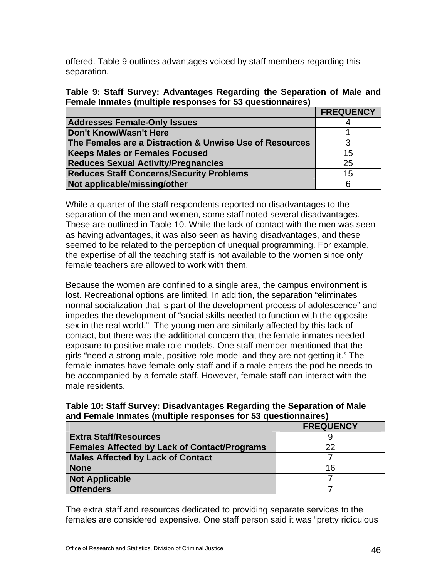offered. Table 9 outlines advantages voiced by staff members regarding this separation.

| Table 9: Staff Survey: Advantages Regarding the Separation of Male and |  |  |
|------------------------------------------------------------------------|--|--|
| Female Inmates (multiple responses for 53 questionnaires)              |  |  |

|                                                         | <b>FREQUENCY</b> |
|---------------------------------------------------------|------------------|
| <b>Addresses Female-Only Issues</b>                     |                  |
| Don't Know/Wasn't Here                                  |                  |
| The Females are a Distraction & Unwise Use of Resources |                  |
| <b>Keeps Males or Females Focused</b>                   | 15               |
| <b>Reduces Sexual Activity/Pregnancies</b>              | 25               |
| <b>Reduces Staff Concerns/Security Problems</b>         | 15               |
| Not applicable/missing/other                            |                  |

While a quarter of the staff respondents reported no disadvantages to the separation of the men and women, some staff noted several disadvantages. These are outlined in Table 10. While the lack of contact with the men was seen as having advantages, it was also seen as having disadvantages, and these seemed to be related to the perception of unequal programming. For example, the expertise of all the teaching staff is not available to the women since only female teachers are allowed to work with them.

Because the women are confined to a single area, the campus environment is lost. Recreational options are limited. In addition, the separation "eliminates normal socialization that is part of the development process of adolescence" and impedes the development of "social skills needed to function with the opposite sex in the real world." The young men are similarly affected by this lack of contact, but there was the additional concern that the female inmates needed exposure to positive male role models. One staff member mentioned that the girls "need a strong male, positive role model and they are not getting it." The female inmates have female-only staff and if a male enters the pod he needs to be accompanied by a female staff. However, female staff can interact with the male residents.

| Table 10: Staff Survey: Disadvantages Regarding the Separation of Male |  |  |
|------------------------------------------------------------------------|--|--|
| and Female Inmates (multiple responses for 53 questionnaires)          |  |  |

|                                                     | <b>FREQUENCY</b> |
|-----------------------------------------------------|------------------|
| <b>Extra Staff/Resources</b>                        |                  |
| <b>Females Affected by Lack of Contact/Programs</b> | 22               |
| <b>Males Affected by Lack of Contact</b>            |                  |
| <b>None</b>                                         | 16               |
| <b>Not Applicable</b>                               |                  |
| <b>Offenders</b>                                    |                  |

The extra staff and resources dedicated to providing separate services to the females are considered expensive. One staff person said it was "pretty ridiculous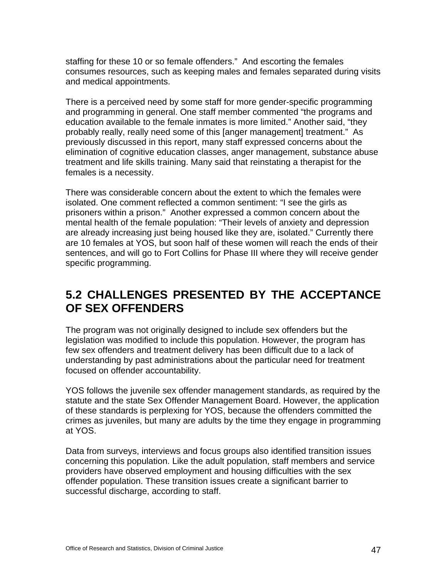staffing for these 10 or so female offenders." And escorting the females consumes resources, such as keeping males and females separated during visits and medical appointments.

There is a perceived need by some staff for more gender-specific programming and programming in general. One staff member commented "the programs and education available to the female inmates is more limited." Another said, "they probably really, really need some of this [anger management] treatment." As previously discussed in this report, many staff expressed concerns about the elimination of cognitive education classes, anger management, substance abuse treatment and life skills training. Many said that reinstating a therapist for the females is a necessity.

There was considerable concern about the extent to which the females were isolated. One comment reflected a common sentiment: "I see the girls as prisoners within a prison." Another expressed a common concern about the mental health of the female population: "Their levels of anxiety and depression are already increasing just being housed like they are, isolated." Currently there are 10 females at YOS, but soon half of these women will reach the ends of their sentences, and will go to Fort Collins for Phase III where they will receive gender specific programming.

## **5.2 CHALLENGES PRESENTED BY THE ACCEPTANCE OF SEX OFFENDERS**

The program was not originally designed to include sex offenders but the legislation was modified to include this population. However, the program has few sex offenders and treatment delivery has been difficult due to a lack of understanding by past administrations about the particular need for treatment focused on offender accountability.

YOS follows the juvenile sex offender management standards, as required by the statute and the state Sex Offender Management Board. However, the application of these standards is perplexing for YOS, because the offenders committed the crimes as juveniles, but many are adults by the time they engage in programming at YOS.

Data from surveys, interviews and focus groups also identified transition issues concerning this population. Like the adult population, staff members and service providers have observed employment and housing difficulties with the sex offender population. These transition issues create a significant barrier to successful discharge, according to staff.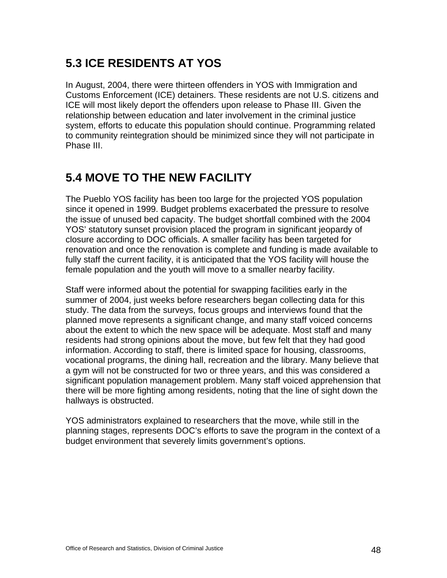## **5.3 ICE RESIDENTS AT YOS**

In August, 2004, there were thirteen offenders in YOS with Immigration and Customs Enforcement (ICE) detainers. These residents are not U.S. citizens and ICE will most likely deport the offenders upon release to Phase III. Given the relationship between education and later involvement in the criminal justice system, efforts to educate this population should continue. Programming related to community reintegration should be minimized since they will not participate in Phase III.

### **5.4 MOVE TO THE NEW FACILITY**

The Pueblo YOS facility has been too large for the projected YOS population since it opened in 1999. Budget problems exacerbated the pressure to resolve the issue of unused bed capacity. The budget shortfall combined with the 2004 YOS' statutory sunset provision placed the program in significant jeopardy of closure according to DOC officials. A smaller facility has been targeted for renovation and once the renovation is complete and funding is made available to fully staff the current facility, it is anticipated that the YOS facility will house the female population and the youth will move to a smaller nearby facility.

Staff were informed about the potential for swapping facilities early in the summer of 2004, just weeks before researchers began collecting data for this study. The data from the surveys, focus groups and interviews found that the planned move represents a significant change, and many staff voiced concerns about the extent to which the new space will be adequate. Most staff and many residents had strong opinions about the move, but few felt that they had good information. According to staff, there is limited space for housing, classrooms, vocational programs, the dining hall, recreation and the library. Many believe that a gym will not be constructed for two or three years, and this was considered a significant population management problem. Many staff voiced apprehension that there will be more fighting among residents, noting that the line of sight down the hallways is obstructed.

YOS administrators explained to researchers that the move, while still in the planning stages, represents DOC's efforts to save the program in the context of a budget environment that severely limits government's options.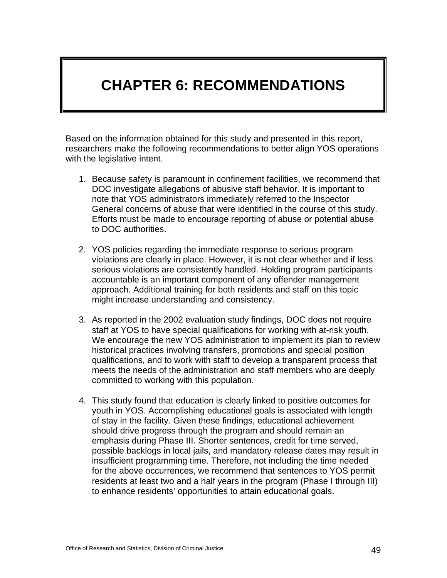# **CHAPTER 6: RECOMMENDATIONS**

Based on the information obtained for this study and presented in this report, researchers make the following recommendations to better align YOS operations with the legislative intent.

- 1. Because safety is paramount in confinement facilities, we recommend that DOC investigate allegations of abusive staff behavior. It is important to note that YOS administrators immediately referred to the Inspector General concerns of abuse that were identified in the course of this study. Efforts must be made to encourage reporting of abuse or potential abuse to DOC authorities.
- 2. YOS policies regarding the immediate response to serious program violations are clearly in place. However, it is not clear whether and if less serious violations are consistently handled. Holding program participants accountable is an important component of any offender management approach. Additional training for both residents and staff on this topic might increase understanding and consistency.
- 3. As reported in the 2002 evaluation study findings, DOC does not require staff at YOS to have special qualifications for working with at-risk youth. We encourage the new YOS administration to implement its plan to review historical practices involving transfers, promotions and special position qualifications, and to work with staff to develop a transparent process that meets the needs of the administration and staff members who are deeply committed to working with this population.
- 4. This study found that education is clearly linked to positive outcomes for youth in YOS. Accomplishing educational goals is associated with length of stay in the facility. Given these findings, educational achievement should drive progress through the program and should remain an emphasis during Phase III. Shorter sentences, credit for time served, possible backlogs in local jails, and mandatory release dates may result in insufficient programming time. Therefore, not including the time needed for the above occurrences, we recommend that sentences to YOS permit residents at least two and a half years in the program (Phase I through III) to enhance residents' opportunities to attain educational goals.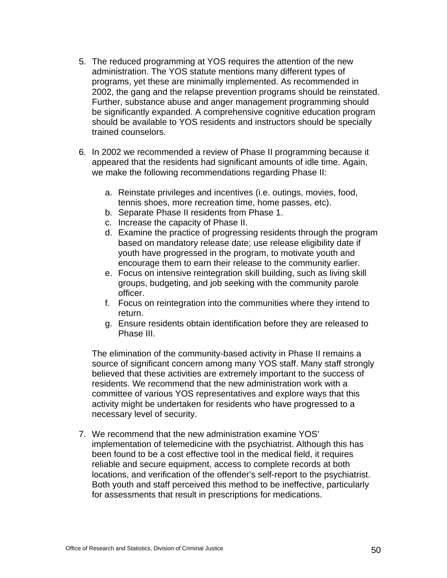- 5. The reduced programming at YOS requires the attention of the new administration. The YOS statute mentions many different types of programs, yet these are minimally implemented. As recommended in 2002, the gang and the relapse prevention programs should be reinstated. Further, substance abuse and anger management programming should be significantly expanded. A comprehensive cognitive education program should be available to YOS residents and instructors should be specially trained counselors.
- 6. In 2002 we recommended a review of Phase II programming because it appeared that the residents had significant amounts of idle time. Again, we make the following recommendations regarding Phase II:
	- a. Reinstate privileges and incentives (i.e. outings, movies, food, tennis shoes, more recreation time, home passes, etc).
	- b. Separate Phase II residents from Phase 1.
	- c. Increase the capacity of Phase II.
	- d. Examine the practice of progressing residents through the program based on mandatory release date; use release eligibility date if youth have progressed in the program, to motivate youth and encourage them to earn their release to the community earlier.
	- e. Focus on intensive reintegration skill building, such as living skill groups, budgeting, and job seeking with the community parole officer.
	- f. Focus on reintegration into the communities where they intend to return.
	- g. Ensure residents obtain identification before they are released to Phase III.

The elimination of the community-based activity in Phase II remains a source of significant concern among many YOS staff. Many staff strongly believed that these activities are extremely important to the success of residents. We recommend that the new administration work with a committee of various YOS representatives and explore ways that this activity might be undertaken for residents who have progressed to a necessary level of security.

7. We recommend that the new administration examine YOS' implementation of telemedicine with the psychiatrist. Although this has been found to be a cost effective tool in the medical field, it requires reliable and secure equipment, access to complete records at both locations, and verification of the offender's self-report to the psychiatrist. Both youth and staff perceived this method to be ineffective, particularly for assessments that result in prescriptions for medications.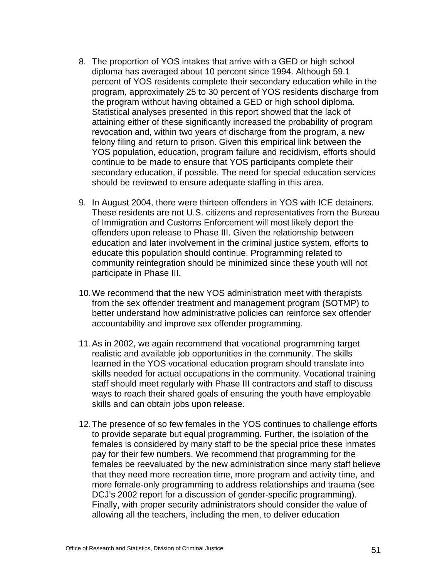- 8. The proportion of YOS intakes that arrive with a GED or high school diploma has averaged about 10 percent since 1994. Although 59.1 percent of YOS residents complete their secondary education while in the program, approximately 25 to 30 percent of YOS residents discharge from the program without having obtained a GED or high school diploma. Statistical analyses presented in this report showed that the lack of attaining either of these significantly increased the probability of program revocation and, within two years of discharge from the program, a new felony filing and return to prison. Given this empirical link between the YOS population, education, program failure and recidivism, efforts should continue to be made to ensure that YOS participants complete their secondary education, if possible. The need for special education services should be reviewed to ensure adequate staffing in this area.
- 9. In August 2004, there were thirteen offenders in YOS with ICE detainers. These residents are not U.S. citizens and representatives from the Bureau of Immigration and Customs Enforcement will most likely deport the offenders upon release to Phase III. Given the relationship between education and later involvement in the criminal justice system, efforts to educate this population should continue. Programming related to community reintegration should be minimized since these youth will not participate in Phase III.
- 10. We recommend that the new YOS administration meet with therapists from the sex offender treatment and management program (SOTMP) to better understand how administrative policies can reinforce sex offender accountability and improve sex offender programming.
- 11. As in 2002, we again recommend that vocational programming target realistic and available job opportunities in the community. The skills learned in the YOS vocational education program should translate into skills needed for actual occupations in the community. Vocational training staff should meet regularly with Phase III contractors and staff to discuss ways to reach their shared goals of ensuring the youth have employable skills and can obtain jobs upon release.
- 12. The presence of so few females in the YOS continues to challenge efforts to provide separate but equal programming. Further, the isolation of the females is considered by many staff to be the special price these inmates pay for their few numbers. We recommend that programming for the females be reevaluated by the new administration since many staff believe that they need more recreation time, more program and activity time, and more female-only programming to address relationships and trauma (see DCJ's 2002 report for a discussion of gender-specific programming). Finally, with proper security administrators should consider the value of allowing all the teachers, including the men, to deliver education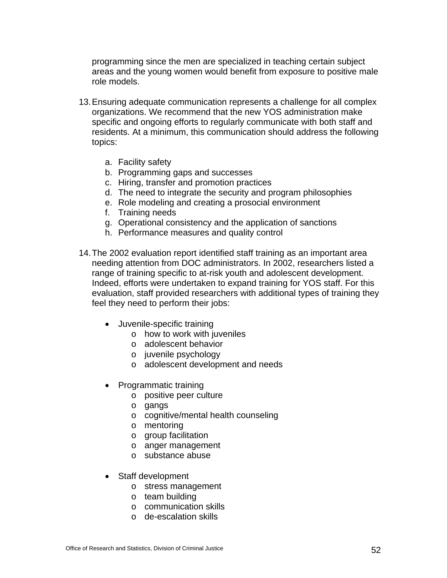programming since the men are specialized in teaching certain subject areas and the young women would benefit from exposure to positive male role models.

- 13. Ensuring adequate communication represents a challenge for all complex organizations. We recommend that the new YOS administration make specific and ongoing efforts to regularly communicate with both staff and residents. At a minimum, this communication should address the following topics:
	- a. Facility safety
	- b. Programming gaps and successes
	- c. Hiring, transfer and promotion practices
	- d. The need to integrate the security and program philosophies
	- e. Role modeling and creating a prosocial environment
	- f. Training needs
	- g. Operational consistency and the application of sanctions
	- h. Performance measures and quality control
- 14. The 2002 evaluation report identified staff training as an important area needing attention from DOC administrators. In 2002, researchers listed a range of training specific to at-risk youth and adolescent development. Indeed, efforts were undertaken to expand training for YOS staff. For this evaluation, staff provided researchers with additional types of training they feel they need to perform their jobs:
	- Juvenile-specific training
		- o how to work with juveniles
		- o adolescent behavior
		- o juvenile psychology
		- o adolescent development and needs
	- Programmatic training
		- o positive peer culture
		- o gangs
		- o cognitive/mental health counseling
		- o mentoring
		- o group facilitation
		- o anger management
		- o substance abuse
	- Staff development
		- o stress management
		- o team building
		- o communication skills
		- o de-escalation skills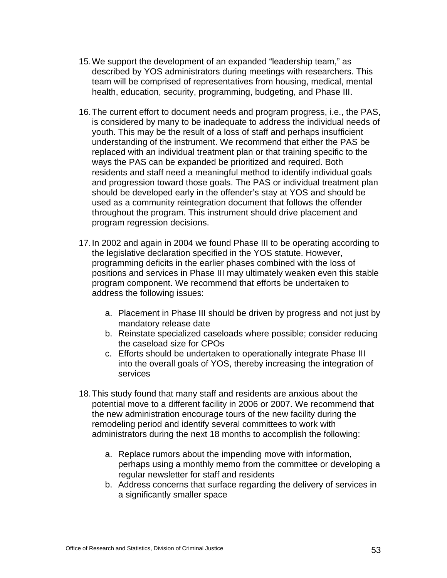- 15. We support the development of an expanded "leadership team," as described by YOS administrators during meetings with researchers. This team will be comprised of representatives from housing, medical, mental health, education, security, programming, budgeting, and Phase III.
- 16. The current effort to document needs and program progress, i.e., the PAS, is considered by many to be inadequate to address the individual needs of youth. This may be the result of a loss of staff and perhaps insufficient understanding of the instrument. We recommend that either the PAS be replaced with an individual treatment plan or that training specific to the ways the PAS can be expanded be prioritized and required. Both residents and staff need a meaningful method to identify individual goals and progression toward those goals. The PAS or individual treatment plan should be developed early in the offender's stay at YOS and should be used as a community reintegration document that follows the offender throughout the program. This instrument should drive placement and program regression decisions.
- 17. In 2002 and again in 2004 we found Phase III to be operating according to the legislative declaration specified in the YOS statute. However, programming deficits in the earlier phases combined with the loss of positions and services in Phase III may ultimately weaken even this stable program component. We recommend that efforts be undertaken to address the following issues:
	- a. Placement in Phase III should be driven by progress and not just by mandatory release date
	- b. Reinstate specialized caseloads where possible; consider reducing the caseload size for CPOs
	- c. Efforts should be undertaken to operationally integrate Phase III into the overall goals of YOS, thereby increasing the integration of services
- 18. This study found that many staff and residents are anxious about the potential move to a different facility in 2006 or 2007. We recommend that the new administration encourage tours of the new facility during the remodeling period and identify several committees to work with administrators during the next 18 months to accomplish the following:
	- a. Replace rumors about the impending move with information, perhaps using a monthly memo from the committee or developing a regular newsletter for staff and residents
	- b. Address concerns that surface regarding the delivery of services in a significantly smaller space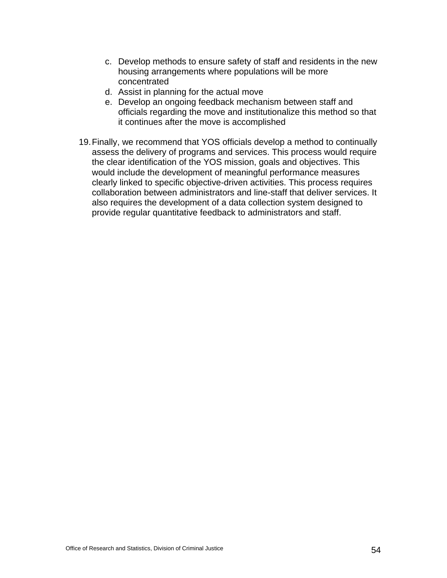- c. Develop methods to ensure safety of staff and residents in the new housing arrangements where populations will be more concentrated
- d. Assist in planning for the actual move
- e. Develop an ongoing feedback mechanism between staff and officials regarding the move and institutionalize this method so that it continues after the move is accomplished
- 19. Finally, we recommend that YOS officials develop a method to continually assess the delivery of programs and services. This process would require the clear identification of the YOS mission, goals and objectives. This would include the development of meaningful performance measures clearly linked to specific objective-driven activities. This process requires collaboration between administrators and line-staff that deliver services. It also requires the development of a data collection system designed to provide regular quantitative feedback to administrators and staff.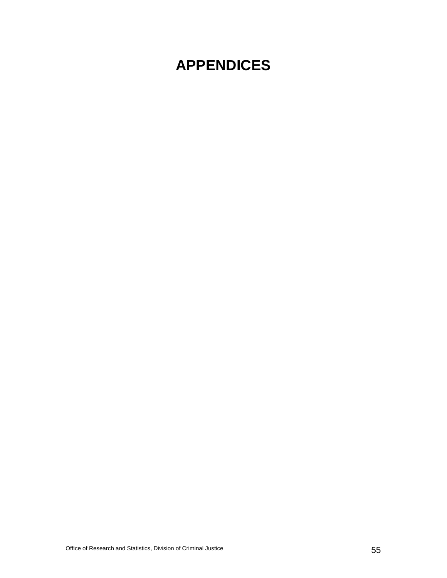# **APPENDICES**

Office of Research and Statistics, Division of Criminal Justice 55 and 55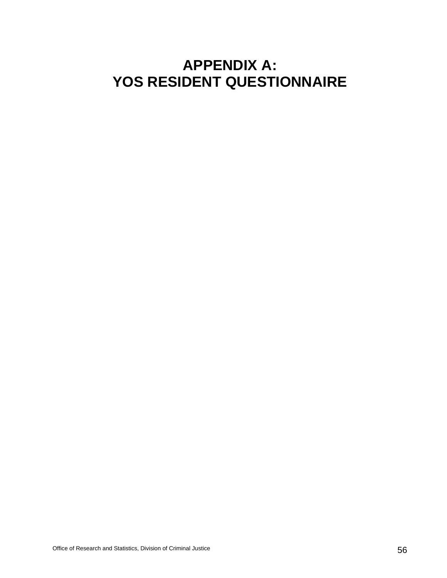# **APPENDIX A: YOS RESIDENT QUESTIONNAIRE**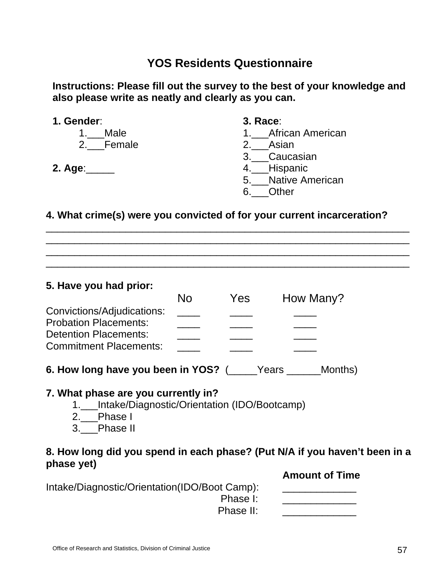**Instructions: Please fill out the survey to the best of your knowledge and also please write as neatly and clearly as you can.**

| 1. Gender:    | <b>3. Race:</b>     |
|---------------|---------------------|
| Male<br>1.    | 1. African American |
| 2. Female     | 2. Asian            |
|               | 3. Caucasian        |
| 2. Age: _____ | 4. Hispanic         |
|               | 5. Native American  |
|               | Other               |

#### **4. What crime(s) were you convicted of for your current incarceration?**

\_\_\_\_\_\_\_\_\_\_\_\_\_\_\_\_\_\_\_\_\_\_\_\_\_\_\_\_\_\_\_\_\_\_\_\_\_\_\_\_\_\_\_\_\_\_\_\_\_\_\_\_\_\_\_\_\_\_\_\_\_\_\_\_ \_\_\_\_\_\_\_\_\_\_\_\_\_\_\_\_\_\_\_\_\_\_\_\_\_\_\_\_\_\_\_\_\_\_\_\_\_\_\_\_\_\_\_\_\_\_\_\_\_\_\_\_\_\_\_\_\_\_\_\_\_\_\_\_ \_\_\_\_\_\_\_\_\_\_\_\_\_\_\_\_\_\_\_\_\_\_\_\_\_\_\_\_\_\_\_\_\_\_\_\_\_\_\_\_\_\_\_\_\_\_\_\_\_\_\_\_\_\_\_\_\_\_\_\_\_\_\_\_ \_\_\_\_\_\_\_\_\_\_\_\_\_\_\_\_\_\_\_\_\_\_\_\_\_\_\_\_\_\_\_\_\_\_\_\_\_\_\_\_\_\_\_\_\_\_\_\_\_\_\_\_\_\_\_\_\_\_\_\_\_\_\_\_

**5. Have you had prior:** 

|                               | No | Yes | How Many? |
|-------------------------------|----|-----|-----------|
| Convictions/Adjudications:    |    |     |           |
| <b>Probation Placements:</b>  |    |     |           |
| <b>Detention Placements:</b>  |    |     |           |
| <b>Commitment Placements:</b> |    |     |           |
|                               |    |     |           |

## **6. How long have you been in YOS?** (\_\_\_\_\_Years \_\_\_\_\_\_Months)

#### **7. What phase are you currently in?**

- 1.\_\_\_Intake/Diagnostic/Orientation (IDO/Bootcamp)
- 2.\_\_\_Phase I
- 3.\_\_\_Phase II

### **8. How long did you spend in each phase? (Put N/A if you haven't been in a phase yet)**

 **Amount of Time** 

| Intake/Diagnostic/Orientation(IDO/Boot Camp): |  |
|-----------------------------------------------|--|
| Phase I:                                      |  |
| Phase II:                                     |  |
|                                               |  |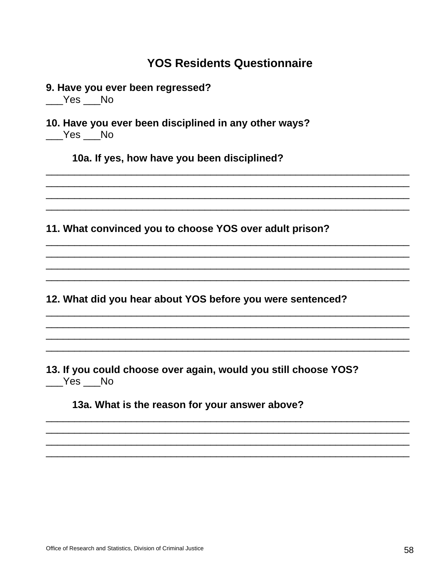9. Have you ever been regressed?

 $Yes$  No

10. Have you ever been disciplined in any other ways?  $Yes$  No

10a. If yes, how have you been disciplined?

11. What convinced you to choose YOS over adult prison?

12. What did you hear about YOS before you were sentenced?

13. If you could choose over again, would you still choose YOS? Yes No

13a. What is the reason for your answer above?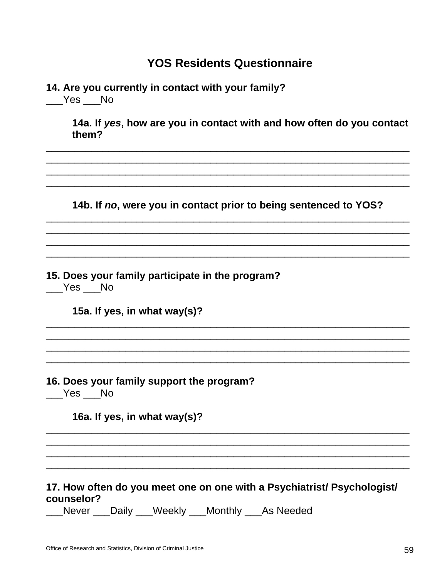| 14. Are you currently in contact with your family?<br>_Yes ___No                      |
|---------------------------------------------------------------------------------------|
| 14a. If yes, how are you in contact with and how often do you contact<br>them?        |
|                                                                                       |
| 14b. If no, were you in contact prior to being sentenced to YOS?                      |
|                                                                                       |
| 15. Does your family participate in the program?<br>Yes No                            |
| 15a. If yes, in what way(s)?                                                          |
|                                                                                       |
| 16. Does your family support the program?<br>Yes No                                   |
| 16a. If yes, in what way(s)?                                                          |
|                                                                                       |
| 17. How often do you meet one on one with a Psychiatrist/ Psychologist/<br>counselor? |

\_\_\_Never \_\_\_Daily \_\_\_Weekly \_\_\_Monthly \_\_\_As Needed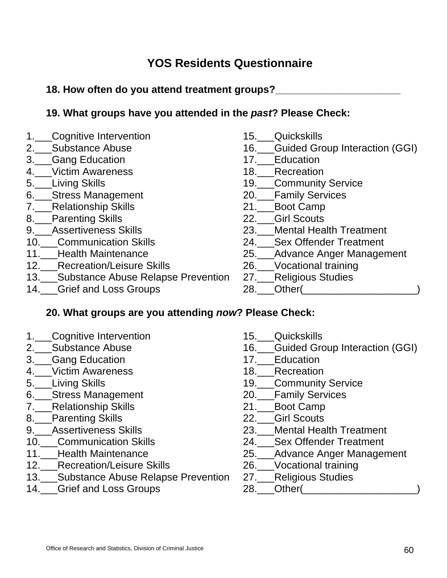**18. How often do you attend treatment groups?\_\_\_\_\_\_\_\_\_\_\_\_\_\_\_\_\_\_\_\_\_\_** 

### **19. What groups have you attended in the** *past***? Please Check:**

- 1.\_\_\_Cognitive Intervention
- 2.\_\_\_Substance Abuse
- 3.\_\_\_Gang Education
- 4.\_\_\_Victim Awareness
- 5.\_\_\_Living Skills
- 6.\_\_\_Stress Management
- 7.\_\_\_Relationship Skills
- 8.\_\_\_Parenting Skills
- 9. Assertiveness Skills
- 10.\_\_\_Communication Skills
- 11.\_\_\_Health Maintenance
- 12.\_\_\_Recreation/Leisure Skills
- 13.\_\_\_Substance Abuse Relapse Prevention
- 14. Grief and Loss Groups
- 15.\_\_\_Quickskills
- 16.\_\_\_Guided Group Interaction (GGI)
- 17.\_\_\_Education
- 18.\_\_\_Recreation
- 19. Community Service
- 20.\_\_\_Family Services
- 21.\_\_\_Boot Camp
- 22.\_\_\_Girl Scouts
- 23. Mental Health Treatment
- 24.\_\_\_Sex Offender Treatment
- 25.\_\_\_Advance Anger Management
- 26.\_\_\_Vocational training
- 27.\_\_\_Religious Studies
- 28.\_\_\_Other(\_\_\_\_\_\_\_\_\_\_\_\_\_\_\_\_\_\_\_\_)

### **20. What groups are you attending** *now***? Please Check:**

- 1. Cognitive Intervention
- 2.\_\_\_Substance Abuse
- 3.\_\_\_Gang Education
- 4.\_\_\_Victim Awareness
- 5.\_\_\_Living Skills
- 6.\_\_\_Stress Management
- 7.\_\_\_Relationship Skills
- 8.\_\_\_Parenting Skills
- 9.\_\_\_Assertiveness Skills
- 10.\_\_\_Communication Skills
- 11.\_\_\_Health Maintenance
- 12.\_\_\_Recreation/Leisure Skills
- 13.\_\_\_Substance Abuse Relapse Prevention
- 14.\_\_\_Grief and Loss Groups
- 15. Quickskills
- 16.\_\_\_Guided Group Interaction (GGI)
- 17.\_\_\_Education
- 18.\_\_\_Recreation
- 19.\_\_\_Community Service
- 20.\_\_\_Family Services
- 21.\_\_\_Boot Camp
- 22.\_\_\_Girl Scouts
- 23.\_\_\_Mental Health Treatment
- 24.\_\_\_Sex Offender Treatment
- 25.\_\_\_Advance Anger Management
- 26.\_\_\_Vocational training
- 27.\_\_\_Religious Studies
- 28.\_\_\_Other(\_\_\_\_\_\_\_\_\_\_\_\_\_\_\_\_\_\_\_\_\_\_\_)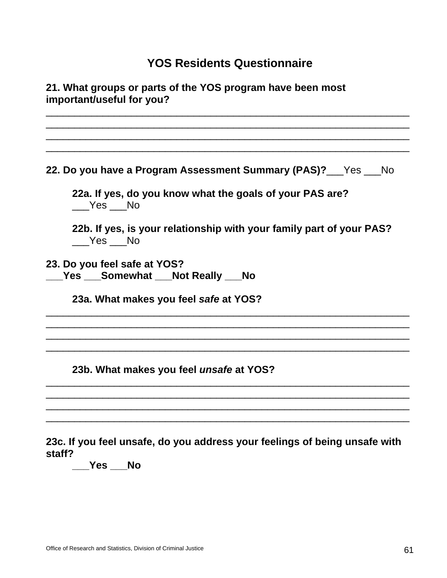| 21. What groups or parts of the YOS program have been most<br>important/useful for you? |  |
|-----------------------------------------------------------------------------------------|--|
|                                                                                         |  |
| 22. Do you have a Program Assessment Summary (PAS)? Yes Mo                              |  |
| 22a. If yes, do you know what the goals of your PAS are?<br>Yes No                      |  |
| 22b. If yes, is your relationship with your family part of your PAS?<br>Yes No          |  |
| 23. Do you feel safe at YOS?<br>Yes ___Somewhat ___Not Really ___No                     |  |
| 23a. What makes you feel safe at YOS?                                                   |  |
| 23b. What makes you feel unsafe at YOS?                                                 |  |
|                                                                                         |  |
| 23c. If you feel unsafe, do you address your feelings of being unsafe with              |  |

**\_\_\_Yes \_\_\_No** 

**staff?**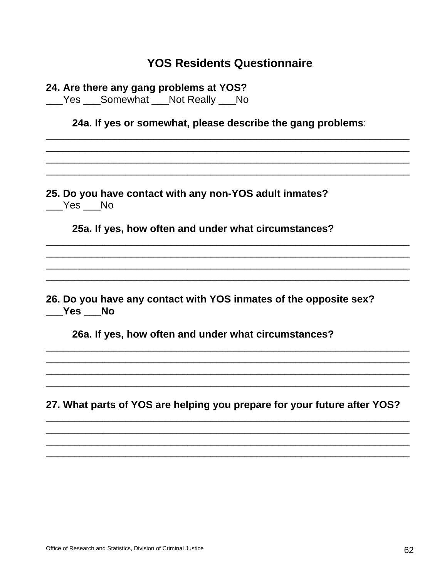| 24. Are there any gang problems at YOS?<br>___Yes ___Somewhat ___Not Really ___No |                                                                          |
|-----------------------------------------------------------------------------------|--------------------------------------------------------------------------|
|                                                                                   | 24a. If yes or somewhat, please describe the gang problems:              |
|                                                                                   |                                                                          |
| $Yes$ No                                                                          | 25. Do you have contact with any non-YOS adult inmates?                  |
|                                                                                   | 25a. If yes, how often and under what circumstances?                     |
|                                                                                   |                                                                          |
| ___Yes ___No                                                                      | 26. Do you have any contact with YOS inmates of the opposite sex?        |
|                                                                                   | 26a. If yes, how often and under what circumstances?                     |
|                                                                                   | 27. What parts of YOS are helping you prepare for your future after YOS? |
|                                                                                   |                                                                          |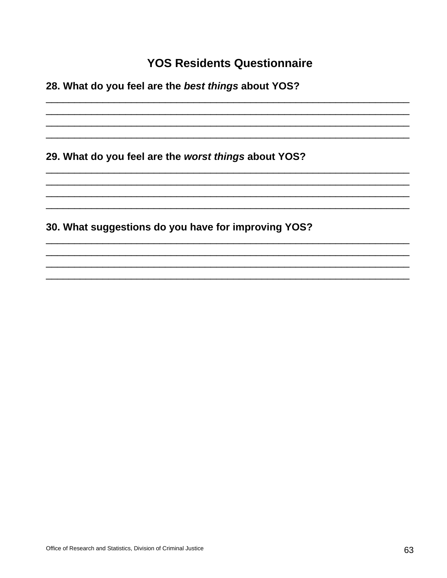28. What do you feel are the best things about YOS?

29. What do you feel are the worst things about YOS?

30. What suggestions do you have for improving YOS?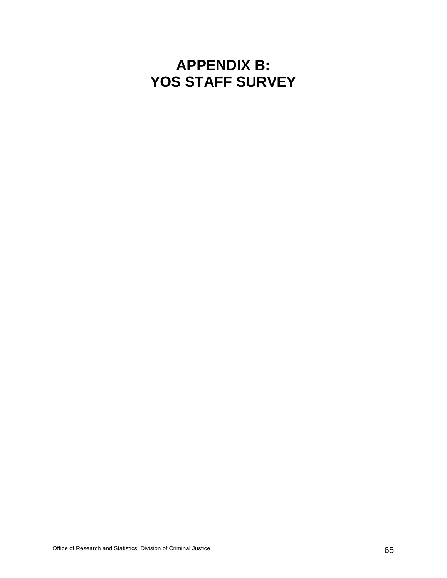# **APPENDIX B: YOS STAFF SURVEY**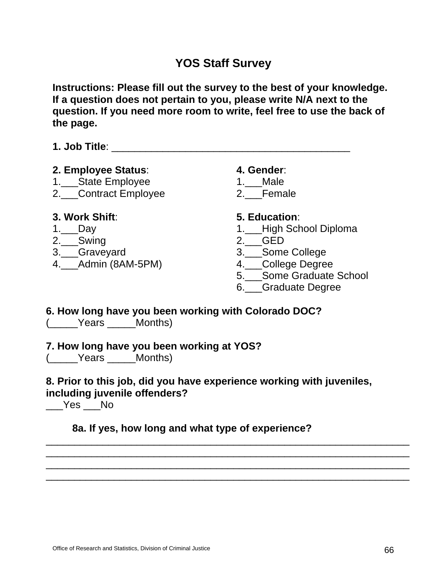**Instructions: Please fill out the survey to the best of your knowledge. If a question does not pertain to you, please write N/A next to the question. If you need more room to write, feel free to use the back of the page.** 

**1. Job Title**: \_\_\_\_\_\_\_\_\_\_\_\_\_\_\_\_\_\_\_\_\_\_\_\_\_\_\_\_\_\_\_\_\_\_\_\_\_\_\_\_\_\_

#### **2. Employee Status**:

- 1.\_\_\_State Employee
- 2.\_\_\_Contract Employee

#### **4. Gender**:

- 1.\_\_\_Male
- 2. Female

#### **3. Work Shift**:

- 1.\_\_\_Day
- 2.\_\_\_Swing
- 3.\_\_\_Graveyard
- 4.\_\_\_Admin (8AM-5PM)

#### **5. Education**:

- 1.\_\_\_High School Diploma
- 2.\_\_\_GED
- 3.\_\_\_Some College
- 4.\_\_\_College Degree
- 5.\_\_\_Some Graduate School
- 6.\_\_\_Graduate Degree

# **6. How long have you been working with Colorado DOC?**

(\_\_\_\_\_Years \_\_\_\_\_Months)

#### **7. How long have you been working at YOS?**

(\_\_\_\_\_Years \_\_\_\_\_Months)

#### **8. Prior to this job, did you have experience working with juveniles, including juvenile offenders?**

\_\_\_\_\_\_\_\_\_\_\_\_\_\_\_\_\_\_\_\_\_\_\_\_\_\_\_\_\_\_\_\_\_\_\_\_\_\_\_\_\_\_\_\_\_\_\_\_\_\_\_\_\_\_\_\_\_\_\_\_\_\_\_\_ \_\_\_\_\_\_\_\_\_\_\_\_\_\_\_\_\_\_\_\_\_\_\_\_\_\_\_\_\_\_\_\_\_\_\_\_\_\_\_\_\_\_\_\_\_\_\_\_\_\_\_\_\_\_\_\_\_\_\_\_\_\_\_\_ \_\_\_\_\_\_\_\_\_\_\_\_\_\_\_\_\_\_\_\_\_\_\_\_\_\_\_\_\_\_\_\_\_\_\_\_\_\_\_\_\_\_\_\_\_\_\_\_\_\_\_\_\_\_\_\_\_\_\_\_\_\_\_\_ \_\_\_\_\_\_\_\_\_\_\_\_\_\_\_\_\_\_\_\_\_\_\_\_\_\_\_\_\_\_\_\_\_\_\_\_\_\_\_\_\_\_\_\_\_\_\_\_\_\_\_\_\_\_\_\_\_\_\_\_\_\_\_\_

 $\rule{1em}{0.15mm}$   $\qquad$   $\qquad$   $\qquad$   $\qquad$   $\qquad$   $\qquad$   $\qquad$   $\qquad$   $\qquad$   $\qquad$   $\qquad$   $\qquad$   $\qquad$   $\qquad$   $\qquad$   $\qquad$   $\qquad$   $\qquad$   $\qquad$   $\qquad$   $\qquad$   $\qquad$   $\qquad$   $\qquad$   $\qquad$   $\qquad$   $\qquad$   $\qquad$   $\qquad$   $\qquad$   $\qquad$   $\qquad$   $\qquad$   $\qquad$   $\$ 

### **8a. If yes, how long and what type of experience?**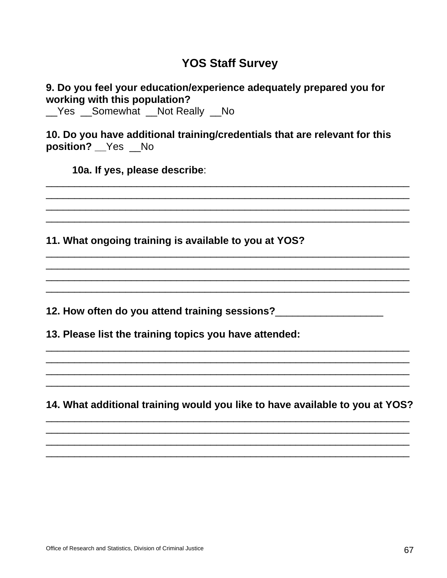#### 9. Do you feel your education/experience adequately prepared you for working with this population?

\_Yes \_Somewhat \_Not Really \_No

10. Do you have additional training/credentials that are relevant for this position? \_\_ Yes \_\_ No

10a. If yes, please describe:

11. What ongoing training is available to you at YOS?

12. How often do you attend training sessions?

13. Please list the training topics you have attended:

14. What additional training would you like to have available to you at YOS?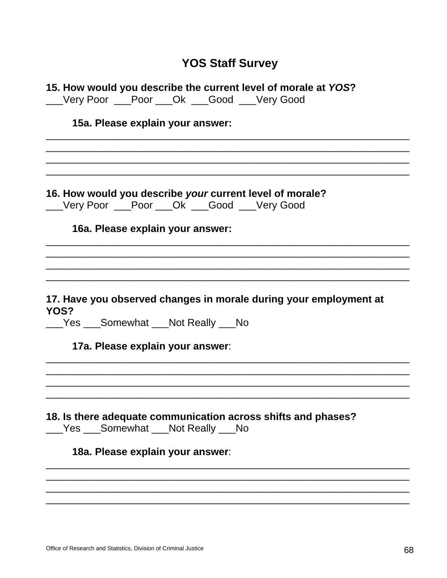|      | 15. How would you describe the current level of morale at YOS?<br>__Very Poor __Poor __Ok __Good __Very Good |
|------|--------------------------------------------------------------------------------------------------------------|
|      | 15a. Please explain your answer:                                                                             |
|      |                                                                                                              |
|      | 16. How would you describe your current level of morale?<br>__Very Poor __Poor __Ok __Good __Very Good       |
|      | 16a. Please explain your answer:                                                                             |
|      |                                                                                                              |
| YOS? | 17. Have you observed changes in morale during your employment at<br>___Yes ___Somewhat ___Not Really ___No  |
|      | 17a. Please explain your answer:                                                                             |
|      | 18. Is there adequate communication across shifts and phases?<br>Yes Somewhat Not Really No                  |
|      | 18a. Please explain your answer:                                                                             |
|      |                                                                                                              |
|      |                                                                                                              |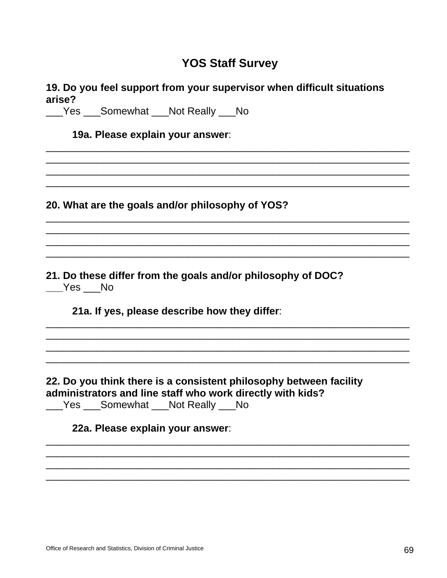| 19. Do you feel support from your supervisor when difficult situations<br>arise?                                                                               |  |
|----------------------------------------------------------------------------------------------------------------------------------------------------------------|--|
| Yes Somewhat Not Really No                                                                                                                                     |  |
| 19a. Please explain your answer:                                                                                                                               |  |
|                                                                                                                                                                |  |
| 20. What are the goals and/or philosophy of YOS?                                                                                                               |  |
|                                                                                                                                                                |  |
| 21. Do these differ from the goals and/or philosophy of DOC?<br>Yes No                                                                                         |  |
| 21a. If yes, please describe how they differ:                                                                                                                  |  |
| 22. Do you think there is a consistent philosophy between facility<br>administrators and line staff who work directly with kids?<br>Yes Somewhat Not Really No |  |
| 22a. Please explain your answer:                                                                                                                               |  |
|                                                                                                                                                                |  |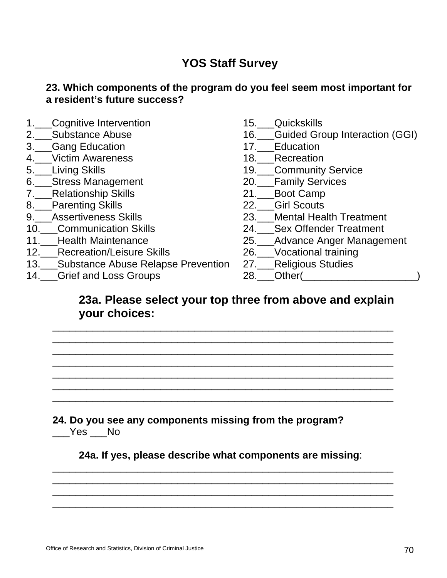### **23. Which components of the program do you feel seem most important for a resident's future success?**

- 1.\_\_\_Cognitive Intervention
- 2.\_\_\_Substance Abuse
- 3.\_\_\_Gang Education
- 4. Victim Awareness
- 5.\_\_\_Living Skills
- 6.\_\_\_Stress Management
- 7.\_\_\_Relationship Skills
- 8.\_\_\_Parenting Skills
- 9. Assertiveness Skills
- 10.\_\_\_Communication Skills
- 11.\_\_\_Health Maintenance
- 12.\_\_\_Recreation/Leisure Skills
- 13.\_\_\_Substance Abuse Relapse Prevention
- 14.\_\_\_Grief and Loss Groups
- 15.\_\_\_Quickskills
- 16.\_\_\_Guided Group Interaction (GGI)
- 17. Education
- 18. Recreation
- 19. Community Service
- 20.\_\_\_Family Services
- 21.\_\_\_Boot Camp
- 22.\_\_\_Girl Scouts
- 23.\_\_\_Mental Health Treatment
- 24.\_\_\_Sex Offender Treatment
- 25.\_\_\_Advance Anger Management
- 26.\_\_\_Vocational training
- 27.\_\_\_Religious Studies
- 28. Other(

### **23a. Please select your top three from above and explain your choices:**

\_\_\_\_\_\_\_\_\_\_\_\_\_\_\_\_\_\_\_\_\_\_\_\_\_\_\_\_\_\_\_\_\_\_\_\_\_\_\_\_\_\_\_\_\_\_\_\_\_\_\_\_\_\_\_\_\_\_\_\_  $\overline{\phantom{a}}$  , and the contract of the contract of the contract of the contract of the contract of the contract of the contract of the contract of the contract of the contract of the contract of the contract of the contrac \_\_\_\_\_\_\_\_\_\_\_\_\_\_\_\_\_\_\_\_\_\_\_\_\_\_\_\_\_\_\_\_\_\_\_\_\_\_\_\_\_\_\_\_\_\_\_\_\_\_\_\_\_\_\_\_\_\_\_\_  $\overline{\phantom{a}}$  , and the contract of the contract of the contract of the contract of the contract of the contract of the contract of the contract of the contract of the contract of the contract of the contract of the contrac \_\_\_\_\_\_\_\_\_\_\_\_\_\_\_\_\_\_\_\_\_\_\_\_\_\_\_\_\_\_\_\_\_\_\_\_\_\_\_\_\_\_\_\_\_\_\_\_\_\_\_\_\_\_\_\_\_\_\_\_ \_\_\_\_\_\_\_\_\_\_\_\_\_\_\_\_\_\_\_\_\_\_\_\_\_\_\_\_\_\_\_\_\_\_\_\_\_\_\_\_\_\_\_\_\_\_\_\_\_\_\_\_\_\_\_\_\_\_\_\_ \_\_\_\_\_\_\_\_\_\_\_\_\_\_\_\_\_\_\_\_\_\_\_\_\_\_\_\_\_\_\_\_\_\_\_\_\_\_\_\_\_\_\_\_\_\_\_\_\_\_\_\_\_\_\_\_\_\_\_\_

**24. Do you see any components missing from the program?** \_\_\_Yes \_\_\_No

**24a. If yes, please describe what components are missing**: \_\_\_\_\_\_\_\_\_\_\_\_\_\_\_\_\_\_\_\_\_\_\_\_\_\_\_\_\_\_\_\_\_\_\_\_\_\_\_\_\_\_\_\_\_\_\_\_\_\_\_\_\_\_\_\_\_\_\_\_

\_\_\_\_\_\_\_\_\_\_\_\_\_\_\_\_\_\_\_\_\_\_\_\_\_\_\_\_\_\_\_\_\_\_\_\_\_\_\_\_\_\_\_\_\_\_\_\_\_\_\_\_\_\_\_\_\_\_\_\_ \_\_\_\_\_\_\_\_\_\_\_\_\_\_\_\_\_\_\_\_\_\_\_\_\_\_\_\_\_\_\_\_\_\_\_\_\_\_\_\_\_\_\_\_\_\_\_\_\_\_\_\_\_\_\_\_\_\_\_\_ \_\_\_\_\_\_\_\_\_\_\_\_\_\_\_\_\_\_\_\_\_\_\_\_\_\_\_\_\_\_\_\_\_\_\_\_\_\_\_\_\_\_\_\_\_\_\_\_\_\_\_\_\_\_\_\_\_\_\_\_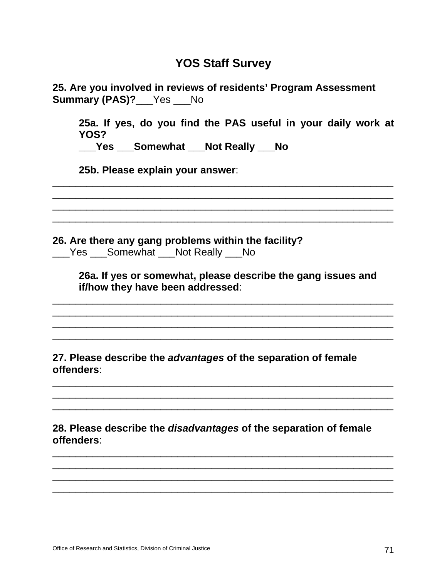| 25. Are you involved in reviews of residents' Program Assessment<br><b>Summary (PAS)?</b> Yes No |
|--------------------------------------------------------------------------------------------------|
| 25a. If yes, do you find the PAS useful in your daily work at<br>YOS?                            |
| ___Yes ___Somewhat ___Not Really ___No                                                           |
| 25b. Please explain your answer:                                                                 |
|                                                                                                  |
| 26. Are there any gang problems within the facility?<br>Yes ___Somewhat ___Not Really ___No      |
| 26a. If yes or somewhat, please describe the gang issues and<br>if/how they have been addressed: |
| 27. Please describe the advantages of the separation of female<br>offenders:                     |
|                                                                                                  |
| 28. Please describe the <i>disadvantages</i> of the separation of female<br>offenders:           |

\_\_\_\_\_\_\_\_\_\_\_\_\_\_\_\_\_\_\_\_\_\_\_\_\_\_\_\_\_\_\_\_\_\_\_\_\_\_\_\_\_\_\_\_\_\_\_\_\_\_\_\_\_\_\_\_\_\_\_\_ \_\_\_\_\_\_\_\_\_\_\_\_\_\_\_\_\_\_\_\_\_\_\_\_\_\_\_\_\_\_\_\_\_\_\_\_\_\_\_\_\_\_\_\_\_\_\_\_\_\_\_\_\_\_\_\_\_\_\_\_ \_\_\_\_\_\_\_\_\_\_\_\_\_\_\_\_\_\_\_\_\_\_\_\_\_\_\_\_\_\_\_\_\_\_\_\_\_\_\_\_\_\_\_\_\_\_\_\_\_\_\_\_\_\_\_\_\_\_\_\_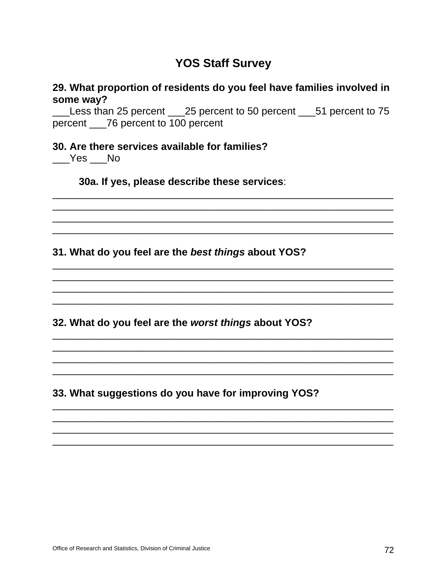#### 29. What proportion of residents do you feel have families involved in some way?

Less than 25 percent \_\_\_25 percent to 50 percent \_\_\_51 percent to 75 percent \_\_\_76 percent to 100 percent

#### 30. Are there services available for families?

Yes No

30a. If yes, please describe these services:

31. What do you feel are the best things about YOS?

32. What do you feel are the worst things about YOS?

33. What suggestions do you have for improving YOS?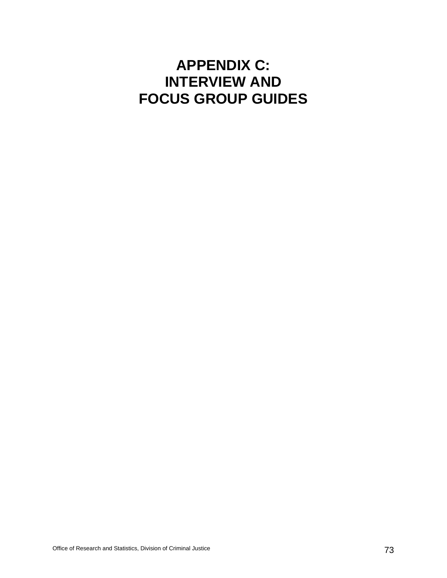# **APPENDIX C: INTERVIEW AND FOCUS GROUP GUIDES**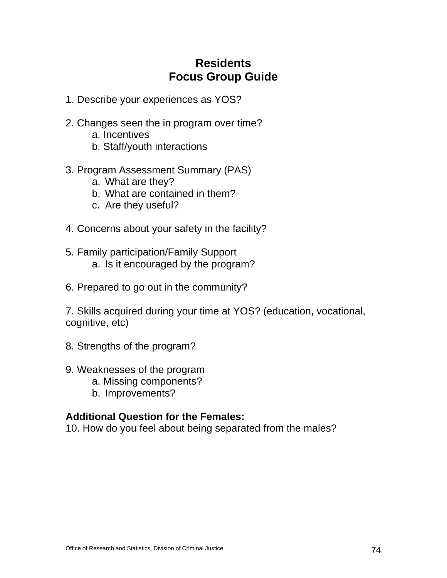### **Residents Focus Group Guide**

- 1. Describe your experiences as YOS?
- 2. Changes seen the in program over time?
	- a. Incentives
	- b. Staff/youth interactions
- 3. Program Assessment Summary (PAS)
	- a. What are they?
	- b. What are contained in them?
	- c. Are they useful?
- 4. Concerns about your safety in the facility?
- 5. Family participation/Family Support a. Is it encouraged by the program?
- 6. Prepared to go out in the community?

7. Skills acquired during your time at YOS? (education, vocational, cognitive, etc)

- 8. Strengths of the program?
- 9. Weaknesses of the program
	- a. Missing components?
	- b. Improvements?

### **Additional Question for the Females:**

10. How do you feel about being separated from the males?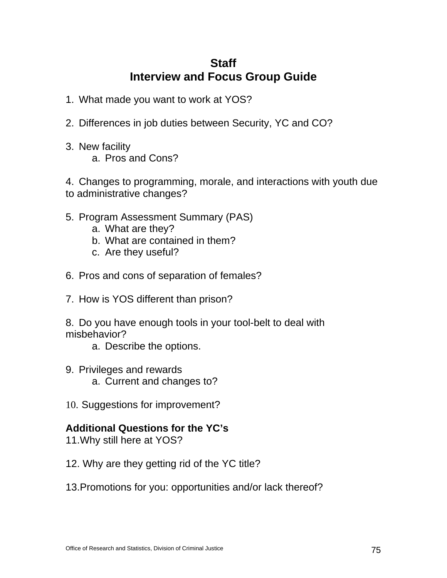### **Staff Interview and Focus Group Guide**

- 1. What made you want to work at YOS?
- 2. Differences in job duties between Security, YC and CO?
- 3. New facility a. Pros and Cons?

4. Changes to programming, morale, and interactions with youth due to administrative changes?

- 5. Program Assessment Summary (PAS)
	- a. What are they?
	- b. What are contained in them?
	- c. Are they useful?
- 6. Pros and cons of separation of females?
- 7. How is YOS different than prison?

8. Do you have enough tools in your tool-belt to deal with misbehavior?

- a. Describe the options.
- 9. Privileges and rewards a. Current and changes to?
- 10. Suggestions for improvement?

### **Additional Questions for the YC's**

- 11.Why still here at YOS?
- 12. Why are they getting rid of the YC title?
- 13.Promotions for you: opportunities and/or lack thereof?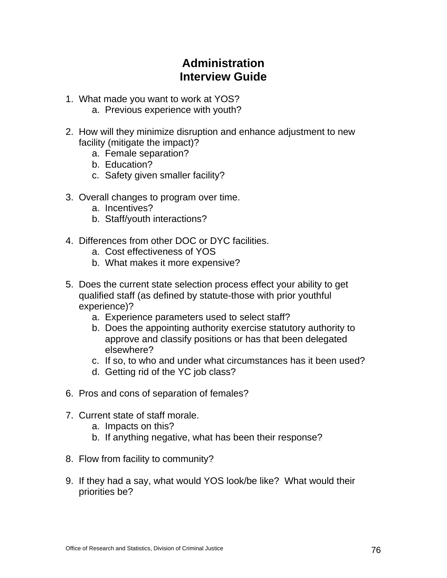### **Administration Interview Guide**

- 1. What made you want to work at YOS?
	- a. Previous experience with youth?
- 2. How will they minimize disruption and enhance adjustment to new facility (mitigate the impact)?
	- a. Female separation?
	- b. Education?
	- c. Safety given smaller facility?
- 3. Overall changes to program over time.
	- a. Incentives?
	- b. Staff/youth interactions?
- 4. Differences from other DOC or DYC facilities.
	- a. Cost effectiveness of YOS
	- b. What makes it more expensive?
- 5. Does the current state selection process effect your ability to get qualified staff (as defined by statute-those with prior youthful experience)?
	- a. Experience parameters used to select staff?
	- b. Does the appointing authority exercise statutory authority to approve and classify positions or has that been delegated elsewhere?
	- c. If so, to who and under what circumstances has it been used?
	- d. Getting rid of the YC job class?
- 6. Pros and cons of separation of females?
- 7. Current state of staff morale.
	- a. Impacts on this?
	- b. If anything negative, what has been their response?
- 8. Flow from facility to community?
- 9. If they had a say, what would YOS look/be like? What would their priorities be?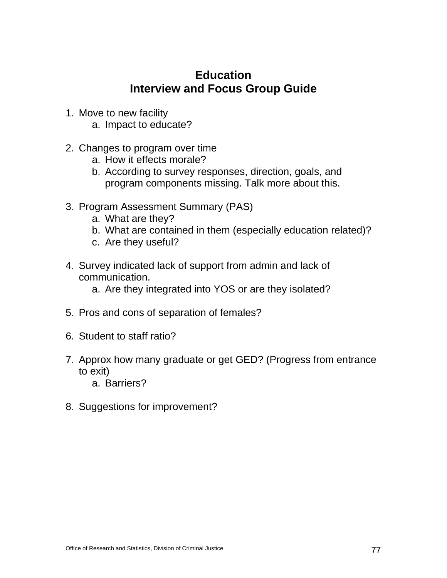### **Education Interview and Focus Group Guide**

- 1. Move to new facility
	- a. Impact to educate?
- 2. Changes to program over time
	- a. How it effects morale?
	- b. According to survey responses, direction, goals, and program components missing. Talk more about this.
- 3. Program Assessment Summary (PAS)
	- a. What are they?
	- b. What are contained in them (especially education related)?
	- c. Are they useful?
- 4. Survey indicated lack of support from admin and lack of communication.
	- a. Are they integrated into YOS or are they isolated?
- 5. Pros and cons of separation of females?
- 6. Student to staff ratio?
- 7. Approx how many graduate or get GED? (Progress from entrance to exit)
	- a. Barriers?
- 8. Suggestions for improvement?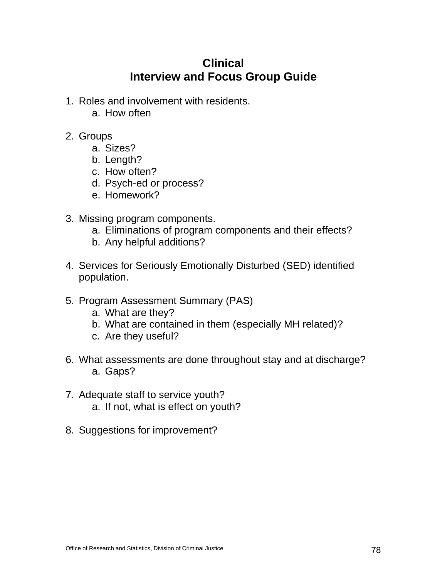### **Clinical Interview and Focus Group Guide**

- 1. Roles and involvement with residents.
	- a. How often
- 2. Groups
	- a. Sizes?
	- b. Length?
	- c. How often?
	- d. Psych-ed or process?
	- e. Homework?
- 3. Missing program components.
	- a. Eliminations of program components and their effects?
	- b. Any helpful additions?
- 4. Services for Seriously Emotionally Disturbed (SED) identified population.
- 5. Program Assessment Summary (PAS)
	- a. What are they?
	- b. What are contained in them (especially MH related)?
	- c. Are they useful?
- 6. What assessments are done throughout stay and at discharge? a. Gaps?
- 7. Adequate staff to service youth? a. If not, what is effect on youth?
- 8. Suggestions for improvement?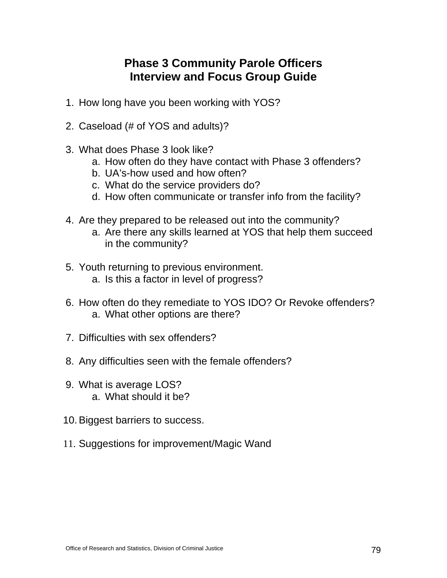### **Phase 3 Community Parole Officers Interview and Focus Group Guide**

- 1. How long have you been working with YOS?
- 2. Caseload (# of YOS and adults)?
- 3. What does Phase 3 look like?
	- a. How often do they have contact with Phase 3 offenders?
	- b. UA's-how used and how often?
	- c. What do the service providers do?
	- d. How often communicate or transfer info from the facility?
- 4. Are they prepared to be released out into the community?
	- a. Are there any skills learned at YOS that help them succeed in the community?
- 5. Youth returning to previous environment. a. Is this a factor in level of progress?
- 6. How often do they remediate to YOS IDO? Or Revoke offenders? a. What other options are there?
- 7. Difficulties with sex offenders?
- 8. Any difficulties seen with the female offenders?
- 9. What is average LOS? a. What should it be?
- 10. Biggest barriers to success.
- 11. Suggestions for improvement/Magic Wand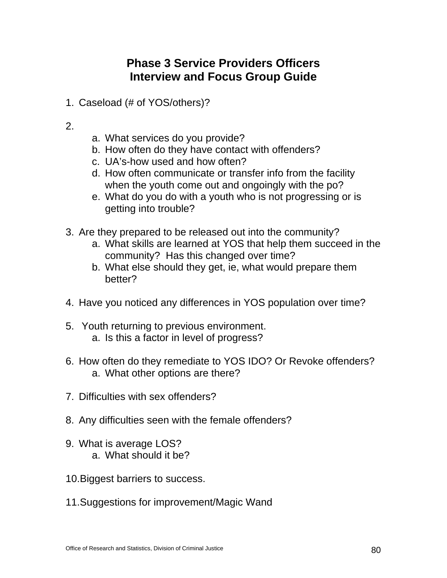### **Phase 3 Service Providers Officers Interview and Focus Group Guide**

1. Caseload (# of YOS/others)?

### 2.

- a. What services do you provide?
- b. How often do they have contact with offenders?
- c. UA's-how used and how often?
- d. How often communicate or transfer info from the facility when the youth come out and ongoingly with the po?
- e. What do you do with a youth who is not progressing or is getting into trouble?
- 3. Are they prepared to be released out into the community?
	- a. What skills are learned at YOS that help them succeed in the community? Has this changed over time?
	- b. What else should they get, ie, what would prepare them better?
- 4. Have you noticed any differences in YOS population over time?
- 5. Youth returning to previous environment. a. Is this a factor in level of progress?
- 6. How often do they remediate to YOS IDO? Or Revoke offenders? a. What other options are there?
- 7. Difficulties with sex offenders?
- 8. Any difficulties seen with the female offenders?
- 9. What is average LOS? a. What should it be?
- 10.Biggest barriers to success.
- 11.Suggestions for improvement/Magic Wand